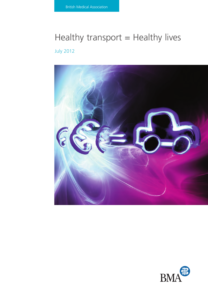# Healthy transport  $=$  Healthy lives July 2012



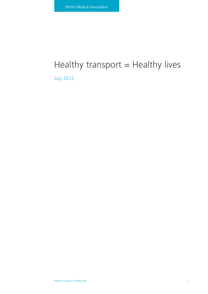# Healthy transport  $=$  Healthy lives

July 2012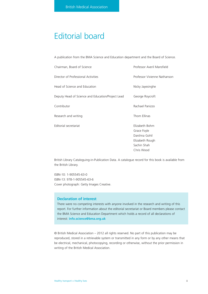# Editorial board

A publication from the BMA Science and Education department and the Board of Science.

| Chairman, Board of Science                        | Professor Averil Mansfield                                                       |
|---------------------------------------------------|----------------------------------------------------------------------------------|
| Director of Professional Activities               | Professor Vivienne Nathanson                                                     |
| Head of Science and Education                     | Nicky Jayesinghe                                                                 |
| Deputy Head of Science and Education/Project Lead | George Roycroft                                                                  |
| Contributor                                       | Rachael Panizzo                                                                  |
| Research and writing                              | Thom Ellinas                                                                     |
| Editorial secretariat                             | Elizabeth Bohm<br>Grace Foyle<br>Darshna Gohil<br>Elizabeth Rough<br>Sachin Shah |
|                                                   | Chris Wood                                                                       |

British Library Cataloguing-in-Publication Data. A catalogue record for this book is available from the British Library.

ISBN-10: 1-905545-63-0 ISBN-13: 978-1-905545-63-6 Cover photograph: Getty Images Creative.

### **Declaration of interest**

There were no competing interests with anyone involved in the research and writing of this report. For further information about the editorial secretariat or Board members please contact the BMA Science and Education Department which holds a record of all declarations of interest: **info.science@bma.org.uk**

© British Medical Association – 2012 all rights reserved. No part of this publication may be reproduced, stored in a retrievable system or transmitted in any form or by any other means that be electrical, mechanical, photocopying, recording or otherwise, without the prior permission in writing of the British Medical Association.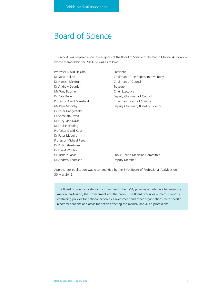# Board of Science

This report was prepared under the auspices of the Board of Science of the British Medical Association, whose membership for 2011-12 was as follows:

Professor David Haslam President Dr Hamish Meldrum Chairman of Council Dr Andrew Dearden Treasurer Mr Tony Bourne **Chief Executive** Dr Peter Dangerfield Dr Shreelata Datta Dr Lucy-Jane Davis Dr Louise Harding Professor David Katz Dr Peter Maguire Professor Michael Rees Dr Philip Steadman Dr David Wrigley Dr Andrew Thomson Deputy Member

Dr Steve Hajioff **Chairman of the Representative Body** Dr Kate Bullen **Deputy Chairman of Council** Professor Averil Mansfield Chairman, Board of Science Mr Ram Moorthy **Deputy Chairman, Board of Science** 

Dr Richard Jarvis **Public Health Medicine Committee** 

Approval for publication was recommended by the BMA Board of Professional Activities on 30 May 2012.

The Board of Science, a standing committee of the BMA, provides an interface between the medical profession, the Government and the public. The Board produces numerous reports containing policies for national action by Government and other organisations, with specific recommendations and areas for action affecting the medical and allied professions.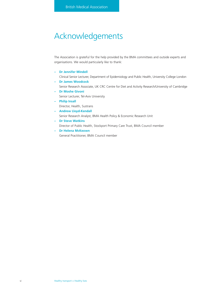# Acknowledgements

The Association is grateful for the help provided by the BMA committees and outside experts and organisations. We would particularly like to thank:

**– Dr Jennifer Mindell**

Clinical Senior Lecturer, Department of Epidemiology and Public Health, University College London

- **Dr James Woodcock** Senior Research Associate, UK CRC Centre for Diet and Activity Research/University of Cambridge
- **Dr Moshe Givoni** Senior Lecturer, Tel-Aviv University **– Philip Insall**
- Director, Health, Sustrans
- **Andrew Lloyd-Kendall** Senior Research Analyst, BMA Health Policy & Economic Research Unit
- **Dr Steve Watkins**
	- Director of Public Health, Stockport Primary Care Trust, BMA Council member
- **Dr Helena McKeown**

General Practitioner, BMA Council member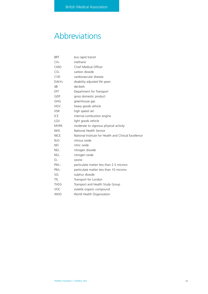# Abbreviations

| <b>BRT</b>        | bus rapid transit                                     |
|-------------------|-------------------------------------------------------|
| CH <sub>4</sub>   | methane                                               |
| CMO               | Chief Medical Officer                                 |
| CO <sub>2</sub>   | carbon dioxide                                        |
| <b>CVD</b>        | cardiovascular disease                                |
| <b>DALYs</b>      | disability adjusted life years                        |
| dB                | decibels                                              |
| DfT               | Department for Transport                              |
| GDP               | gross domestic product                                |
| GHG               | greenhouse gas                                        |
| <b>HGV</b>        | heavy goods vehicle                                   |
| <b>HSR</b>        | high speed rail                                       |
| ICE               | internal combustion engine                            |
| LGV               | light goods vehicle                                   |
| <b>MVPA</b>       | moderate to vigorous physical activity                |
| <b>NHS</b>        | National Health Service                               |
| <b>NICE</b>       | National Institute for Health and Clinical Excellence |
| N <sub>2</sub> O  | nitrous oxide                                         |
| NO.               | nitric oxide                                          |
| NO <sub>2</sub>   | nitrogen dioxide                                      |
| NO <sub>x</sub>   | nitrogen oxide                                        |
| O <sub>3</sub>    | ozone                                                 |
| PM <sub>2.5</sub> | particulate matter less than 2.5 microns              |
| $PM_{10}$         | particulate matter less than 10 microns               |
| SO <sub>2</sub>   | sulphur dioxide                                       |
| Tfl               | Transport for London                                  |
| <b>THSG</b>       | Transport and Health Study Group                      |
| VOC               | volatile organic compound                             |
| <b>WHO</b>        | World Health Organization                             |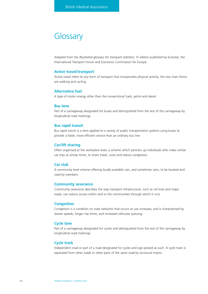# **Glossary**

Adapted from the *Illustrated glossary for transport statistics: IV edition published by Eurostat, the* International Transport Forum and Economic Commission for Europe.

## **Active travel/transport**

Active travel refers to any form of transport that incorporates physical activity; the two main forms are walking and cycling.

### **Alternative fuel**

A type of motor energy other than the conventional fuels, petrol and diesel.

## **Bus lane**

Part of a carriageway designated for buses and distinguished from the rest of the carriageway by longitudinal road markings.

#### **Bus rapid transit**

Bus rapid transit is a term applied to a variety of public transportation systems using buses to provide a faster, more efficient service than an ordinary bus line.

#### **Car/lift sharing**

Often organised at the workplace level, a scheme which partners up individuals who make similar car trips at similar times, to share travel, costs and reduce congestion.

#### **Car club**

A community level scheme offering locally available cars, and sometimes vans, to be booked and used by members.

#### **Community severance**

Community severance describes the way transport infrastructure, such as rail lines and major roads, can reduce access within and to the communities through which it runs.

## **Congestion**

Congestion is a condition on road networks that occurs as use increases, and is characterised by slower speeds, longer trip times, and increased vehicular queuing.

### **Cycle lane**

Part of a carriageway designated for cycles and distinguished from the rest of the carriageway by longitudinal road markings.

#### **Cycle track**

Independent road or part of a road designated for cycles and sign-posted as such. A cycle track is separated from other roads or other parts of the same road by structural means.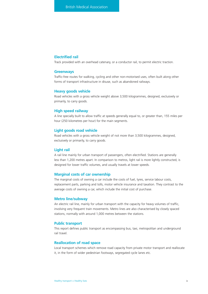# **Electrified rail**

Track provided with an overhead catenary, or a conductor rail, to permit electric traction.

### **Greenways**

Traffic-free routes for walking, cycling and other non-motorised uses, often built along other forms of transport infrastructure in disuse, such as abandoned railways.

#### **Heavy goods vehicle**

Road vehicles with a gross vehicle weight above 3,500 kilogrammes, designed, exclusively or primarily, to carry goods.

### **High speed railway**

A line specially built to allow traffic at speeds generally equal to, or greater than, 155 miles per hour (250 kilometres per hour) for the main segments.

#### **Light goods road vehicle**

Road vehicles with a gross vehicle weight of not more than 3,500 kilogrammes, designed, exclusively or primarily, to carry goods.

#### **Light rail**

A rail line mainly for urban transport of passengers, often electrified. Stations are generally less than 1,200 metres apart. In comparison to metros, light rail is more lightly constructed, is designed for lower traffic volumes, and usually travels at lower speeds.

# **Marginal costs of car ownership**

The marginal costs of owning a car include the costs of fuel, tyres, service labour costs, replacement parts, parking and tolls, motor vehicle insurance and taxation. They contrast to the average costs of owning a car, which include the initial cost of purchase.

#### **Metro line/subway**

An electric rail line, mainly for urban transport with the capacity for heavy volumes of traffic, involving very frequent train movements. Metro lines are also characterised by closely spaced stations, normally with around 1,000 metres between the stations.

### **Public transport**

This report defines public transport as encompassing bus, taxi, metropolitan and underground rail travel.

# **Reallocation of road space**

Local transport schemes which remove road capacity from private motor transport and reallocate it, in the form of wider pedestrian footways, segregated cycle lanes etc.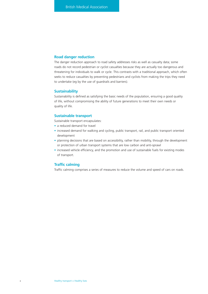# **Road danger reduction**

The danger reduction approach to road safety addresses risks as well as casualty data; some roads do not record pedestrian or cyclist casualties because they are actually too dangerous and threatening for individuals to walk or cycle. This contrasts with a traditional approach, which often seeks to reduce casualties by preventing pedestrians and cyclists from making the trips they need to undertake (eg by the use of guardrails and barriers).

## **Sustainability**

Sustainability is defined as satisfying the basic needs of the population, ensuring a good quality of life, without compromising the ability of future generations to meet their own needs or quality of life.

# **Sustainable transport**

Sustainable transport encapsulates:

- a reduced demand for travel
- increased demand for walking and cycling, public transport, rail, and public transport oriented development
- planning decisions that are based on accessibility, rather than mobility, through the development or protection of urban transport systems that are low carbon and anti-sprawl
- increased vehicle efficiency, and the promotion and use of sustainable fuels for existing modes of transport.

# **Traffic calming**

Traffic calming comprises a series of measures to reduce the volume and speed of cars on roads.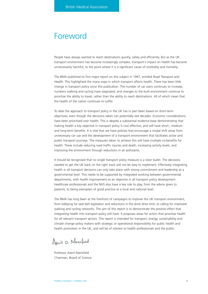# Foreword

People have always wanted to reach destinations quickly, safely and efficiently. But as the UK transport environment has become increasingly complex, transport's impact on health has become unnecessarily harmful; to the point where it is a significant cause of morbidity and mortality.

The BMA published its first major report on this subject in 1997, entitled *Road Transport and Health*. This highlighted the many ways in which transport affects health. There has been little change in transport policy since this publication. The number of car users continues to increase, numbers walking and cycling have stagnated, and changes to the built environment continue to prioritise the ability to travel, rather than the ability to reach destinations. All of which mean that the health of the nation continues to suffer.

To date the approach to transport policy in the UK has in part been based on short-term objectives, even though the decisions taken can potentially last decades. Economic considerations have been prioritised over health. This is despite a substantial evidence-base demonstrating that making health a key objective in transport policy is cost effective, and will have short-, mediumand long-term benefits. It is vital that we have policies that encourage a modal shift away from unnecessary car use and the development of a transport environment that facilitates active and public transport journeys. The measures taken to achieve this will have multiple co-benefits for health. These include reducing road traffic injuries and death, increasing activity levels, and improving the environment through reductions in air pollutants.

It should be recognised that no single transport policy measure is a silver bullet. The decisions needed to get the UK back on the right track will not be easy to implement. Effectively integrating health in all transport decisions can only take place with strong commitment and leadership at a governmental level. This needs to be supported by integrated working between governmental departments, with health improvement as an objective in all transport policy development. Healthcare professionals and the NHS also have a key role to play, from the advice given to patients, to being exemplars of good practice at a local and national level.

The BMA has long been at the forefront of campaigns to improve the UK transport environment, from lobbying for seat belt legislation and reductions in the drink drive limit, to calling for improved walking and cycling networks. The aim of this report is to demonstrate the positive effect that integrating health into transport policy will have. It proposes areas for action that prioritise health for all relevant transport sectors. This report is intended for transport, energy, sustainability and climate change policy makers with strategic or operational responsibility for public health and health promotion in the UK, and will be of interest to health professionals and the public.

Avent O. Manofied

Professor Averil Mansfield Chairman, Board of Science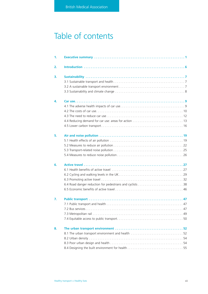# Table of contents

| 1. |  |
|----|--|
| 2. |  |
| 3. |  |
| 4. |  |
| 5. |  |
| 6. |  |
| 7. |  |
| 8. |  |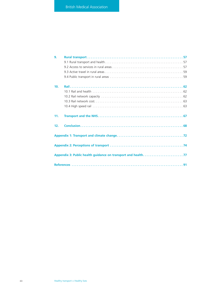| 9.  |  |
|-----|--|
|     |  |
|     |  |
|     |  |
| 10. |  |
|     |  |
|     |  |
|     |  |
|     |  |
|     |  |
| 11. |  |
| 12. |  |
|     |  |
|     |  |
|     |  |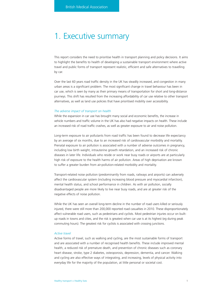# 1. Executive summary

This report considers the need to prioritise health in transport planning and policy decisions. It aims to highlight the benefits to health of developing a sustainable transport environment where active travel and public forms of transport represent realistic, efficient and safe alternatives to travelling by car.

Over the last 60 years road traffic density in the UK has steadily increased, and congestion in many urban areas is a significant problem. The most significant change in travel behaviour has been in car use, which is seen by many as their primary means of transportation for short and long-distance journeys. This shift has resulted from the increasing affordability of car use relative to other transport alternatives, as well as land use policies that have prioritised mobility over accessibility.

### *The adverse impact of transport on health*

While the expansion in car use has brought many social and economic benefits, the increase in vehicle numbers and traffic volume in the UK has also had negative impacts on health. These include an increased risk of road traffic crashes, as well as greater exposure to air and noise pollution.

Long-term exposure to air pollutants from road traffic has been found to decrease life expectancy by an average of six months, due to an increased risk of cardiovascular morbidity and mortality. Prenatal exposure to air pollution is associated with a number of adverse outcomes in pregnancy, including low birth weight, intrauterine growth retardation, and an increased risk of chronic diseases in later life. Individuals who reside or work near busy roads or airports are at particularly high risk of exposure to the health harms of air pollution. Areas of high deprivation are known to suffer a greater burden from air-pollution-related morbidity and mortality.

Transport-related noise pollution (predominantly from roads, railways and airports) can adversely affect the cardiovascular system (including increasing blood pressure and myocardial infarction), mental health status, and school performance in children. As with air pollution, socially disadvantaged people are more likely to live near busy roads, and are at greater risk of the negative effects of noise pollution.

While the UK has seen an overall long-term decline in the number of road users killed or seriously injured, there were still more than 200,000 reported road casualties in 2010. These disproportionately affect vulnerable road users, such as pedestrians and cyclists. Most pedestrian injuries occur on builtup roads in towns and cities, and the risk is greatest when car use is at its highest (eg during peak commuting hours). The greatest risk for cyclists is associated with crossing junctions.

#### *Active travel*

Active forms of travel, such as walking and cycling, are the most sustainable forms of transport and are associated with a number of recognised health benefits. These include improved mental health, a reduced risk of premature death, and prevention of chronic diseases such as coronary heart disease, stroke, type 2 diabetes, osteoporosis, depression, dementia, and cancer. Walking and cycling are also effective ways of integrating, and increasing, levels of physical activity into everyday life for the majority of the population, at little personal or societal cost.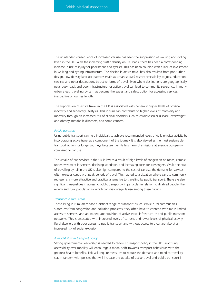The unintended consequence of increased car use has been the suppression of walking and cycling levels in the UK. With the increasing traffic density on UK roads, there has been a corresponding increase in risk of injury for pedestrians and cyclists. This has been coupled with a lack of investment in walking and cycling infrastructure. The decline in active travel has also resulted from poor urban design. Low-density land use patterns (such as urban sprawl) restrict accessibility to jobs, education, services and other destinations by active forms of travel. Even where destinations are geographically near, busy roads and poor infrastructure for active travel can lead to community severance. In many urban areas, travelling by car has become the easiest and safest option for accessing services, irrespective of journey length.

The suppression of active travel in the UK is associated with generally higher levels of physical inactivity and sedentary lifestyles. This in turn can contribute to higher levels of morbidity and mortality through an increased risk of clinical disorders such as cardiovascular disease, overweight and obesity, metabolic disorders, and some cancers.

#### *Public transport*

Using public transport can help individuals to achieve recommended levels of daily physical activity by incorporating active travel as a component of the journey. It is also viewed as the most sustainable transport option for longer journeys because it emits less harmful emissions at average occupancy compared to car use.

The uptake of bus services in the UK is low as a result of high levels of congestion on roads, chronic underinvestment in services, declining standards, and increasing costs for passengers. While the cost of travelling by rail in the UK is also high compared to the cost of car use, the demand for services often exceeds capacity at peak periods of travel. This has led to a situation where car use commonly represents a more attractive and practical alternative to travelling by public transport. There are also significant inequalities in access to public transport – in particular in relation to disabled people, the elderly and rural populations – which can discourage its use among these groups.

#### *Transport in rural areas*

Those living in rural areas face a distinct range of transport issues. While rural communities suffer less from congestion and pollution problems, they often have to contend with more limited access to services, and an inadequate provision of active travel infrastructure and public transport networks. This is associated with increased levels of car use, and lower levels of physical activity. Rural dwellers with poor access to public transport and without access to a car are also at an increased risk of social exclusion.

#### *A modal shift in transport policy*

Strong governmental leadership is needed to re-focus transport policy in the UK. Prioritising accessibility over mobility will encourage a modal shift towards transport behaviours with the greatest health benefits. This will require measures to reduce the demand and need to travel by car, in tandem with policies that will increase the uptake of active travel and public transport in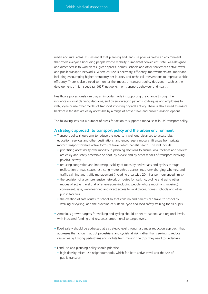urban and rural areas. It is essential that planning and land-use policies create an environment that offers everyone (including people whose mobility is impaired) convenient, safe, well-designed and direct access to workplaces, green spaces, homes, schools and other services via active travel and public transport networks. Where car use is necessary, efficiency improvements are important, including encouraging higher occupancy per journey and technical interventions to improve vehicle efficiency. There is also a need to monitor the impact of transport policy decisions – such as the development of high speed rail (HSR) networks – on transport behaviour and health.

Healthcare professionals can play an important role in supporting this change through their influence on local planning decisions, and by encouraging patients, colleagues and employees to walk, cycle or use other modes of transport involving physical activity. There is also a need to ensure healthcare facilities are easily accessible by a range of active travel and public transport options.

The following sets out a number of areas for action to support a modal shift in UK transport policy.

#### **A strategic approach to transport policy and the urban environment**

- Transport policy should aim to reduce the need to travel long-distances to access jobs, education, services and other destinations, and encourage a modal shift away from private motor transport towards active forms of travel which benefit health. This will include:
	- prioritising accessibility over mobility in planning decisions to ensure local facilities and services are easily and safely accessible on foot, by bicycle and by other modes of transport involving physical activity
	- reducing congestion and improving usability of roads by pedestrians and cyclists through reallocation of road space, restricting motor vehicle access, road-user charging schemes, and traffic-calming and traffic management (including area-wide 20 miles per hour speed limits)
	- the provision of a comprehensive network of routes for walking, cycling and using other modes of active travel that offer everyone (including people whose mobility is impaired) convenient, safe, well-designed and direct access to workplaces, homes, schools and other public facilities
	- the creation of safe routes to school so that children and parents can travel to school by walking or cycling, and the provision of suitable cycle and road safety training for all pupils.
- Ambitious growth targets for walking and cycling should be set at national and regional levels, with increased funding and resources proportional to target levels.
- Road safety should be addressed at a strategic level through a danger reduction approach that addresses the factors that put pedestrians and cyclists at risk, rather than seeking to reduce casualties by limiting pedestrians and cyclists from making the trips they need to undertake.
- Land use and planning policy should prioritise:
	- high density mixed-use neighbourhoods, which facilitate active travel and the use of public transport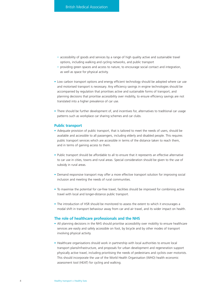- accessibility of goods and services by a range of high quality active and sustainable travel options, including walking and cycling networks, and public transport
- providing green spaces and access to nature, to encourage social contact and integration, as well as space for physical activity.
- Low carbon transport options and energy efficient technology should be adopted where car use and motorised transport is necessary. Any efficiency savings in engine technologies should be accompanied by regulation that prioritises active and sustainable forms of transport, and planning decisions that prioritise accessibility over mobility, to ensure efficiency savings are not translated into a higher prevalence of car use.
- There should be further development of, and incentives for, alternatives to traditional car usage patterns such as workplace car sharing schemes and car clubs.

#### **Public transport**

- Adequate provision of public transport, that is tailored to meet the needs of users, should be available and accessible to all passengers, including elderly and disabled people. This requires public transport services which are accessible in terms of the distance taken to reach them, and in terms of gaining access to them.
- Public transport should be affordable to all to ensure that it represents an effective alternative to car use in cities, towns and rural areas. Special consideration should be given to the use of subsidy in rural areas.
- Demand responsive transport may offer a more effective transport solution for improving social inclusion and meeting the needs of rural communities.
- To maximise the potential for car-free travel, facilities should be improved for combining active travel with local and longer-distance public transport.
- The introduction of HSR should be monitored to assess the extent to which it encourages a modal shift in transport behaviour away from car and air travel, and its wider impact on health.

#### **The role of healthcare professionals and the NHS**

- All planning decisions in the NHS should prioritise accessibility over mobility to ensure healthcare services are easily and safely accessible on foot, by bicycle and by other modes of transport involving physical activity.
- Healthcare organisations should work in partnership with local authorities to ensure local transport plans/infrastructure, and proposals for urban development and regeneration support physically active travel, including prioritising the needs of pedestrians and cyclists over motorists. This should incorporate the use of the World Health Organisation (WHO) health economic assessment tool (HEAT) for cycling and walking.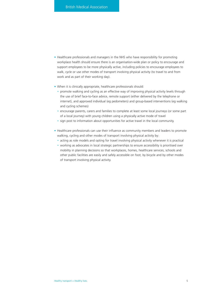- Healthcare professionals and managers in the NHS who have responsibility for promoting workplace health should ensure there is an organisation-wide plan or policy to encourage and support employees to be more physically active, including policies to encourage employees to walk, cycle or use other modes of transport involving physical activity (to travel to and from work and as part of their working day).
- When it is clinically appropriate, healthcare professionals should:
	- promote walking and cycling as an effective way of improving physical activity levels through the use of brief face-to-face advice, remote support (either delivered by the telephone or internet), and approved individual (eg pedometers) and group-based interventions (eg walking and cycling schemes)
	- encourage parents, carers and families to complete at least some local journeys (or some part of a local journey) with young children using a physically active mode of travel
	- sign post to information about opportunities for active travel in the local community.
- Healthcare professionals can use their influence as community members and leaders to promote walking, cycling and other modes of transport involving physical activity by:
	- acting as role models and opting for travel involving physical activity whenever it is practical
	- working as advocates in local strategic partnerships to ensure accessibility is prioritised over mobility in planning decisions so that workplaces, homes, healthcare services, schools and other public facilities are easily and safely accessible on foot, by bicycle and by other modes of transport involving physical activity.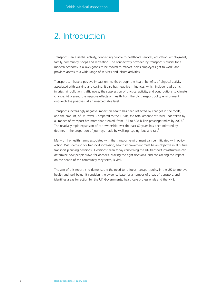# 2. Introduction

Transport is an essential activity, connecting people to healthcare services, education, employment, family, community, shops and recreation. The connectivity provided by transport is crucial for a modern economy. It allows goods to be moved to market, helps employees get to work, and provides access to a wide range of services and leisure activities.

Transport can have a positive impact on health, through the health benefits of physical activity associated with walking and cycling. It also has negative influences, which include road traffic injuries, air pollution, traffic noise, the suppression of physical activity, and contributions to climate change. At present, the negative effects on health from the UK transport policy environment outweigh the positives, at an unacceptable level.

Transport's increasingly negative impact on health has been reflected by changes in the mode, and the amount, of UK travel. Compared to the 1950s, the total amount of travel undertaken by all modes of transport has more than trebled, from 135 to 508 billion passenger miles by 2007. The relatively rapid expansion of car ownership over the past 60 years has been mirrored by declines in the proportion of journeys made by walking, cycling, bus and rail.<sup>1</sup>

Many of the health harms associated with the transport environment can be mitigated with policy action. With demand for transport increasing, health improvement must be an objective in all future transport planning decisions.<sup>2</sup> Decisions taken today concerning the UK transport infrastructure can determine how people travel for decades. Making the right decisions, and considering the impact on the health of the community they serve, is vital.

The aim of this report is to demonstrate the need to re-focus transport policy in the UK to improve health and well-being. It considers the evidence base for a number of areas of transport, and identifies areas for action for the UK Governments, healthcare professionals and the NHS.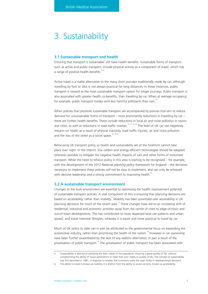# 3. Sustainability

#### **3.1 Sustainable transport and health**

Ensuring that transport is sustainable<sup>®</sup> will have health benefits. Sustainable forms of transport, such as active and public transport, include physical activity as a component of travel, which has a range of positive health benefits. $3-22$ 

Active travel is a viable alternative to the many short journeys traditionally made by car; although travelling by foot or bike is not always practical for long distances. In these instances, public transport is viewed as the most sustainable transport option for longer journeys. Public transport is also associated with greater health co-benefits, than travelling by car. When at average occupancy, for example, public transport modes emit less harmful pollutants than cars.<sup>23</sup>

When policies that promote sustainable transport are accompanied by policies that aim to reduce demand for unsustainable forms of transport – most prominently reductions in travelling by car – there are further health benefits. These include reductions in local air and noise pollution in towns and cities, as well as reductions in road traffic crashes.<sup>16, 17, 19, 24</sup> The level of UK car use negatively impacts on health as a result of physical inactivity, road traffic injuries, air and noise pollution, and the loss of the street as a social space.<sup>16, 25-31</sup>

Refocusing UK transport policy so health and sustainability are at the forefront cannot take place over night. In the interim, low carbon and energy efficient technologies should be adopted wherever possible to mitigate the negative health impacts of cars and other forms of motorised transport. While the need to refocus policy in this area is starting to be recognised – for example, with the development of the 2012 *National planning policy framework* for England – the decisions necessary to implement these policies will not be easy to implement, and can only be achieved with decisive leadership and a strong commitment to improving health.<sup>32</sup>

#### **3.2 A sustainable transport environment**

Changes to the built environment are essential to optimising the health improvement potential of sustainable transport policies. A vital component of this is ensuring that planning decisions are based on accessibility, rather than mobility.<sup>b</sup> Mobility has been prioritised over accessibility in UK planning decisions for much of the recent past.<sup>16</sup> These changes have led to an increasing shift of residential, industrial and economic activities away from the centre of cities to edge-of-town and out-of-town developments. This has contributed to more dispersed land use patterns and urban sprawl, and travel intensive lifestyles, whereby it is easier and more practical to travel by car.

Much of UK policy to date can in part be attributed to the governmental focus on expanding the automotive industry, rather than prioritising the health of the nation.<sup>16</sup> Increases in car ownership have been further exacerbated by the lack of any realistic alternative; in part a result of the privatisation of public transport.<sup>16</sup> The privatisation of public transport has been associated with

Sustainability is defined as satisfying the basic needs of the population, ensuring a good quality of life, without compromising the ability of future generations to meet their own needs or quality of life. The concept of sustainability was first described in 1987, in response to anxiety that economics were the main factor in developmental decisions.

b The ability to travel is known as mobility. It is distinct from the ability to access services, known as accessibility.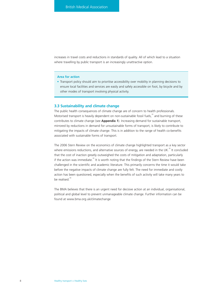increases in travel costs and reductions in standards of quality. All of which lead to a situation where travelling by public transport is an increasingly unattractive option.

#### **Area for action**

• Transport policy should aim to prioritise accessibility over mobility in planning decisions to ensure local facilities and services are easily and safely accessible on foot, by bicycle and by other modes of transport involving physical activity.

# **3.3 Sustainability and climate change**

The public health consequences of climate change are of concern to health professionals. Motorised transport is heavily dependent on non-sustainable fossil fuels,<sup>33</sup> and burning of these contributes to climate change (see **Appendix 1**). Increasing demand for sustainable transport, mirrored by reductions in demand for unsustainable forms of transport, is likely to contribute to mitigating the impacts of climate change. This is in addition to the range of health co-benefits associated with sustainable forms of transport.

The 2006 Stern Review on the economics of climate change highlighted transport as a key sector where emissions reductions, and alternative sources of energy, are needed in the UK.<sup>32</sup> It concluded that the cost of inaction greatly outweighed the costs of mitigation and adaptation, particularly if the action was immediate.<sup>32</sup> It is worth noting that the findings of the Stern Review have been challenged in the scientific and academic literature. This primarily concerns the time it would take before the negative impacts of climate change are fully felt. The need for immediate and costly action has been questioned, especially when the benefits of such activity will take many years to be realised. $34$ 

The BMA believes that there is an urgent need for decisive action at an individual, organisational, political and global level to prevent unmanageable climate change. Further information can be found at www.bma.org.uk/climatechange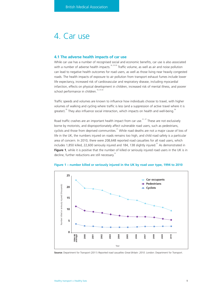# 4. Car use

## **4.1 The adverse health impacts of car use**

While car use has a number of recognised social and economic benefits, car use is also associated with a number of adverse health impacts.<sup>16, 25-30</sup> Traffic volume, as well as air and noise pollution can lead to negative health outcomes for road users, as well as those living near heavily congested roads. The health impacts of exposure to air pollution from transport exhaust fumes include lower life expectancy, increased risk of cardiovascular and respiratory disease, including myocardial infarction, effects on physical development in children, increased risk of mental illness, and poorer school performance in children.<sup>16, 25-30</sup>

Traffic speeds and volumes are known to influence how individuals choose to travel, with higher volumes of walking and cycling where traffic is less (and a suppression of active travel where it is greater).<sup>35</sup> They also influence social interaction, which impacts on health and well-being.<sup>36</sup>

Road traffic crashes are an important health impact from car use.<sup>31, 37</sup> These are not exclusively borne by motorists, and disproportionately affect vulnerable road users, such as pedestrians, cyclists and those from deprived communities.<sup>31</sup> While road deaths are not a major cause of loss of life in the UK, the numbers injured on roads remains too high, and child road safety is a particular area of concern. In 2010, there were 208,648 reported road casualties for all road users, which includes 1,850 killed, 22,600 seriously injured and 184, 138 slightly injured.<sup>31</sup> As demonstrated in Figure 1, while it is positive that the number of killed or seriously injured road users in the UK is in decline, further reductions are still necessary.<sup>31</sup>



**Figure 1 – number killed or seriously injured in the UK by road user type, 1994 to 2010**

**Source:** Department for Transport (2011) *Reported road casualties Great Britain: 2010*. London: Department for Transport.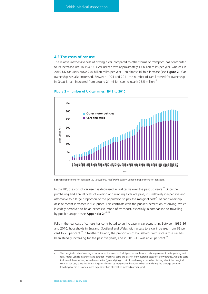# **4.2 The costs of car use**

The relative inexpensiveness of driving a car, compared to other forms of transport, has contributed to its increased use. In 1949, UK car users drove approximately 13 billion miles per year, whereas in 2010 UK car users drove 240 billion miles per year – an almost 16-fold increase (see **Figure 2**). Car ownership has also increased. Between 1994 and 2011 the number of cars licensed for ownership in Great Britain increased from around 21 million cars to nearly 28.5 million.<sup>38</sup>





**Source:** Department for Transport (2012) *National road traffic survey*. London: Department for Transport.

In the UK, the cost of car use has decreased in real terms over the past 30 years.<sup>39</sup> Once the purchasing and annual costs of owning and running a car are paid, it is relatively inexpensive and affordable to a large proportion of the population to pay the marginal costs of car ownership, despite recent increases in fuel prices. This contrasts with the public's perception of driving, which is widely perceived to be an expensive mode of transport, especially in comparison to travelling by public transport (see **Appendix 2**).<sup>40, 41</sup>

Falls in the real cost of car use has contributed to an increase in car ownership. Between 1985-86 and 2010, households in England, Scotland and Wales with access to a car increased from 62 per cent to 75 per cent.<sup>42</sup> In Northern Ireland, the proportion of households with access to a car has been steadily increasing for the past five years, and in 2010-11 was at 78 per cent.<sup>43</sup>

c The marginal costs of owning a car includes the costs of fuel, tyres, service labour costs, replacement parts, parking and tolls, motor vehicle insurance and taxation. Marginal costs are distinct from average costs of car ownership. Average costs include all these values, as well as an initial (generally) high cost of purchasing a car. When talking about the marginal costs of car use, travelling by car is generally seen as inexpensive, however, when considering the average prices or travelling by car, it is often more expensive than alternative methods of transport.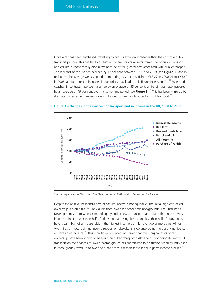Once a car has been purchased, travelling by car is substantially cheaper than the cost of a public transport journey. This has led to a situation where, for car owners, mixed use of public transport and car use is economically prohibitive because of the greater cost associated with public transport. The real cost of car use has declined by 17 per cent between 1980 and 2009 (see **Figure 3**), and in real terms the average weekly spend on motoring has decreased from £68.27 in 2000-01 to £63.60 in 2008, although recent increases in fuel prices may lead to this figure increasing.<sup>39, 44, 45</sup> Buses and coaches, in contrast, have seen fares rise by an average of 55 per cent, while rail fares have increased by an average of 49 per cent over the same time period (see **Figure 3**).44 This has been mirrored by dramatic increases in numbers travelling by car, not seen with other forms of transport.<sup>46</sup>



**Figure 3 – changes in the real cost of transport and in income in the UK, 1980 to 2009**

**Source:** Department for Transport (2010) *Transport trends: 2009*. London: Department for Transport.

Despite the relative inexpensiveness of car use, access is not equitable. The initial high cost of car ownership is prohibitive for individuals from lower socioeconomic backgrounds. The Sustainable Development Commission examined equity and access to transport, and found that in the lowest income quintile, fewer than half of adults hold a driving licence and less than half of households have a car. $47$  Half of all households in the highest income quintile have two or more cars. Almost two thirds of those claiming income support or jobseeker's allowance do not hold a driving licence or have access to a car.<sup>47</sup> This is particularly concerning, given that the marginal costs of car ownership have been shown to be less than public transport costs. The disproportionate impact of transport on the finances of lower income groups has contributed to a situation whereby individuals in these groups travel up to two and a half times less than those in the highest income bracket.<sup>47</sup>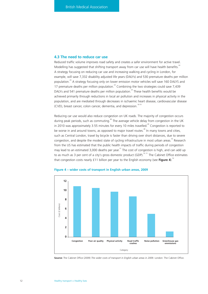# **4.3 The need to reduce car use**

Reduced traffic volume improves road safety and creates a safer environment for active travel. Modelling has suggested that shifting transport away from car use will have health benefits.<sup>24</sup> A strategy focusing on reducing car use and increasing walking and cycling in London, for example, will save 7,332 disability adjusted life years (DALYs) and 530 premature deaths per million population.<sup>24</sup> A strategy focusing only on lower emission motor vehicles will save 160 DALYS and 17 premature deaths per million population.<sup>24</sup> Combining the two strategies could save 7,439 DALYs and 541 premature deaths per million population.<sup>24</sup> These health benefits would be achieved primarily through reductions in local air pollution and increases in physical activity in the population, and are mediated through decreases in ischaemic heart disease, cardiovascular disease (CVD), breast cancer, colon cancer, dementia, and depression.<sup>16-19</sup>

Reducing car use would also reduce congestion on UK roads. The majority of congestion occurs during peak periods, such as commuting.<sup>48</sup> The average vehicle delay from congestion in the UK in 2010 was approximately 3.55 minutes for every 10 miles travelled.<sup>49</sup> Congestion is reported to be worse in and around towns, as opposed to major travel routes.<sup>48</sup> In many towns and cities, such as Central London, travel by bicycle is faster than driving over short distances, due to severe congestion, and despite the modest state of cycling infrastructure in most urban areas.<sup>50</sup> Research from the US has estimated that the public health impacts of traffic during periods of congestion may lead to an estimated 3,000 deaths per year.<sup>51</sup> The cost of congestion is high, and can add up to as much as 3 per cent of a city's gross domestic product (GDP).<sup>33, 51</sup> The Cabinet Office estimates that congestion costs nearly £11 billion per year to the English economy (see **Figure 4**).<sup>52</sup>



#### **Figure 4 – wider costs of transport in English urban areas, 2009**

**Source:** The Cabinet Office (2009) *The wider costs of transport in English urban areas in 2009.* London: The Cabinet Office.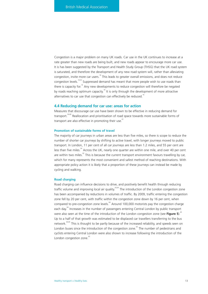Congestion is a major problem on many UK roads. Car use in the UK continues to increase at a rate greater than new roads are being built, and new roads appear to encourage more car use. It is has been suggested by the Transport and Health Study Group (THSG) that the UK road system is saturated, and therefore the development of any new road system will, rather than alleviating congestion, invite more car users.<sup>16</sup> This leads to greater overall emissions, and does not reduce congestion levels.<sup>16,53</sup> Suppressed demand has meant that more people wish to use roads than there is capacity for.<sup>16</sup> Any new developments to reduce congestion will therefore be negated by roads reaching optimum capacity.<sup>16</sup> It is only through the development of more attractive alternatives to car use that congestion can effectively be reduced.<sup>16</sup>

#### **4.4 Reducing demand for car use: areas for action**

Measures that discourage car use have been shown to be effective in reducing demand for transport.<sup>54-60</sup> Reallocation and prioritisation of road space towards more sustainable forms of transport are also effective in promoting their use.<sup>61</sup>

#### **Promotion of sustainable forms of travel**

The majority of car journeys in urban areas are less than five miles, so there is scope to reduce the number of shorter car journeys by shifting to active travel, with longer journeys moved to public transport. In London, 11 per cent of all car journeys are less than 1.2 miles, and 55 per cent are less than five miles.<sup>24</sup> Across the UK, nearly one quarter are within one mile, and over 40 per cent are within two miles.<sup>62</sup> This is because the current transport environment favours travelling by car, which for many represents the most convenient and safest method of reaching destinations. With appropriate policy action it is likely that a proportion of these journeys can instead be made by cycling and walking.

#### **Road charging**

Road charging can influence decisions to drive, and positively benefit health through reducing traffic volume and improving local air quality.<sup>63,64</sup> The introduction of the London congestion zone has been accompanied by reductions in volumes of traffic. By 2009, traffic entering the congestion zone fell by 20 per cent, with traffic within the congestion zone down by 16 per cent, when compared to pre-congestion zone levels. $^{64}$  Around 100,000 motorists pay the congestion charge each day.<sup>64</sup> Increases in the number of passengers entering Central London by public transport were also seen at the time of the introduction of the London congestion zone (see **Figure 5**).<sup>65</sup> Up to a half of that growth was estimated to be displaced car travellers transferring to the bus network.<sup>64,65</sup> This is thought to be partly because of the increased reliability, and speeds seen on London buses since the introduction of the congestion zone. $64$  The number of pedestrians and cyclists entering Central London were also shown to increase following the introduction of the London congestion zone.<sup>65</sup>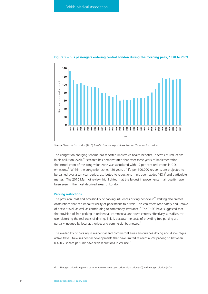

# **Figure 5 – bus passengers entering central London during the morning peak, 1978 to 2009**

**Source:** Transport for London (2010) *Travel in London: report three*. London: Transport for London.

The congestion charging scheme has reported impressive health benefits, in terms of reductions in air pollution levels.<sup>63</sup> Research has demonstrated that after three years of implementation, the introduction of the congestion zone was associated with 19 per cent reductions in  $CO<sub>2</sub>$ emissions.<sup>64</sup> Within the congestion zone, 420 years of life per 100,000 residents are projected to be gained over a ten year period, attributed to reductions in nitrogen oxides (NOx)<sup>d</sup> and particulate matter.<sup>64</sup> The 2010 Marmot review, highlighted that the largest improvements in air quality have been seen in the most deprived areas of London.<sup>2</sup>

#### **Parking restrictions**

The provision, cost and accessibility of parking influences driving behaviour.<sup>66</sup> Parking also creates obstructions that can impair visibility of pedestrians to drivers. This can affect road safety and uptake of active travel, as well as contributing to community severance.<sup>54</sup> The THSG have suggested that the provision of free parking in residential, commercial and town centres effectively subsidises car use, distorting the real costs of driving. This is because the costs of providing free parking are partially incurred by local authorities and commercial businesses.<sup>54</sup>

The availability of parking in residential and commercial areas encourages driving and discourages active travel. New residential developments that have limited residential car parking to between 0.4–0.7 spaces per unit have seen reductions in car use.<sup>55</sup>

d Nitrogen oxide is a generic term for the mono-nitrogen oxides nitric oxide (NO) and nitrogen dioxide (NO2).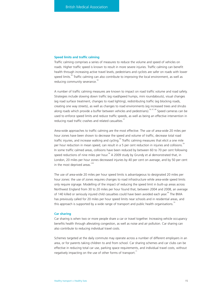#### **Speed limits and traffic calming**

Traffic calming comprises a series of measures to reduce the volume and speed of vehicles on roads. Higher traffic speed is known to result in more severe injuries. Traffic calming can benefit health through increasing active travel levels, pedestrians and cyclists are safer on roads with lower speed limits.<sup>56</sup> Traffic calming can also contribute to improving the local environment, as well as reducing community severance.<sup>56</sup>

A number of traffic calming measures are known to impact on road traffic volume and road safety. Strategies include slowing down traffic (eg road/speed humps, mini roundabouts), visual changes (eg road surface treatment, changes to road lighting), redistributing traffic (eg blocking roads, creating one way streets), as well as changes to road environments (eg increased trees and shrubs along roads which provide a buffer between vehicles and pedestrians).<sup>56, 67, 68</sup> Speed cameras can be used to enforce speed limits and reduce traffic speeds, as well as being an effective intervention in reducing road traffic crashes and related casualties.<sup>57</sup>

Area-wide approaches to traffic calming are the most effective. The use of area-wide 20 miles per hour zones have been shown to decrease the speed and volume of traffic, decrease total road traffic injuries, and increase walking and cycling.<sup>60</sup> Traffic calming measures that elicit a one mile per hour reduction in mean speed, can result in a 5 per cent reduction in injuries and collisions. In some traffic calmed areas, collisions have been reduced by between 60 to 70 per cent following speed reductions of nine miles per hour.<sup>56</sup> A 2009 study by Grundy et al demonstrated that, in London, 20 miles per hour zones decreased injuries by 40 per cent on average, and by 50 per cent in the most deprived areas.<sup>2,60</sup>

The use of area-wide 20 miles per hour speed limits is advantageous to designated 20 miles per hour zones: the use of zones requires changes to road infrastructure while area-wide speed limits only require signage. Modelling of the impact of reducing the speed limit in built-up areas across Northwest England from 30 to 20 miles per hour found that, between 2004 and 2008, an average of 140 killed or seriously injured child casualties could have been avoided each year.<sup>69</sup> The BMA has previously called for 20 miles per hour speed limits near schools and in residential areas, and this approach is supported by a wide range of transport and public health organisations.<sup>7</sup>

#### **Car sharing**

Car sharing is when two or more people share a car or travel together. Increasing vehicle occupancy benefits health through alleviating congestion, as well as noise and air pollution. Car sharing can also contribute to reducing individual travel costs.

Schemes targeted at the daily commute may operate across a number of different employers in an area, or for parents taking children to and from school. Car sharing schemes and car clubs can be effective in reducing total car use, parking space requirements, and individual travel costs, without negatively impacting on the use of other forms of transport. $71$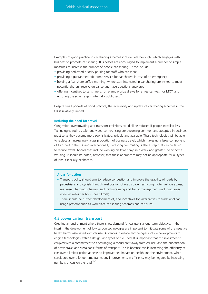Examples of good practice in car sharing schemes include Peterborough, which engages with business to promote car sharing. Businesses are encouraged to implement a number of simple measures to increase the number of people car sharing. These include:

- providing dedicated priority parking for staff who car share
- providing a guaranteed ride home service for car sharers in case of an emergency
- holding a 'car share coffee morning' where staff interested in car sharing are invited to meet potential sharers, receive guidance and have questions answered
- offering incentives to car sharers, for example prize draws for a free car wash or MOT, and ensuring the scheme gets internally publicised.<sup>7</sup>

Despite small pockets of good practice, the availability and uptake of car sharing schemes in the UK is relatively limited.

#### **Reducing the need for travel**

Congestion, overcrowding and transport emissions could all be reduced if people travelled less. Technologies such as tele- and video-conferencing are becoming common and accepted in business practice as they become more sophisticated, reliable and available. These technologies will be able to replace an increasingly larger proportion of business travel, which makes up a large component of transport in the UK and internationally. Reducing commuting is also a step that can be taken to reduce travel. Approaches include working on fewer days in a week and greater use of home working. It should be noted, however, that these approaches may not be appropriate for all types of jobs, especially healthcare.

### **Areas for action**

- Transport policy should aim to reduce congestion and improve the usability of roads by pedestrians and cyclists through reallocation of road space, restricting motor vehicle access, road-user charging schemes, and traffic-calming and traffic management (including areawide 20 miles per hour speed limits).
- There should be further development of, and incentives for, alternatives to traditional car usage patterns such as workplace car sharing schemes and car clubs.

#### **4.5 Lower carbon transport**

Creating an environment where there is less demand for car use is a long-term objective. In the interim, the development of low carbon technologies are important to mitigate some of the negative health harms associated with car use. Advances in vehicle technologies include developments to engine technologies, vehicle design, and types of fuel used. It is important that this investment is coupled with a commitment to encouraging a modal shift away from car use, and the prioritisation of active travel and sustainable forms of transport. This is because, while increasing the efficiency of cars over a limited period appears to improve their impact on health and the environment, when considered over a longer time frame, any improvements in efficiency may be negated by increasing numbers of cars on the road  $\frac{73,74}{2}$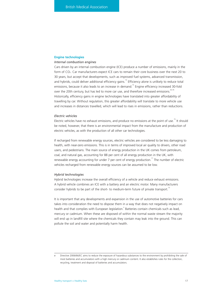### **Engine technologies**

#### *Internal combustion engines*

Cars driven by an internal combustion engine (ICE) produce a number of emissions, mainly in the form of CO2. Car manufacturers expect ICE cars to remain their core business over the next 20 to 30 years, but accept that developments, such as improved fuel systems, advanced transmission, and hybrids, could deliver additional efficiency gains.<sup>73</sup> Efficiency alone is unlikely to reduce total emissions, because it also leads to an increase in demand.<sup>75</sup> Engine efficiency increased 30-fold over the 20th century, but has led to more car use, and therefore increased emissions.  $63,76$ Historically, efficiency gains in engine technologies have translated into greater affordability of travelling by car. Without regulation, this greater affordability will translate to more vehicle use and increases in distances travelled, which will lead to rises in emissions, rather than reductions.

#### *Electric vehicles*

Electric vehicles have no exhaust emissions, and produce no emissions at the point of use.<sup>75</sup> It should be noted, however, that there is an environmental impact from the manufacture and production of electric vehicles, as with the production of all other car technologies.

If recharged from renewable energy sources, electric vehicles are considered to be less damaging to health, with near-zero emissions. This is in terms of improved local air quality to drivers, other road users, and pedestrians. The main source of energy production in the UK comes from petroleum, coal, and natural gas, accounting for 88 per cent of all energy production in the UK, with renewable energy accounting for under  $7$  per cent of energy production.<sup>77</sup> The number of electric vehicles recharged from renewable energy sources can be assumed to be low.

### *Hybrid technologies*

Hybrid technologies increase the overall efficiency of a vehicle and reduce exhaust emissions. A hybrid vehicle combines an ICE with a battery and an electric motor. Many manufacturers consider hybrids to be part of the short- to medium-term future of private transport.<sup>73</sup>

It is important that any developments and expansion in the use of automotive batteries for cars takes into consideration the need to dispose them in a way that does not negatively impact on health and that complies with European legislation. Batteries contain chemicals such as lead, mercury or cadmium. When these are disposed of within the normal waste stream the majority will end up in landfill site where the chemicals they contain may leak into the ground. This can pollute the soil and water and potentially harm health.

Directive 2006/66/EC aims to reduce the exposure of hazardous substances to the environment by prohibiting the sale of most batteries and accumulators with a high mercury or cadmium content. It also establishes rules for the collection, recycling, treatment and disposal of batteries and accumulators.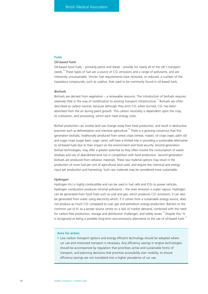### **Fuels**

# *Oil-based fuels*

Oil-based fossil fuels – primarily petrol and diesel – provide for nearly all of the UK's transport needs.<sup>78</sup> These types of fuel are a source of  $CO<sub>2</sub>$  emissions and a range of pollutants, and are inherently unsustainable. Stricter fuel requirements have removed, or reduced, a number of the hazardous compounds, such as sulphur, that used to be commonly found in oil-based fuels.

#### *Biofuels*

Biofuels are derived from vegetation – a renewable resource. The introduction of biofuels requires relatively little in the way of modification to existing transport infrastructure.<sup>73</sup> Biofuels are often described as carbon neutral, because although they emit  $CO<sub>2</sub>$  when burned,  $CO<sub>2</sub>$  has been absorbed from the air during plant growth. This carbon neutrality is dependent upon the crop, its cultivation, and processing, which each have energy costs.

Biofuel production can involve land use change away from food production, and result in destructive practices such as deforestation and intensive agriculture.<sup>79</sup> There is a growing consensus that first generation biofuels, traditionally produced from cereal crops (wheat, maize), oil crops (rape, palm oil) and sugar crops (sugar beet, sugar cane), will have a limited role in providing a sustainable alternative to oil-based fuels due to their impact on the environment and food security. Second generation biofuel technologies, may offer a greater potential as they often involve the consumption of waste residues and use of abandoned land not in competition with food production. Second generation biofuels are produced from cellulosic materials. These raw material options may result in the production of more fuel per unit of agricultural land used, and require less chemical and energy input per production and harvesting. Such raw materials may be considered more sustainable.

#### *Hydrogen*

Hydrogen (H2) is highly combustible and can be used in fuel cells and ICEs to power vehicles. Hydrogen combustion produces minimal pollutants – the main emission is water vapour. Hydrogen can be generated from fossil fuels such as coal and gas, which produces  $CO<sub>2</sub>$  emissions. It can also be generated from water using electricity which, if it comes from a sustainable energy source, does not produce as much CO<sub>2</sub> compared to coal, gas and petroleum energy production. Barriers to the common use of H2 as a power source centre on a lack of market demand, combined with the need for carbon-free production, storage and distribution challenges, and safety issues.<sup>73</sup> Despite this, H<sub>2</sub> is recognised as being a possible long-term zero-emissions alternative to the use of oil-based fuels.

#### **Area for action**

• Low carbon transport options and energy efficient technology should be adopted where car use and motorised transport is necessary. Any efficiency savings in engine technologies should be accompanied by regulation that prioritises active and sustainable forms of transport, and planning decisions that prioritise accessibility over mobility, to ensure efficiency savings are not translated into a higher prevalence of car use.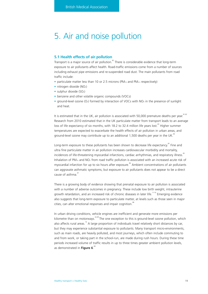# 5. Air and noise pollution

# **5.1 Health effects of air pollution**

Transport is a major source of air pollution.<sup>80</sup> There is considerable evidence that long-term exposure to air pollutants affect health. Road-traffic emissions come from a number of sources including exhaust pipe emissions and re-suspended road dust. The main pollutants from road traffic include:

- particulate matter less than 10 or 2.5 microns (PM<sub>10</sub> and PM<sub>2.5</sub> respectively)
- nitrogen dioxide (NO<sub>2</sub>)
- sulphur dioxide (SO<sub>2</sub>)
- benzene and other volatile organic compounds (VOCs)
- ground-level ozone  $(O_3)$  formed by interaction of VOCs with NO<sub>x</sub> in the presence of sunlight and heat.

It is estimated that in the UK, air pollution is associated with 50,000 premature deaths per year.  $81,82$ Research from 2010 estimated that in the UK particulate matter from transport leads to an average loss of life expectancy of six months, with 18.2 to 32.4 million life years lost.<sup>83</sup> Higher summer temperatures are expected to exacerbate the health effects of air pollution in urban areas, and ground-level ozone may contribute up to an additional 1,500 deaths per year in the UK.<sup>84</sup>

Long-term exposure to these pollutants has been shown to decrease life expectancy.<sup>85</sup> Fine and ultra fine particulate matter in air pollution increases cardiovascular morbidity and mortality, incidences of life-threatening myocardial infarctions, cardiac arrhythmias, and respiratory illness.<sup>85</sup> Inhalation of  $PM_{10}$  and  $NO_2$  from road traffic pollution is associated with an increased acute risk of myocardial infarction for up to six hours after exposure.<sup>86</sup> Ambient concentrations of air pollutants can aggravate asthmatic symptoms, but exposure to air pollutants does not appear to be a direct cause of asthma.<sup>87</sup>

There is a growing body of evidence showing that prenatal exposure to air pollution is associated with a number of adverse outcomes in pregnancy. These include low birth weight, intrauterine growth retardation, and an increased risk of chronic diseases in later life.<sup>11-16</sup> Emerging evidence also suggests that long-term exposure to particulate matter, at levels such as those seen in major cities, can alter emotional responses and impair cognition.<sup>8</sup>

In urban driving conditions, vehicle engines are inefficient and generate more emissions per kilometre than on motorways.<sup>62,89</sup> The one exception to this is ground-level ozone pollution, which also affects rural areas.<sup>16</sup> A large proportion of individuals travel relatively short distances by car, but they may experience substantial exposure to pollutants. Many transport micro-environments, such as main roads, are heavily polluted, and most journeys, which often include commuting to and from work, or taking part in the school-run, are made during rush hours. During these time periods increased volume of traffic results in up to three times greater ambient pollution levels, as demonstrated in **Figure 6**. 89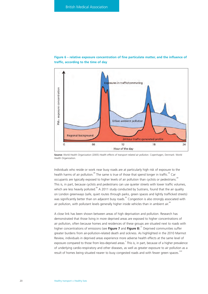

**Figure 6 – relative exposure concentration of fine particulate matter, and the influence of traffic, according to the time of day**

**Source:** World Health Organization (2005) *Health effects of transport related air pollution*. Copenhagen, Denmark: World

Individuals who reside or work near busy roads are at particularly high risk of exposure to the health harms of air pollution.<sup>89</sup> The same is true of those that spend longer in traffic.<sup>89</sup> Car occupants are typically exposed to higher levels of air pollution than cyclists or pedestrians.<sup>89</sup> This is, in part, because cyclists and pedestrians can use quieter streets with lower traffic volumes, which are less heavily polluted.<sup>89</sup> A 2011 study conducted by Sustrans, found that the air quality on London greenways (safe, quiet routes through parks, green spaces and lightly trafficked streets) was significantly better than on adjacent busy roads.<sup>90</sup> Congestion is also strongly associated with air pollution, with pollutant levels generally higher inside vehicles than in ambient air.<sup>85</sup>

A close link has been shown between areas of high deprivation and pollution. Research has demonstrated that those living in more deprived areas are exposed to higher concentrations of air pollution, often because homes and residences of these groups are situated next to roads with higher concentrations of emissions (see **Figure 7** and **Figure 8**).<sup>91</sup> Deprived communities suffer greater burdens from air-pollution-related death and sickness. As highlighted in the 2010 Marmot Review, individuals in deprived areas experience more adverse health effects at the same level of exposure compared to those from less-deprived areas.<sup>2</sup> This is, in part, because of a higher prevalence of underlying cardio-respiratory and other diseases, as well as greater exposure to air pollution as a result of homes being situated nearer to busy congested roads and with fewer green spaces.<sup>2,82</sup>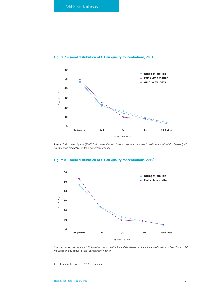

# **Figure 7 – social distribution of UK air quality concentrations, 2001**

**Source:** Environment Agency (2003) *Environmental quality & social deprivation – phase II: national analysis of flood hazard, IPC industries and air quality*. Bristol: Environment Agency.



# Figure 8 - social distribution of UK air quality concentrations, 2010<sup>f</sup>

**Source:** Environment Agency (2003) *Environmental quality & social deprivation – phase II: national analysis of flood hazard, IPC industries and air quality*. Bristol: Environment Agency.

f Please note, levels for 2010 are estimates.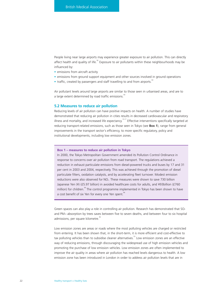People living near large airports may experience greater exposure to air pollution. This can directly affect health and quality of life. $^{92}$  Exposure to air pollutants within these neighbourhoods may be influenced by:

- emissions from aircraft activity
- emissions from ground support equipment and other sources involved in ground operations
- traffic, created by passengers and staff travelling to and from airports.

Air pollutant levels around large airports are similar to those seen in urbanised areas, and are to a large extent determined by road traffic emissions.<sup>3</sup>

#### **5.2 Measures to reduce air pollution**

Reducing levels of air pollution can have positive impacts on health. A number of studies have demonstrated that reducing air pollution in cities results in decreased cardiovascular and respiratory illness and mortality, and increased life expectancy.<sup>15-17</sup> Effective interventions specifically targeted at reducing transport-related emissions, such as those seen in Tokyo (see **Box 1**), range from general improvements in the transport sector's efficiency, to more specific regulatory, policy and institutional developments, including low emission zones.

#### **Box 1 – measures to reduce air pollution in Tokyo**

In 2000, the Tokyo Metropolitan Government amended its Pollution Control Ordinance in response to concerns over air pollution from road transport. The regulations achieved a reduction in exhaust particulate emissions from diesel-powered trucks and buses by 17 and 31 per cent in 2003 and 2004, respectively. This was achieved through the promotion of diesel particulate filters, oxidation catalysts, and by accelerating fleet turnover. Modest emission reductions were also observed for NOx. These measures were shown to save 730 billion Japanese Yen (¥) (£5.97 billion) in avoided healthcare costs for adults, and ¥93billion (£760 million) for children.<sup>94</sup> The control programme implemented in Tokyo has been shown to have a cost benefit of six Yen for every one Yen spent.<sup>9</sup>

Green spaces can also play a role in controlling air pollution. Research has demonstrated that  $SO<sub>2</sub>$ and PM10 absorption by trees saves between five to seven deaths, and between four to six hospital admissions, per square kilometre.

Low emission zones are areas or roads where the most polluting vehicles are charged or restricted from entering. It has been shown that, in the short-term, it is more efficient and cost-effective to tax polluting vehicles than to subsidise cleaner alternatives.<sup>53</sup> Low emission zones are an effective way of reducing emissions, through discouraging the widespread use of high emission vehicles and promoting the purchase of low emission vehicles. Low emission zones are often implemented to improve the air quality in areas where air pollution has reached levels dangerous to health. A low emission zone has been introduced in London in order to address air pollution levels that are in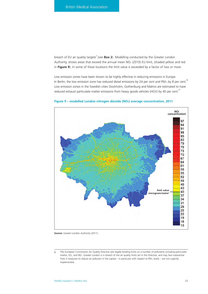breach of EU air quality targets<sup>9</sup> (see **Box 2**). Modelling conducted by the Greater London Authority, shows areas that exceed the annual mean NO<sub>2</sub> (2010) EU limit, (shaded yellow and red in **Figure 9**). In some of these locations the limit value is exceeded by a factor of two or more.

Low emission zones have been shown to be highly effective in reducing emissions in Europe. In Berlin, the low emission zone has reduced diesel emissions by 24 per cent and PM10 by 8 per cent.<sup>96</sup> Low emission zones in the Swedish cities Stockholm, Gothenburg and Malmo are estimated to have reduced exhaust particulate matter emissions from heavy goods vehicles (HGV) by 40 per cent.<sup>97</sup>



**Figure 9 – modelled London nitrogen dioxide (NO2) average concentration, 2011**

**Source:** Greater London Authority (2011).

g The European Commission Air Quality Directive sets legally binding limits on a number of pollutants including particulate matter, SO<sub>2</sub>, and NO<sub>5</sub>. Greater London is in breach of the air quality limits set in the Directive, and may face substantial fines if measures to reduce air pollution in the capital – in particular with respect to PM<sub>10</sub> levels – are not urgently implemented.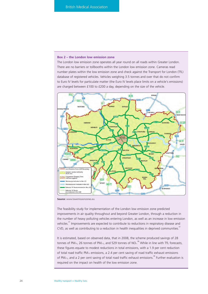#### **Box 2 – the London low emission zone**

The London low emission zone operates all year round on all roads within Greater London. There are no barriers or tollbooths within the London low emission zone. Cameras read number plates within the low emission zone and check against the Transport for London (TfL) database of registered vehicles. Vehicles weighing 3.5 tonnes and over that do not confirm to Euro IV levels for particulate matter (the Euro IV levels place limits on a vehicle's emissions) are charged between £100 to £200 a day, depending on the size of the vehicle.



**Source:** www.lowemissionzones.eu

The feasibility study for implementation of the London low emission zone predicted improvements in air quality throughout and beyond Greater London, through a reduction in the number of heavy polluting vehicles entering London, as well as an increase in low emission vehicles.<sup>97</sup> Improvements are expected to contribute to reductions in respiratory disease and CVD, as well as contributing to a reduction in health inequalities in deprived communities. $\overline{S}$ 

It is estimated, based on observed data, that in 2008, the scheme produced savings of 28 tonnes of PM<sub>10</sub>, 26 tonnes of PM<sub>2.5</sub>, and 529 tonnes of NO<sub>x.</sub><sup>98</sup> While in line with TfL forecasts, these figures equate to modest reductions in total emissions, with a 1.9 per cent reduction of total road traffic PM10 emissions, a 2.4 per cent saving of road traffic exhaust emissions of PM<sub>2.5</sub>, and a 2 per cent saving of total road traffic exhaust emissions.<sup>38</sup> Further evaluation is required on the impact on health of the low emission zone.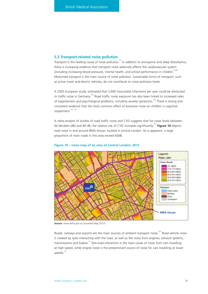# **5.3 Transport-related noise pollution**

Transport is the leading cause of noise pollution.<sup>47</sup> In addition to annoyance and sleep disturbance, there is increasing evidence that transport noise adversely affects the cardiovascular system (including increasing blood pressure), mental health, and school performance in children.<sup>30,99</sup> Motorised transport is the main source of noise pollution. Sustainable forms of transport, such as active travel and electric vehicles, do not contribute to noise pollution levels.

A 2005 European study, estimated that 3,900 myocardial infarctions per year could be attributed to traffic noise in Germany.<sup>100</sup> Road traffic noise exposure has also been linked to increased rates of hypertension and psychological problems, including anxiety symptoms.<sup>100</sup> There is strong and consistent evidence that the most common effect of excessive noise on children is cognitive impairment.<sup>101, 102</sup>

A meta-analysis of studies of road traffic noise and CVD suggests that for noise levels between 60 decibels (dB) and 80 dB, the relative risk of CVD increases significantly.103 **Figure 10** depicts road noise in and around BMA House, located in central London. As is apparent, a large proportion of main roads in this area exceed 60dB.



#### **Figure 10 – noise map of an area of Central London, 2012**

**Source:** www.defra.gov.uk (accessed May 2012)

Roads, railways and airports are the main sources of ambient transport noise.<sup>104</sup> Road vehicle noise is created by tyres interacting with the road, as well as the noise from engines, exhaust systems, transmissions and brakes.<sup>16</sup> Tyre-road interaction is the main cause of noise from cars travelling at high speed, while engine noise is the predominant source of noise for cars travelling at lower speeds.<sup>16</sup>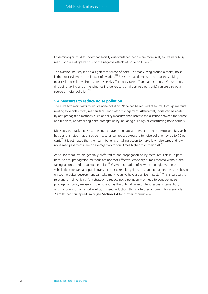Epidemiological studies show that socially disadvantaged people are more likely to live near busy roads, and are at greater risk of the negative effects of noise pollution.<sup>105</sup>

The aviation industry is also a significant source of noise. For many living around airports, noise is the most evident health impact of aviation.<sup>106</sup> Research has demonstrated that those living near civil and military airports are adversely affected by take off and landing noise. Ground noise (including taxiing aircraft, engine testing generators or airport-related traffic) can are also be a source of noise pollution.<sup>106</sup>

# **5.4 Measures to reduce noise pollution**

There are two main ways to reduce noise pollution. Noise can be reduced at source, through measures relating to vehicles, tyres, road surfaces and traffic management. Alternatively, noise can be abated by anti-propagation methods, such as policy measures that increase the distance between the source and recipient, or hampering noise propagation by insulating buildings or constructing noise barriers.

Measures that tackle noise at the source have the greatest potential to reduce exposure. Research has demonstrated that at source measures can reduce exposure to noise pollution by up to 70 per cent.<sup>107</sup> It is estimated that the health benefits of taking action to make low noise tyres and low noise road pavements, are on average two to four times higher than their cost.<sup>10</sup>

At source measures are generally preferred to anti-propagation policy measures. This is, in part, because anti-propagation methods are not cost-effective, especially if implemented without also taking action to reduce at source noise.<sup>108</sup> Given penetration of new technologies within the vehicle fleet for cars and public transport can take a long time, at source reduction measures based on technological development can take many years to have a positive impact.<sup>108</sup> This is particularly relevant for rail vehicles. Any strategy to reduce noise pollution may need to consider noise propagation policy measures, to ensure it has the optimal impact. The cheapest intervention, and the one with large co-benefits, is speed reduction: this is a further argument for area-wide 20 miles per hour speed limits (see **Section 4.4** for further information).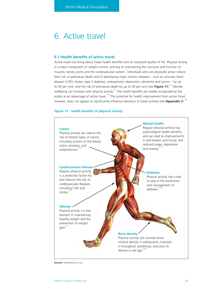# 6. Active travel

# **6.1 Health benefits of active travel**

Active travel can bring about major health benefits and an improved quality of life. Physical activity is a major component of weight control, and key to maintaining the structure and function of muscles, bones, joints and the cardiovascular system.<sup>3</sup> Individuals who are physically active reduce their risk of premature death and of developing major chronic diseases – such as coronary heart disease (CHD), stroke, type 2 diabetes, osteoporosis, depression, dementia and cancer – by up to 50 per cent, and the risk of premature death by up to 30 per cent (see Figure 11).<sup>4,5</sup> Mental wellbeing can increase with physical activity.<sup>6,7</sup> The health benefits are widely recognised by the public as an advantage of active travel.<sup>109</sup> The potential for health improvement from active travel, however, does not appear to significantly influence decisions to travel actively (see **Appendix 2**).<sup>109</sup>

# **Figure 11 – health benefits of physical activity**



**Source:** shutterstock.co.uk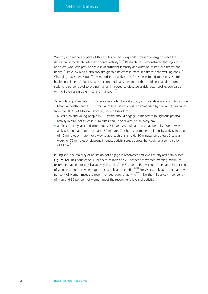Walking at a moderate pace of three miles per hour expends sufficient energy to meet the definition of moderate intensity physical activity.<sup>11, 110</sup> Research has demonstrated that cycling to and from work can provide exercise of sufficient intensity and duration to improve fitness and health.<sup>111</sup> Travel by bicycle also provides greater increases in measured fitness than walking does.<sup>112</sup> Changing travel behaviour (from motorised to active travel) has been found to be positive for health in children. A 2011 small scale longitudinal study, found that children changing from sedentary school travel to cycling had an improved cardiovascular risk factor profile, compared with children using other means of transport.<sup>113</sup>

Accumulating 30 minutes of moderate intensity physical activity on most days is enough to provide substantial health benefits. This minimum level of activity is recommended by the WHO. Guidance from the UK Chief Medical Officers (CMO) advises that:

- all children and young people (5 18 years) should engage in moderate to vigorous physical activity (MVPA) for at least 60 minutes and up to several hours every day
- adults (19–64 years) and older adults (65+ years) should aim to be active daily. Over a week, activity should add up to at least 150 minutes (2½ hours) of moderate intensity activity in bouts of 10 minutes or more – one way to approach this is to do 30 minutes on at least 5 days a week, or 75 minutes of vigorous intensity activity spread across the week, or a combination of MVPA<sup>11</sup>

In England, the majority of adults do not engage in recommended levels of physical activity (see **Figure 12**). This equates to 39 per cent of men and 29 per cent of women meeting minimum recommendations for physical activity in adults.<sup>114</sup> In Scotland, 45 per cent of men and 33 per cent of women are not active enough to have a health benefit.115, 116 For Wales, only 37 of men and 24 per cent of women meet the recommended levels of activity.<sup>117</sup> In Northern Ireland, 44 per cent of men and 35 per cent of women meet the recommend levels of activity.<sup>118</sup>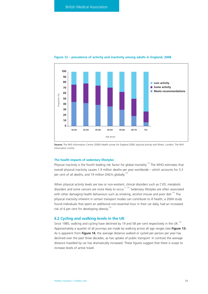

#### **Figure 12 – prevalence of activity and inactivity among adults in England, 2008**

**Source:** The NHS Information Centre (2009) *Health survey for England 2008: physical activity and fitness*. London: The NHS Information Centre.

#### **The health impacts of sedentary lifestyles**

Physical inactivity is the fourth leading risk factor for global mortality.<sup>119</sup> The WHO estimates that overall physical inactivity causes 1.9 million deaths per year worldwide – which accounts for 3.3 per cent of all deaths, and 19 million DAIYs globally<sup>120</sup>

When physical activity levels are low or non-existent, clinical disorders such as CVD, metabolic disorders and some cancers are more likely to occur.<sup>11, 121</sup> Sedentary lifestyles are often associated with other damaging health behaviours such as smoking, alcohol misuse and poor diet.<sup>122</sup> The physical inactivity inherent in certain transport modes can contribute to ill health; a 2004 study found individuals that spent an additional non-essential hour in their car daily, had an increased risk of 6 per cent for developing obesity.<sup>123</sup>

#### **6.2 Cycling and walking levels in the UK**

Since 1985, walking and cycling have declined by 19 and 58 per cent respectively in the UK.<sup>124</sup> Approximately a quarter of all journeys are made by walking across all age ranges (see **Figure 13**). As is apparent from **Figure 14**, the average distance walked or cycled per person per year has declined over the past three decades, as has uptake of public transport. In contrast the average distance travelled by car has dramatically increased. These figures suggest that there is scope to increase levels of active travel.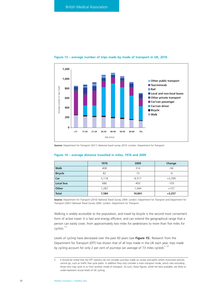

#### **Figure 13 – average number of trips made by mode of transport in UK, 2010**

**Source:** Department for Transport (2011) *National travel survey 2010*. London: Department for Transport.

# **Figure 14 – average distance travelled in miles, 1976 and 2009**

|                | 1976  | 2009   | Change   |
|----------------|-------|--------|----------|
| <b>Walk</b>    | 408   | 314    | $-94$    |
| <b>Bicycle</b> | 82    | 73     | -9       |
| Car            | 5,118 | 8,517  | $+3,399$ |
| Local bus      | 686   | 493    | $-193$   |
| Other          | 1,287 | 1,444  | $+157$   |
| Total          | 7,584 | 10,841 | $+3,257$ |

**Source:** Department for Transport (2010) *National Travel Survey 2009.* London: Department for Transport and Department for Transport (2001) *National Travel Survey 2000.* London: Department for Transport.

Walking is widely accessible to the population, and travel by bicycle is the second most convenient form of active travel. It is fast and energy efficient, and can extend the geographical range that a person can easily cover, from approximately two miles for pedestrians to more than five miles for cyclists.<sup>125</sup>

Levels of cycling have decreased over the past 60 years (see **Figure 15**). Research from the Department for Transport (DfT) has shown that of all trips made in the UK each year, trips made by cycling account for only 2 per cent of journeys (an average of 73 miles cycled). $h$ , 126

h It should be noted that the DfT statistics do not consider journeys made on routes and paths where motorised vehicles cannot go, such as traffic free cycle paths. In addition they only consider a main transport mode, which risks excluding those who may cycle to or from another mode of transport. As such, these figures, while the best available, are likely to under-represent actual levels of UK cycling.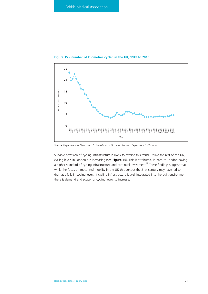

**Figure 15 – number of kilometres cycled in the UK, 1949 to 2010**

**Source**: Department for Transport (2012) *National traffic survey.* London: Department for Transport.

Suitable provision of cycling infrastructure is likely to reverse this trend. Unlike the rest of the UK, cycling levels in London are increasing (see **Figure 16**). This is attributed, in part, to London having a higher standard of cycling infrastructure and continual investment.<sup>50</sup> These findings suggest that while the focus on motorised mobility in the UK throughout the 21st century may have led to dramatic falls in cycling levels, if cycling infrastructure is well integrated into the built environment, there is demand and scope for cycling levels to increase.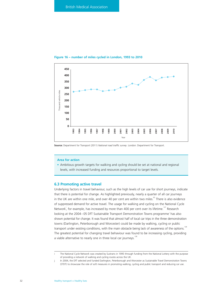

#### **Figure 16 – number of miles cycled in London, 1993 to 2010**

**Source:** Department for Transport (2011) *National road traffic survey*. London: Department for Transport.

#### **Area for action**

• Ambitious growth targets for walking and cycling should be set at national and regional levels, with increased funding and resources proportional to target levels.

#### **6.3 Promoting active travel**

Underlying factors in travel behaviour, such as the high levels of car use for short journeys, indicate that there is potential for change. As highlighted previously, nearly a quarter of all car journeys in the UK are within one mile, and over 40 per cent are within two miles. $62$  There is also evidence of suppressed demand for active travel. The usage for walking and cycling on the National Cycle Network<sup>'</sup>, for example, has increased by more than 400 per cent over its lifetime.<sup>127</sup> Research looking at the 2004–05 DfT Sustainable Transport Demonstration Towns programme<sup>†</sup> has also shown potential for change. It was found that almost half of local car trips in the three demonstration towns (Darlington, Peterborough and Worcester) could be made by walking, cycling or public transport under existing conditions, with the main obstacle being lack of awareness of the options.<sup>128</sup> The greatest potential for changing travel behaviour was found to be increasing cycling, providing a viable alternative to nearly one in three local car journeys.<sup>128</sup>

The National Cycle Network was created by Sustrans in 1995 through funding from the National Lottery with the purpose of providing a network of walking and cycling routes across the UK.

j In 2004, the DfT selected and funded Darlington, Peterborough and Worcester as Sustainable Travel Demonstration Towns (STDT) to showcase the role of soft measures in promoting walking, cycling and public transport and reducing car use.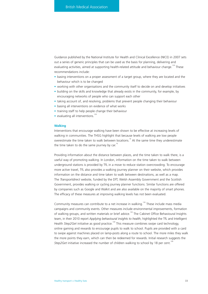Guidance published by the National Institute for Health and Clinical Excellence (NICE) in 2007 sets out a series of generic principles that can be used as the basis for planning, delivering and evaluating activities, aimed at supporting health-related attitude and behaviour change.<sup>129</sup> These recommendations include:

- basing interventions on a proper assessment of a target group, where they are located and the behaviour which is to be changed
- working with other organisations and the community itself to decide on and develop initiatives
- building on the skills and knowledge that already exists in the community, for example, by encouraging networks of people who can support each other
- taking account of, and resolving, problems that prevent people changing their behaviour
- basing all interventions on evidence of what works
- training staff to help people change their behaviour
- evaluating all interventions. $129$

#### **Walking**

Interventions that encourage walking have been shown to be effective at increasing levels of walking in communities. The THSG highlight that because levels of walking are low people overestimate the time taken to walk between locations.<sup>16</sup> At the same time they underestimate the time taken to do the same journey by car.<sup>16</sup>

Providing information about the distance between places, and the time taken to walk there, is a useful way of promoting walking. In London, information on the time taken to walk between underground stations is provided by TfL in a move to reduce station overcrowding. To encourage more active travel, TfL also provides a walking journey planner on their website, which provides information on the distance and time taken to walk between destinations, as well as a map. The *Transportdirect* website, funded by the DfT, Welsh Assembly Government and the Scottish Government, provides walking or cycling journey planner functions. Similar functions are offered by companies such as Google and Walkit and are also available on the majority of smart phones. The efficacy of these measures at improving walking levels has not been evaluated.

Community measures can contribute to a net increase in walking.<sup>130</sup> These include mass media campaigns and community events. Other measures include environmental improvements, formation of walking groups, and written materials or brief advice.<sup>130</sup> The Cabinet Office Behavioural Insights team, in their 2010 report *Applying behavioural insights to health*, highlighted the TfL and Intelligent Health *Step2Get* initiative as good practice.<sup>109</sup> This measure combines swipe card technology, online gaming and rewards to encourage pupils to walk to school. Pupils are provided with a card to swipe against machines placed on lamp-posts along a route to school. The more miles they walk the more points they earn, which can then be redeemed for rewards. Initial research suggests the *Step2Get* initiative increased the number of children walking to school by 18 per cent.<sup>109</sup>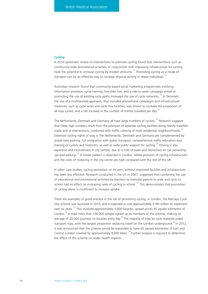#### **Cycling**

A 2010 systematic review of interventions to promote cycling found that interventions such as community-wide promotional activities, in conjunction with improving infrastructure for cycling, have the potential to increase cycling by modest amounts.<sup>131</sup> Promoting cycling as a mode of transport can be an effective way to increase physical activity in obese individuals.<sup>132</sup>

Australian research found that community-based social marketing programmes involving information provision, cycle training, free bike hire, and a ride to work campaign aimed at promoting the use of existing cycle paths increased the use of cycle networks.<sup>133</sup> In Denmark, the use of a multifaceted approach, that included promotional campaigns and infrastructural measures, such as cycle lanes and cycle hire facilities, was shown to increase the proportion of all trips cycled, and a net increase in the number of metres travelled per day.<sup>134</sup>

The Netherlands, Denmark and Germany all have large numbers of cyclists.<sup>135</sup> Research suggests that these high numbers result from the provision of separate cycling facilities along heavily travelled roads and at intersections, combined with traffic calming of most residential neighbourhoods.<sup>135</sup> Extensive cycling rights of way in the Netherlands, Denmark and Germany are complemented by ample bike parking, full integration with public transport, comprehensive traffic education and training of cyclists and motorists, as well as wide public support for cycling.<sup>135</sup> Driving is also expensive and inconvenient in city centres, due to a host of taxes and restrictions on car ownership, use and parking.<sup>135</sup> A similar pattern is observed in London, where provision of cycling infrastructure and the costs of motoring in the city centre are high compared with the rest of the UK.

In other case studies, cycling promotion on its own, without improved facilities and infrastructure, has been less effective. Research conducted in the US in 2007, suggested that combining the use of educational and promotional activities by teachers to motivate parents to walk and cycle to school had no effect on increasing rates of cycling to school.<sup>136</sup> This demonstrates that promotion of cycling alone is insufficient to increase uptake.

There are examples of good practice in the UK of promoting cycling. In London, the Barclays Cycle Hire scheme was launched in 2010, and is expected to cost approximately £190 million to implement over six years.137 This involved approximately 5,000 bicycles, spread across 45 square kilometres of London.<sup>98</sup> In total more than 100,000 people signed up as members of the scheme, making an average of 20,000 journeys on bicycles every day.<sup>98</sup> The majority of trips by cycle replaced public transport trips, with the largest proportion replacing travel on the London underground.<sup>98</sup> In 2012, it was announced that the scheme would be expanded to have 65 square kilometres of East and Central London covered by approximately 8,000 bikes.<sup>138</sup> Further analysis is required to determine the effect of this scheme on wider health impacts.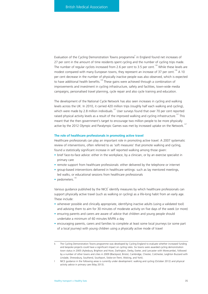Evaluation of the Cycling Demonstration Towns programme<sup>k</sup> in England found net increases of 27 per cent in the amount of time residents spent cycling and the number of cycling trips made. The number of regular cyclists increased from 2.6 per cent to 3.5 per cent.<sup>139</sup> While these levels are modest compared with many European towns, they represent an increase of 37 per cent.<sup>139</sup> A 10 per cent decrease in the number of physically inactive people was also observed, which is expected to have additional health benefits.<sup>139</sup> These gains were achieved through a combination of improvements and investment in cycling infrastructure, safety and facilities, town-wide media campaigns, personalised travel planning, cycle repair and also cycle training and education.

The development of the National Cycle Network has also seen increases in cycling and walking levels across the UK. In 2010, it carried 420 million trips (roughly half each walking and cycling), which were made by 2.8 million individuals.<sup>127</sup> User surveys found that over 70 per cent reported raised physical activity levels as a result of the improved walking and cycling infrastructure.<sup>127</sup> This meant that the then government's target to encourage two million people to be more physically active by the 2012 Olympic and Paralympic Games was met by increased uptake on the Network.

#### **The role of healthcare professionals in promoting active travel**

Healthcare professionals can play an important role in promoting active travel. A 2007 systematic review of interventions, often referred to as 'soft measures' that promote walking and cycling, found a statistically significant increase in self reported walking among those given:

- brief face-to-face advice: either in the workplace, by a clinician, or by an exercise specialist in primary care
- remote support from healthcare professionals: either delivered by the telephone or internet
- group-based interventions delivered in healthcare settings: such as lay mentored meetings, led walks, or educational sessions from healthcare professionals
- pedometers. $130$

Various guidance published by the NICE identify measures by which healthcare professionals can support physically active travel (such as walking or cycling) as a life-long habit from an early age. These include:

- whenever possible and clinically appropriate, identifying inactive adults (using a validated tool) and advising them to aim for 30 minutes of moderate activity on five days of the week (or more)
- ensuring parents and carers are aware of advice that children and young people should undertake a minimum of 60 minutes MVPA a day
- encouraging parents, carers and families to complete at least some local journeys (or some part of a local journey) with young children using a physically active mode of travel

k The Cycling Demonstration Towns programme was developed by Cycling England to evaluate whether increased funding and bespoke projects could have a significant impact on cycling rates. Six towns were awarded cycling demonstration town status in 2005 (Aylesbury, Brighton and Hove, Darlington, Derby, Exeter, and Lancaster with Morecambe), followed by a number of other towns and cities in 2009 (Blackpool, Bristol, Cambridge, Chester, Colchester, Leighton Buzzard with Linslade, Shrewsbury, Southend, Southport, Stoke-on-Trent, Woking, and York).

l NICE guidance in the following areas is currently under development: walking and cycling (October 2012) and physical activity advice in primary care (May 2013).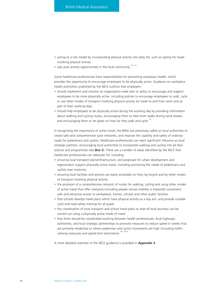- acting as a role model by incorporating physical activity into daily life, such as opting for travel involving physical activity
- $\bullet$  sign post activity opportunities in the local community.<sup>140, 141</sup>

Some healthcare professionals have responsibilities for promoting workplace health, which provides the opportunity to encourage employees to be physically active. Guidance on workplace health promotion published by the NICE outlines that employers:

- should implement and monitor an organisation-wide plan or policy to encourage and support employees to be more physically active, including policies to encourage employees to walk, cycle or use other modes of transport involving physical activity (to travel to and from work and as part of their working day)
- should help employees to be physically active during the working day by providing information about walking and cycling routes, encouraging them to take short walks during work breaks, and encouraging them to set goals on how far they walk and cycle.<sup>142</sup>

In recognising the importance of active travel, the BMA has previously called on local authorities to create safe and comprehensive cycle networks, and improve the usability and safety of ordinary roads for pedestrians and cyclists. Healthcare professionals can exert significant influence as local strategic partners, encouraging local authorities to incorporate walking and cycling into all their policies and programmes (see **Box 3**). There are a number of areas identified by the NICE that healthcare professionals can advocate for, including:

- ensuring local transport plans/infrastructure, and proposals for urban development and regeneration support physically active travel, including prioritising the needs of pedestrians and cyclists over motorists
- ensuring local facilities and services are easily accessible on foot, by bicycle and by other modes of transport involving physical activity
- the provision of a comprehensive network of routes for walking, cycling and using other modes of active travel that offer everyone (including people whose mobility is impaired) convenient, safe and attractive access to workplaces, homes, schools and other public facilities
- that schools develop travel plans which have physical activity as a key aim, and provide suitable cycle and road safety training for all pupils
- the coordination of local transport and school travel plans so that all local journeys can be carried out using a physically active mode of travel
- that there should be coordinated working between health professionals, local highways authorities, and local strategic partnerships to promote measures to reduce speed in streets that are primarily residential or where pedestrian and cyclist movements are high (including trafficcalming measures and speed limit restrictions).<sup>140, 143-45</sup>

A more detailed overview of the NICE guidance is provided in **Appendix 3**.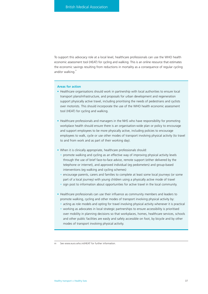To support this advocacy role at a local level, healthcare professionals can use the WHO health economic assessment tool (HEAT) for cycling and walking. This is an online resource that estimates the economic savings resulting from reductions in mortality as a consequence of regular cycling and/or walking."

#### **Areas for action**

- Healthcare organisations should work in partnership with local authorities to ensure local transport plans/infrastructure, and proposals for urban development and regeneration support physically active travel, including prioritising the needs of pedestrians and cyclists over motorists. This should incorporate the use of the WHO health economic assessment tool (HEAT) for cycling and walking.
- Healthcare professionals and managers in the NHS who have responsibility for promoting workplace health should ensure there is an organisation-wide plan or policy to encourage and support employees to be more physically active, including policies to encourage employees to walk, cycle or use other modes of transport involving physical activity (to travel to and from work and as part of their working day).
- When it is clinically appropriate, healthcare professionals should:
	- promote walking and cycling as an effective way of improving physical activity levels through the use of brief face-to-face advice, remote support (either delivered by the telephone or internet), and approved individual (eg pedometers) and group-based interventions (eg walking and cycling schemes)
	- encourage parents, carers and families to complete at least some local journeys (or some part of a local journey) with young children using a physically active mode of travel
	- sign post to information about opportunities for active travel in the local community.
- Healthcare professionals can use their influence as community members and leaders to promote walking, cycling and other modes of transport involving physical activity by:
	- acting as role models and opting for travel involving physical activity whenever it is practical
	- working as advocates in local strategic partnerships to ensure accessibility is prioritised over mobility in planning decisions so that workplaces, homes, healthcare services, schools and other public facilities are easily and safely accessible on foot, by bicycle and by other modes of transport involving physical activity.

m See www.euro.who.int/HEAT for further information.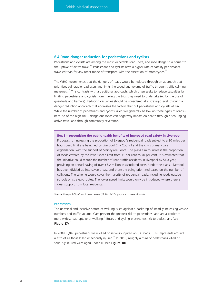# **6.4 Road danger reduction for pedestrians and cyclists**

Pedestrians and cyclists are among the most vulnerable road users, and road danger is a barrier to the uptake of active travel. $62$  Pedestrians and cyclists have a higher rate of fatality per distance travelled than for any other mode of transport, with the exception of motorcycles.<sup>6</sup>

The WHO recommends that the dangers of roads would be reduced through an approach that prioritises vulnerable road users and limits the speed and volume of traffic through traffic calming measures.<sup>146</sup> This contrasts with a traditional approach, which often seeks to reduce casualties by limiting pedestrians and cyclists from making the trips they need to undertake (eg by the use of guardrails and barriers). Reducing casualties should be considered at a strategic level, through a danger reduction approach that addresses the factors that put pedestrians and cyclists at risk. While the number of pedestrians and cyclists killed will generally be low on these types of roads because of the high risk – dangerous roads can negatively impact on health through discouraging active travel and through community severance.

**Box 3 – recognising the public health benefits of improved road safety in Liverpool** Proposals for increasing the proportion of Liverpool's residential roads subject to a 20 miles per hour speed limit are being led by Liverpool City Council and the city's primary care organisation, with the support of Merseyside Police. The plans aim to increase the proportion of roads covered by the lower speed limit from 31 per cent to 70 per cent. It is estimated that the initiative could reduce the number of road traffic accidents in Liverpool by 54 a year, providing an annual saving of over £5.2 million in associated costs. Under the plans, Liverpool has been divided up into seven areas, and these are being prioritised based on the number of collisions. The scheme would cover the majority of residential roads, including roads outside schools on strategic routes. The lower speed limits would only be introduced where there is clear support from local residents.

**Source:** Liverpool City Council press release (27.10.12) 20mph plans to make city safer.

#### **Pedestrians**

The universal and inclusive nature of walking is set against a backdrop of steadily increasing vehicle numbers and traffic volume. Cars present the greatest risk to pedestrians, and are a barrier to more widespread uptake of walking.<sup>31</sup> Buses and cycling present less risk to pedestrians (see **Figure 17**).<sup>31</sup>

In 2009, 6,045 pedestrians were killed or seriously injured on UK roads.<sup>37</sup> This represents around a fifth of all those killed or seriously injured.<sup>37</sup> In 2010, roughly a third of pedestrians killed or seriously injured were aged under 16 (see **Figure 18**).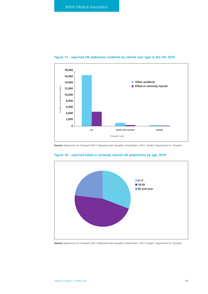

# **Figure 17 – reported UK pedestrian incidents by vehicle user type in the UK, 2010**

**Source:** Department for Transport (2011) *Reported road casualties Great Britain: 2010*. London: Department for Transport.



# **Figure 18 – reported killed or seriously injured UK pedestrians by age, 2010**

**Source:** Department for Transport (2011) *Reported road casualties Great Britain: 2010*. London: Department for Transport.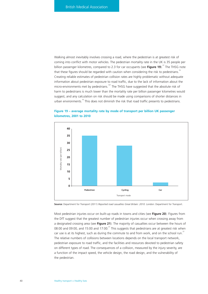Walking almost inevitably involves crossing a road, where the pedestrian is at greatest risk of coming into conflict with motor vehicles. The pedestrian mortality rate in the UK is 35 people per billion passenger kilometres, compared to 2.3 for car occupants (see Figure 19).<sup>37</sup> The THSG note that these figures should be regarded with caution when considering the risk to pedestrians.<sup>16</sup> Creating reliable estimates of pedestrian collision rates are highly problematic without adequate information about pedestrian exposure to road traffic, due to the lack of information about the micro-environments met by pedestrians.<sup>147</sup> The THSG have suggested that the absolute risk of harm to pedestrians is much lower than the mortality rate per billion passenger kilometres would suggest, and any calculation on risk should be made using comparisons of shorter distances in urban environments.<sup>16</sup> This does not diminish the risk that road traffic presents to pedestrians.





**Source:** Department for Transport (2011) *Reported road casualties Great Britain: 2010.* London: Department for Transport.

Most pedestrian injuries occur on built-up roads in towns and cities (see **Figure 20**). Figures from the DfT suggest that the greatest number of pedestrian injuries occur when crossing away from a designated crossing area (see **Figure 21**). The majority of casualties occur between the hours of 08:00 and 09:00, and 15:00 and 17:00.<sup>37</sup> This suggests that pedestrians are at greatest risk when car use is at its highest, such as during the commute to and from work, and on the school run.<sup>37</sup> The relative numbers of collisions between locations depends on the local transport network, pedestrian exposure to road traffic, and the facilities and resources devoted to pedestrian safety on different types of road. The consequences of a collision, measured by the injury severity, are a function of the impact speed, the vehicle design, the road design, and the vulnerability of the pedestrian.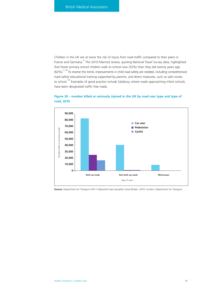Children in the UK are at twice the risk of injury from road traffic compared to their peers in France and Germany.<sup>33</sup> The 2010 Marmot review, quoting National Travel Survey data, highlighted that fewer primary school children walk to school now (52%) than they did twenty years ago  $(62\%)^{2,148}$  To reverse this trend, improvements in child road safety are needed, including comprehensive road safety educational training supported by parents, and direct measures, such as safe routes to school.<sup>149</sup> Examples of good practice include Salisbury, where roads approaching infant schools have been designated traffic free roads.



# **Figure 20 – number killed or seriously injured in the UK by road user type and type of road, 2010**

**Source:** Department for Transport (2011) *Reported road casualties Great Britain: 2010*. London: Department for Transport.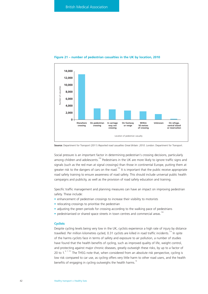

#### **Figure 21 – number of pedestrian casualties in the UK by location, 2010**

**Source:** Department for Transport (2011) *Reported road casualties Great Britain: 2010*. London: Department for Transport.

Social pressure is an important factor in determining pedestrian's crossing decisions, particularly among children and adolescents.<sup>150</sup> Pedestrians in the UK are more likely to ignore traffic signs and signals (such as the red man at signal crossings) than those in continental Europe, putting them at greater risk to the dangers of cars on the road.<sup>150</sup> It is important that the public receive appropriate road safety training to ensure awareness of road safety. This should include universal public health campaigns and publicity, as well as the provision of road safety education and training.

Specific traffic management and planning measures can have an impact on improving pedestrian safety. These include:

- enhancement of pedestrian crossings to increase their visibility to motorists
- relocating crossings to prioritise the pedestrian
- adjusting the green periods for crossing according to the walking pace of pedestrians
- pedestrianised or shared space streets in town centres and commercial areas.<sup>15</sup>

# **Cyclists**

Despite cycling levels being very low in the UK, cyclists experience a high rate of injury by distance travelled. Per million kilometres cycled, 0.31 cyclists are killed in road traffic incidents.<sup>114</sup> In spite of the harms cyclists face in terms of safety and exposure to air pollution, a number of studies have found that the health benefits of cycling, such as improved quality of life, weight control, and protecting against major chronic diseases, greatly outweigh these risks, by up to a factor of 20 to 1.<sup>6, 7, 151</sup> The THSG note that, when considered from an absolute risk perspective, cycling is low risk compared to car use, as cycling offers very little harm to other road users, and the health benefits of engaging in cycling outweighs the health harms.<sup>16</sup>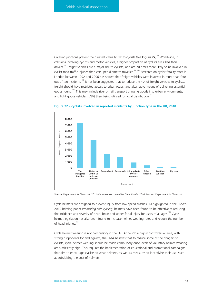Crossing junctions present the greatest casualty risk to cyclists (see Figure 22).<sup>37</sup> Worldwide, in collisions involving cyclists and motor vehicles, a higher proportion of cyclists are killed than drivers.<sup>152</sup> Freight vehicles are a major risk to cyclists, and are 20 times more likely to be involved in cyclist road traffic injuries than cars, per kilometre travelled.<sup>24, 153</sup> Research on cyclist fatality rates in London between 1992 and 2006 has shown that freight vehicles were involved in more than four out of ten incidents.<sup>153</sup> It has been suggested that to reduce the risk of freight vehicles to cyclists, freight should have restricted access to urban roads, and alternative means of delivering essential goods found.<sup>153</sup> This may include river or rail transport bringing goods into urban environments, and light goods vehicles (LGV) then being utilised for local distribution.<sup>153</sup>



#### **Figure 22 – cyclists involved in reported incidents by junction type in the UK, 2010**

**Source:** Department for Transport (2011) *Reported road casualties Great Britain: 2010*. London: Department for Transport.

Cycle helmets are designed to prevent injury from low speed crashes. As highlighted in the BMA's 2010 briefing paper *Promoting safe cycling*, helmets have been found to be effective at reducing the incidence and severity of head, brain and upper facial injury for users of all ages.<sup>154</sup> Cycle helmet legislation has also been found to increase helmet wearing rates and reduce the number of head injuries.<sup>154</sup>

Cycle helmet wearing is not compulsory in the UK. Although a highly controversial area, with strong proponents for and against, the BMA believes that to reduce some of the dangers to cyclists, cycle helmet wearing should be made compulsory once levels of voluntary helmet wearing are sufficiently high. This requires the implementation of educational and promotional campaigns that aim to encourage cyclists to wear helmets, as well as measures to incentivise their use, such as subsidising the cost of helmets.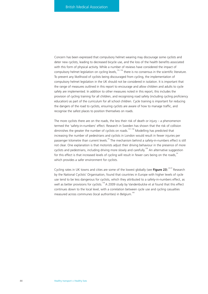Concern has been expressed that compulsory helmet wearing may discourage some cyclists and deter new cyclists, leading to decreased bicycle use, and the loss of the health benefits associated with this form of physical activity. While a number of reviews have considered the impact of compulsory helmet legislation on cycling levels,<sup>155, 156</sup> there is no consensus in the scientific literature. To prevent any likelihood of cyclists being discouraged from cycling, the implementation of compulsory helmet legislation in the UK should not be considered in isolation. It is important that the range of measures outlined in this report to encourage and allow children and adults to cycle safely are implemented. In addition to other measures noted in this report, this includes the provision of cycling training for all children, and recognising road safety (including cycling proficiency education) as part of the curriculum for all school children. Cycle training is important for reducing the dangers of the road to cyclists, ensuring cyclists are aware of how to manage traffic, and recognise the safest places to position themselves on roads.

The more cyclists there are on the roads, the less their risk of death or injury  $-$  a phenomenon termed the 'safety-in-numbers' effect. Research in Sweden has shown that the risk of collision diminishes the greater the number of cyclists on roads.<sup>157, 158</sup> Modelling has predicted that increasing the number of pedestrians and cyclists in London would result in fewer injuries per passenger kilometre than current levels.<sup>24</sup> The mechanism behind a safety-in-numbers effect is still not clear. One explanation is that motorists adjust their driving behaviour in the presence of more cyclists and pedestrians, including driving more slowly and carefully.<sup>158</sup> An alternative suggestion for this effect is that increased levels of cycling will result in fewer cars being on the roads,<sup>24</sup> which provides a safer environment for cyclists.

Cycling rates in UK towns and cities are some of the lowest globally (see Figure 23).<sup>24,33</sup> Research by the National Cyclists' Organisation, found that countries in Europe with higher levels of cycle use tend to be less dangerous for cyclists, which they attributed to a safety-in-numbers effect, as well as better provisions for cyclists.<sup>159</sup> A 2009 study by Vandenbulcke et al found that this effect continues down to the local level, with a correlation between cycle use and cycling casualties measured across communes (local authorities) in Belgium.<sup>160</sup>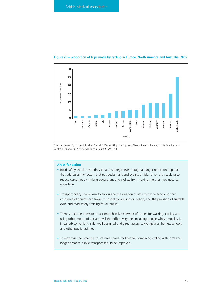

#### **Figure 23 – proportion of trips made by cycling in Europe, North America and Australia, 2005**

**Source:** Bassett D, Purcher J, Buehler D et al (2008) Walking, Cycling, and Obesity Rates in Europe, North America, and Australia. *Journal of Physical Activity and Health* **5**: 795-814.

# **Areas for action**

- Road safety should be addressed at a strategic level though a danger reduction approach that addresses the factors that put pedestrians and cyclists at risk, rather than seeking to reduce casualties by limiting pedestrians and cyclists from making the trips they need to undertake.
- Transport policy should aim to encourage the creation of safe routes to school so that children and parents can travel to school by walking or cycling, and the provision of suitable cycle and road safety training for all pupils.
- There should be provision of a comprehensive network of routes for walking, cycling and using other modes of active travel that offer everyone (including people whose mobility is impaired) convenient, safe, well-designed and direct access to workplaces, homes, schools and other public facilities.
- To maximise the potential for car-free travel, facilities for combining cycling with local and longer-distance public transport should be improved.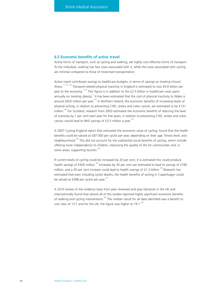# **6.5 Economic benefits of active travel**

Active forms of transport, such as cycling and walking, are highly cost effective forms of transport. To the individual, walking has few costs associated with it, while the costs associated with cycling are minimal compared to those of motorised transportation.

Active travel contributes savings to healthcare budgets, in terms of savings on treating chronic illness.<sup>11, 161, 162</sup> Transport-related physical inactivity in England is estimated to cost £9.8 billion per year to the economy.<sup>11, 52</sup> This figure is in addition to the £2.5 billion in healthcare costs spent annually on treating obesity.<sup>11</sup> It has been estimated that the cost of physical inactivity to Wales is around £650 million per year.<sup>163</sup> In Northern Ireland, the economic benefits of increasing levels of physical activity, in relation to preventing CHD, stroke and colon cancer, are estimated to be £131 million.<sup>164</sup> For Scotland, research from 2003 estimated the economic benefits of reducing the level of inactivity by 1 per cent each year for five years, in relation to preventing CHD, stroke and colon cancer, would lead to NHS savings of  $£3.5$  million a year.<sup>116</sup>

A 2007 Cycling England report that estimated the economic value of cycling, found that the health benefits could be valued at £87-300 per cyclist per year, depending on their age, fitness level, and neighbourhood.<sup>165</sup> This did not account for the substantial social benefits of cycling, which include offering more independence to children, improving the quality of life for communities and, in some areas, supporting tourism.<sup>165</sup>

If current levels of cycling could be increased by 20 per cent, it is estimated this could produce health savings of £500 million.<sup>165</sup> Increases by 30 per cent are estimated to lead to savings of £785 million, and a 50 per cent increase could lead to health savings of £1.3 billion.<sup>165</sup> Research has estimated that even including cyclist deaths, the health benefits of cycling in Copenhagen could be valued at £498 per cyclist per year.<sup>113</sup>

A 2010 review of the evidence base from peer reviewed and grey literature in the UK and internationally found that almost all of the studies reported highly significant economic benefits of walking and cycling interventions.<sup>166</sup> The median result for all data identified was a benefit to cost ratio of 13:1 and for the UK, the figure was higher at 19:1.<sup>166</sup>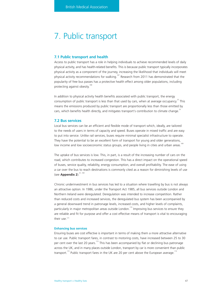# 7. Public transport

#### **7.1 Public transport and health**

Access to public transport has a role in helping individuals to achieve recommended levels of daily physical activity, and has health-related benefits. This is because public transport typically incorporates physical activity as a component of the journey, increasing the likelihood that individuals will meet physical activity recommendations for walking.<sup>167</sup> Research from 2011 has demonstrated that the popularity of free bus passes has a protective health effect among older populations, including protecting against obesity.<sup>168</sup>

In addition to physical activity health benefits associated with public transport, the energy consumption of public transport is less than that used by cars, when at average occupancy. $^{23}$  This means the emissions produced by public transport are proportionally less than those emitted by cars, which benefits health directly, and mitigates transport's contribution to climate change.<sup>23</sup>

# **7.2 Bus services**

Local bus services can be an efficient and flexible mode of transport which, ideally, are tailored to the needs of users in terms of capacity and speed. Buses operate in mixed traffic and are easy to put into service. Unlike rail services, buses require minimal specialist infrastructure to operate. They have the potential to be an excellent form of transport for young and older generations, low income and low socioeconomic status groups, and people living in cities and urban areas.

The uptake of bus services is low. This, in part, is a result of the increasing number of cars on the road, which contributes to increased congestion. This has a direct impact on the operational speed of buses, service quality, reliability, energy consumption, and overall profitability. The ease of using a car over the bus to reach destinations is commonly cited as a reason for diminishing levels of use (see **Appendix 2**)<sup>41, 169</sup>

Chronic underinvestment in bus services has led to a situation where travelling by bus is not always an attractive option. In 1986, under the Transport Act 1985, all bus services outside London and Northern Ireland were deregulated. Deregulation was intended to increase competition. Rather than reduced costs and increased services, the deregulated bus system has been accompanied by a general downward trend in patronage levels, increased costs, and higher levels of complaints, particularly in major metropolitan areas outside London.<sup>170</sup> Improving bus services to ensure they are reliable and fit for purpose and offer a cost effective means of transport is vital to encouraging their use.<sup>171</sup>

#### **Enhancing bus services**

Ensuring buses are cost effective is important in terms of making them a more attractive alternative to car use. Public transport fares, in contrast to motoring costs, have increased between 25 to 30 per cent over the last 20 years.<sup>172</sup> This has been accompanied by flat or declining bus patronage across the UK, and in many places outside London, transport by car is more convenient than public transport.<sup>172</sup> Public transport fares in the UK are 20 per cent above the European average.<sup>172</sup>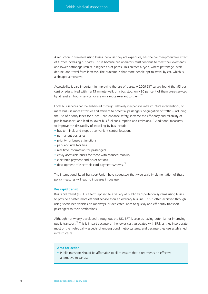A reduction in travellers using buses, because they are expensive, has the counter-productive effect of further increasing bus fares. This is because bus operators must continue to meet their overheads, and lower patronage results in higher ticket prices. This creates a cycle, where patronage levels decline, and travel fares increase. The outcome is that more people opt to travel by car, which is a cheaper alternative.

Accessibility is also important in improving the use of buses. A 2009 DfT survey found that 93 per cent of adults lived within a 13 minute walk of a bus stop; only 80 per cent of them were serviced by at least an hourly service, or are on a route relevant to them.<sup>16</sup>

Local bus services can be enhanced through relatively inexpensive infrastructure interventions, to make bus use more attractive and efficient to potential passengers. Segregation of traffic – including the use of priority lanes for buses – can enhance safety, increase the efficiency and reliability of public transport, and lead to lower bus fuel consumption and emissions.<sup>173</sup> Additional measures to improve the desirability of travelling by bus include:

- bus terminals and stops at convenient central locations
- permanent bus lanes
- priority for buses at junctions
- park and ride facilities
- real time information for passengers
- easily accessible buses for those with reduced mobility
- electronic payment and ticket options
- $\bullet$  development of electronic card payment systems.<sup>173</sup>

The International Road Transport Union have suggested that wide scale implementation of these policy measures will lead to increases in bus use.<sup>173</sup>

#### **Bus rapid transit**

Bus rapid transit (BRT) is a term applied to a variety of public transportation systems using buses to provide a faster, more efficient service than an ordinary bus line. This is often achieved through using specialised vehicles on roadways, or dedicated lanes to quickly and efficiently transport passengers to their destinations.

Although not widely developed throughout the UK, BRT is seen as having potential for improving public transport.<sup>16</sup> This is in part because of the lower cost associated with BRT, as they incorporate most of the high-quality aspects of underground metro systems, and because they use established infrastructure.

#### **Area for action**

• Public transport should be affordable to all to ensure that it represents an effective alternative to car use.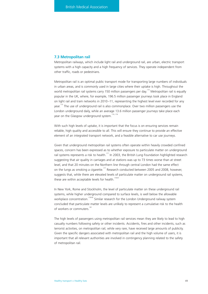### **7.3 Metropolitan rail**

Metropolitan railways, which include light rail and underground rail, are urban, electric transport systems with a high capacity and a high frequency of services. They operate independent from other traffic, roads or pedestrians.

Metropolitan rail is an optimal public transport mode for transporting large numbers of individuals in urban areas, and is commonly used in large cities where their uptake is high. Throughout the world metropolitan rail systems carry 150 million passengers per day.<sup>174</sup> Metropolitan rail is equally popular in the UK, where, for example, 196.5 million passenger journeys took place in England on light rail and tram networks in 2010–11, representing the highest level ever recorded for any year.<sup>175</sup> The use of underground rail is also commonplace. Over two million passengers use the London underground daily, while an average 13.6 million passenger journeys take place each year on the Glasgow underground system.<sup>174, 176</sup>

With such high levels of uptake, it is important that the focus is on ensuring services remain reliable, high quality and accessible to all. This will ensure they continue to provide an effective element of an integrated transport network, and a feasible alternative to car use journeys.

Given that underground metropolitan rail systems often operate within heavily crowded confined spaces, concern has been expressed as to whether exposure to particulate matter on underground rail systems represents a risk to health.<sup>177</sup> In 2003, the British Lung Foundation highlighted research suggesting that air quality in carriages and at stations was up to 73 times worse than at street level, and that 20 minutes on the Northern line through central London had the same effect on the lungs as smoking a cigarette.<sup>177</sup> Research conducted between 2005 and 2008, however, suggests that, while there are elevated levels of particulate matter on underground rail systems, these are within acceptable levels for health.<sup>178-81</sup>

In New York, Rome and Stockholm, the level of particulate matter on these underground rail systems, while higher underground compared to surface levels, is well below the allowable workplace concentration.<sup>178-80</sup> Similar research for the London Underground railway system concluded that particulate matter levels are unlikely to represent a cumulative risk to the health of workers or commuters.<sup>181</sup>

The high levels of passengers using metropolitan rail services mean they are likely to lead to high casualty numbers following safety or other incidents. Accidents, fires and other incidents, such as terrorist activities, on metropolitan rail, while very rare, have received large amounts of publicity. Given the specific dangers associated with metropolitan rail and the high volume of users, it is important that all relevant authorities are involved in contingency planning related to the safety of metropolitan rail.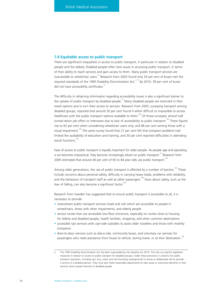# **7.4 Equitable access to public transport**

There are significant inequalities in access to public transport, in particular in relation to disabled people and the elderly. Disabled people often face issues in accessing public transport, in terms of their ability to reach services and gain access to them. Many public transport services are inaccessible to wheelchair users. $47$  Research from 2003 found only 29 per cent of buses met the required standards of the 1995 Disability Discrimination Act.<sup>n, 47</sup> By 2010, 39 per cent of buses did not have accessibility certificates.<sup>47</sup>

The difficulty in obtaining information regarding accessibility issues is also a significant barrier to the uptake of public transport by disabled people.<sup> $47$ </sup> Many disabled people are restricted in their travel options and in turn their access to services. Research from 2003, surveying transport among disabled groups, reported that around 20 per cent found it either difficult or impossible to access healthcare with the public transport options available to them.<sup>182</sup> Of those surveyed, almost half turned down job offers or interviews due to lack of accessibility to public transport.<sup>182</sup> These figures rise to 62 per cent when considering wheelchair users only, and 86 per cent among those with a visual impairment.<sup>182</sup> The same survey found that 21 per cent felt that transport problems had limited the availability of education and training, and 30 per cent reported difficulties in attending social functions<sup>182</sup>

Ease of access to public transport is equally important for older people. As people age and operating a car becomes impractical, they become increasingly reliant on public transport.<sup>47</sup> Research from 2005 estimated that around 40 per cent of 65 to 84 year olds use public transport.<sup>183</sup>

Among older generations, the use of public transport is affected by a number of barriers.<sup>183</sup> These include concerns about personal safety, difficulty in carrying heavy loads, problems with reliability, and the behaviour of transport staff as well as other passengers.<sup>183</sup> Fears about safety, such as the fear of falling, can also become a significant factor.<sup>1</sup>

Research from Sweden has suggested that to ensure public transport is accessible to all, it is necessary to provide:

- mainstream public transport services (road and rail) which are accessible to people in wheelchairs, those with other impairments, and elderly people
- service routes that use accessible low-floor entrances, especially on routes close to housing for elderly and disabled people, health facilities, shopping, and other common destinations
- accessible taxi services with user-side subsidies to assist older travellers and those with mobility limitations
- door-to-door services such as dial-a-ride, community buses, and voluntary car services for passengers who need assistance from house to vehicle, during travel, or at their destination.<sup>184</sup>

n The 1995 Disability Discrimination Act has been superseded by the Equality Act 2010. This sets out specific legislative measures in relation to access to public transport for disabled groups. Under these provisions it unlawful for public transport operators, including taxi, bus, coach and rail (including underground) to refuse or deliberately fail to provide a service to a disabled person. They must also make reasonable adjustments to take away or overcome elements in their services which present barriers to disabled people.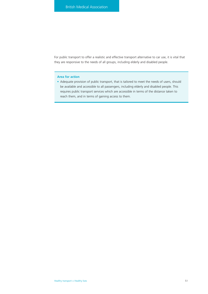For public transport to offer a realistic and effective transport alternative to car use, it is vital that they are responsive to the needs of all groups, including elderly and disabled people.

# **Area for action**

• Adequate provision of public transport, that is tailored to meet the needs of users, should be available and accessible to all passengers, including elderly and disabled people. This requires public transport services which are accessible in terms of the distance taken to reach them, and in terms of gaining access to them.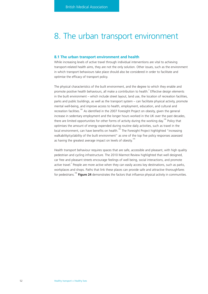# 8. The urban transport environment

## **8.1 The urban transport environment and health**

While increasing levels of active travel through individual interventions are vital to achieving transport-related health aims, they are not the only solution. Other issues, such as the environment in which transport behaviours take place should also be considered in order to facilitate and optimise the efficacy of transport policy.

The physical characteristics of the built environment, and the degree to which they enable and promote positive health behaviours, all make a contribution to health. $^{2}$  Effective design elements in the built environment – which include street layout, land use, the location of recreation facilities, parks and public buildings, as well as the transport system – can facilitate physical activity, promote mental well-being, and improve access to health, employment, education, and cultural and recreation facilities.<sup>185</sup> As identified in the 2007 Foresight Project on obesity, given the general increase in sedentary employment and the longer hours worked in the UK over the past decades, there are limited opportunities for other forms of activity during the working day.<sup>185</sup> Policy that optimises the amount of energy expended during routine daily activities, such as travel in the local environment, can have benefits on health.<sup>185</sup> The Foresight Project highlighted "increasing walkability/cyclability of the built environment" as one of the top five policy responses assessed as having the greatest average impact on levels of obesity.<sup>18</sup>

Health transport behaviour requires spaces that are safe, accessible and pleasant, with high quality pedestrian and cycling infrastructure. The 2010 Marmot Review highlighted that well designed, car free and pleasant streets encourage feelings of well being, social interactions, and promote active travel.<sup>2</sup> People are more active when they can easily access key destinations, such as parks, workplaces and shops. Paths that link these places can provide safe and attractive thoroughfares for pedestrians.186 **Figure 24** demonstrates the factors that influence physical activity in communities.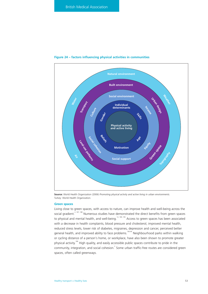

#### **Figure 24 – factors influencing physical activities in communities**

**Source:** World Health Organization (2006) *Promoting physical activity and active living in urban environments*. Turkey: World Health Organization.

### **Green spaces**

Living close to green spaces, with access to nature, can improve health and well-being across the social gradient.<sup>2, 187, 188</sup> Numerous studies have demonstrated the direct benefits from green spaces to physical and mental health, and well-being.12, 189, 190 Access to green spaces has been associated with a decrease in health complaints, blood pressure and cholesterol, improved mental health, reduced stress levels, lower risk of diabetes, migraines, depression and cancer, perceived better general health, and improved ability to face problems.<sup>190-94</sup> Neighbourhood parks within walking or cycling distance of a person's home, or workplace, have also been shown to promote greater physical activity.<sup>186</sup> High quality, and easily accessible public spaces contribute to pride in the community, integration, and social cohesion. Some urban traffic-free routes are considered green spaces, often called greenways.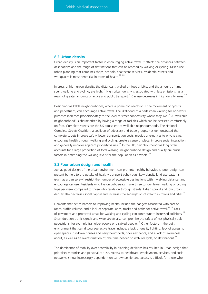# **8.2 Urban density**

Urban density is an important factor in encouraging active travel. It affects the distances between destinations and the range of destinations that can be reached by walking or cycling. Mixed-use urban planning that combines shops, schools, healthcare services, residential streets and workplaces is most beneficial in terms of health.<sup>53, 195</sup>

In areas of high urban density, the distances travelled on foot or bike, and the amount of time spent walking and cycling, are high.<sup>165</sup> High urban density is associated with less emissions, as a result of greater amounts of active and public transport.<sup>75</sup> Car use decreases in high density areas.<sup>123</sup>

Designing walkable neighbourhoods, where a prime consideration is the movement of cyclists and pedestrians, can encourage active travel. The likelihood of a pedestrian walking for non-work purposes increases proportionately to the level of street connectivity where they live.<sup>186</sup> A 'walkable neighbourhood' is characterised by having a range of facilities which can be accessed comfortably on foot. Complete streets are the US equivalent of walkable neighbourhoods. The National Complete Streets Coalition, a coalition of advocacy and trade groups, has demonstrated that complete streets improve safety, lower transportation costs, provide alternatives to private cars, encourage health through walking and cycling, create a sense of place, improve social interaction, and generally improve adjacent property values.<sup>196</sup> In the UK, neighbourhood walking often accounts for a large proportion of total walking; neighbourhood design and quality are crucial factors in optimising the walking levels for the population as a whole.<sup>19</sup>

#### **8.3 Poor urban design and health**

Just as good design of the urban environment can promote healthy behaviours, poor design can present barriers to the uptake of healthy transport behaviours. Low-density land use patterns (such as urban sprawl) restrict the number of accessible destinations within walking distance, and encourage car use. Residents who live on cul-de-sacs make three to four fewer walking or cycling trips per week compared to those who reside on through streets. Urban sprawl and low urban density also decreases social capital and increases the segregation of wealth in towns and cities.<sup>33</sup>

Elements that act as barriers to improving health include the dangers associated with cars on roads, traffic volume, and a lack of separate lanes, tracks and paths for active travel.<sup>36, 198</sup> Lack of pavement and protected areas for walking and cycling can contribute to increased collisions.<sup>198</sup> Short duration traffic signals and wide streets also compromise the safety of less physically able pedestrians, for example frail older people or disabled people.<sup>198</sup> Other factors in the built environment that can discourage active travel include: a lack of quality lighting, lack of access to open spaces, rundown houses and neighbourhoods, poor aesthetics, and a lack of awareness about, as well as an overestimation of, the time needed to walk (or cycle) to destinations.<sup>36</sup>

The dominance of mobility over accessibility in planning decisions has resulted in urban design that prioritises motorists and personal car use. Access to healthcare, employment, services, and social networks is now increasingly dependent on car ownership, and access is difficult for those who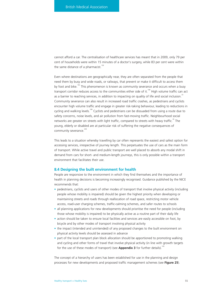cannot afford a car. The centralisation of healthcare services has meant that in 2009, only 79 per cent of households were within 15 minutes of a doctor's surgery, while 83 per cent were within the same distance of a pharmacist.<sup>126</sup>

Even where destinations are geographically near, they are often separated from the people that need them by busy and wide roads, or railways, that prevent or make it difficult to access them by foot and bike.<sup>162</sup> This phenomenon is known as community severance and occurs when a busy transport corridor reduces access to the communities either side of it.<sup>199</sup> High volume traffic can act as a barrier to reaching services, in addition to impacting on quality of life and social inclusion.<sup>33</sup> Community severance can also result in increased road traffic crashes, as pedestrians and cyclists encounter high volume traffic and engage in greater risk-taking behaviour, leading to reductions in cycling and walking levels.<sup>199</sup> Cyclists and pedestrians can be dissuaded from using a route due to safety concerns, noise levels, and air pollution from fast-moving traffic. Neighbourhood social networks are greater on streets with light traffic, compared to streets with heavy traffic.<sup>35</sup> The young, elderly or disabled are at particular risk of suffering the negative consequences of community severance.<sup>200</sup>

This leads to a situation whereby travelling by car often represents the easiest and safest option for accessing services, irrespective of journey length. This perpetuates the use of cars as the main form of transport. While active travel and public transport are well placed to absorb any modal shift in demand from cars for short- and medium-length journeys, this is only possible within a transport environment that facilitates their use.

# **8.4 Designing the built environment for health**

People are responsive to the environment in which they find themselves and the importance of health in planning decisions is becoming increasingly recognised. Guidance published by the NICE recommends that:

- pedestrians, cyclists and users of other modes of transport that involve physical activity (including people whose mobility is impaired) should be given the highest priority when developing or maintaining streets and roads through reallocation of road space, restricting motor vehicle access, road-user charging schemes, traffic-calming schemes, and safer routes to schools
- all planning applications for new developments should prioritise the need for people (including those whose mobility is impaired) to be physically active as a routine part of their daily life
- action should be taken to ensure local facilities and services are easily accessible on foot, by bicycle and by other modes of transport involving physical activity
- the impact (intended and unintended) of any proposed changes to the built environment on physical activity levels should be assessed in advance
- part of the local transport plan block allocation should be apportioned to promoting walking and cycling and other forms of travel that involve physical activity (in line with growth targets for the use of these modes of transport) (see **Appendix 3** for further details).<sup>14</sup>

The concept of a hierarchy of users has been established for use in the planning and design processes for new developments and proposed traffic management schemes (see **Figure 25**).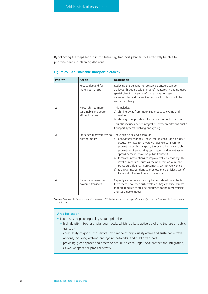By following the steps set out in this hierarchy, transport planners will effectively be able to prioritise health in planning decisions.

| <b>Priority</b> | <b>Action</b>                                                   | <b>Description</b>                                                                                                                                                                                                                                                                                                                                                                                                                                                                                                                                                                                                    |
|-----------------|-----------------------------------------------------------------|-----------------------------------------------------------------------------------------------------------------------------------------------------------------------------------------------------------------------------------------------------------------------------------------------------------------------------------------------------------------------------------------------------------------------------------------------------------------------------------------------------------------------------------------------------------------------------------------------------------------------|
| 1               | Reduce demand for<br>motorised transport                        | Reducing the demand for powered transport can be<br>achieved through a wide range of measures, including good<br>spatial planning. If some of these measures result in<br>increased demand for walking and cycling this should be<br>viewed positively.                                                                                                                                                                                                                                                                                                                                                               |
| $\overline{2}$  | Modal shift to more<br>sustainable and space<br>efficient modes | This includes:<br>a) shifting away from motorised modes to cycling and<br>walking<br>b) shifting from private motor vehicles to public transport.<br>This also includes better integration between different public<br>transport systems, walking and cycling.                                                                                                                                                                                                                                                                                                                                                        |
| 3               | Efficiency improvements to<br>existing modes                    | These can be achieved through:<br>a) behavioural changes. These include encouraging higher<br>occupancy rates for private vehicles (eg car sharing),<br>promoting public transport, the promotion of car clubs,<br>promotion of eco-driving techniques, and incentives to<br>spread demand peaks on public transport<br>b) technical interventions to improve vehicle efficiency. This<br>involves measures, such as the prioritisation of public<br>transport efficiency improvements over private vehicles<br>c) technical interventions to promote more efficient use of<br>transport infrastructure and networks. |
| 4               | Capacity increases for<br>powered transport                     | Capacity increases should only be considered once the first<br>three steps have been fully explored. Any capacity increases<br>that are required should be prioritised to the most efficient<br>and sustainable modes.                                                                                                                                                                                                                                                                                                                                                                                                |

# **Figure 25 – a sustainable transport hierarchy**

**Source:** Sustainable Development Commission (2011) *Fairness in a car dependent society.* London: Sustainable Development Commission.

# **Area for action**

- Land use and planning policy should prioritise:
	- high density mixed-use neighbourhoods, which facilitate active travel and the use of public transport
	- accessibility of goods and services by a range of high quality active and sustainable travel options, including walking and cycling networks, and public transport
	- providing green spaces and access to nature, to encourage social contact and integration, as well as space for physical activity.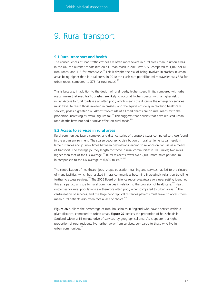# 9. Rural transport

#### **9.1 Rural transport and health**

The consequences of road traffic crashes are often more severe in rural areas than in urban areas. In the UK, the number of fatalities on all urban roads in 2010 was 572, compared to 1,046 for all rural roads, and 113 for motorways.<sup>31</sup> This is despite the risk of being involved in crashes in urban areas being higher than in rural areas (in 2010 the crash rate per billion miles travelled was 828 for urban roads, compared to 376 for rural roads).<sup>31</sup>

This is because, in addition to the design of rural roads, higher speed limits, compared with urban roads, mean that road traffic crashes are likely to occur at higher speeds, with a higher risk of injury. Access to rural roads is also often poor, which means the distance the emergency services must travel to reach those involved in crashes, and the equivalent delay in reaching healthcare services, poses a greater risk. Almost two-thirds of all road deaths are on rural roads, with the proportion increasing as overall figures fall.<sup>31</sup> This suggests that policies that have reduced urban road deaths have not had a similar effect on rural roads.<sup>201</sup>

#### **9.2 Access to services in rural areas**

Rural communities face a complex, and distinct, series of transport issues compared to those found in the urban environment. The sparse geographic distribution of rural settlements can result in large distances and journey times between destinations leading to reliance on car use as a means of transport. The average journey length for those in rural communities is 10.5 miles; two miles higher than that of the UK average.<sup>202</sup> Rural residents travel over 2,000 more miles per annum, in comparison to the UK average of  $6,800$  miles.<sup>202, 203</sup>

The centralisation of healthcare, jobs, shops, education, training and services has led to the closure of many facilities, which has resulted in rural communities becoming increasingly reliant on travelling further to access services.<sup>204</sup> The 2005 Board of Science report *Healthcare in a rural setting* identified this as a particular issue for rural communities in relation to the provision of healthcare.<sup>203</sup> Health outcomes for rural populations are therefore often poor, when compared to urban areas.<sup>203</sup> The centralisation of services, and the large geographical distances patients must travel to access them, mean rural patients also often face a lack of choice.<sup>203</sup>

**Figure 26** outlines the percentage of rural households in England who have a service within a given distance, compared to urban areas. **Figure 27** depicts the proportion of households in Scotland within a 15 minute drive of services, by geographical area. As is apparent, a higher proportion of rural residents live further away from services, compared to those who live in urban communities.<sup>2</sup>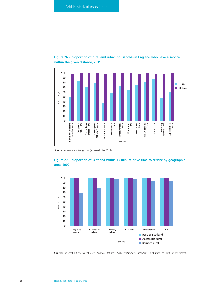

# **Figure 26 – proportion of rural and urban households in England who have a service within the given distance, 2011**

**Source:** ruralcommunities.gov.uk (accessed May 2012)



**Figure 27 – proportion of Scotland within 15 minute drive time to service by geographic area, 2009**

**Source:** The Scottish Government (2011) *National Statistics – Rural Scotland Key Facts 2011.* Edinburgh: The Scottish Government.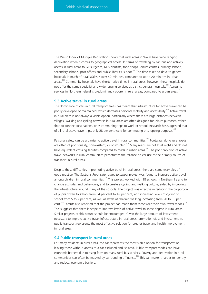The Welsh Index of Multiple Deprivation shows that rural areas in Wales have wide ranging deprivation when it comes to geographical access. In terms of travelling by car, bus and actively, access in rural areas to GP surgeries, NHS dentists, food shops, leisure centres, primary schools, secondary schools, post offices and public libraries is poor.<sup>206</sup> The time taken to drive to general hospitals in much of rural Wales is over 40 minutes, compared to up to 20 minutes in urban areas.<sup>206</sup> Community hospitals have shorter drive times in rural areas, however, these hospitals do not offer the same specialist and wide ranging services as district general hospitals.<sup>206</sup> Access to services in Northern Ireland is predominantly poorer in rural areas, compared to urban areas.<sup>207</sup>

# **9.3 Active travel in rural areas**

The dominance of cars in rural transport areas has meant that infrastructure for active travel can be poorly developed or maintained, which decreases personal mobility and accessibility.<sup>208</sup> Active travel in rural areas is not always a viable option, particularly where there are large distances between villages. Walking and cycling networks in rural areas are often designed for leisure purposes, rather than to connect destinations, or as commuting trips to work or school. Research has suggested that of all rural active travel trips, only 28 per cent were for commuting or shopping purposes.<sup>20</sup>

Personal safety can be a barrier to active travel in rural communities.<sup>208</sup> Footways along rural roads are often of poor quality, non-existent, or obstructed.<sup>208</sup> Many roads are not lit at night and do not have equivalent crossing facilities compared to roads in urban areas.<sup>208</sup> The poor provision of active travel networks in rural communities perpetuates the reliance on car use as the primary source of transport in rural areas.

Despite these difficulties in promoting active travel in rural areas, there are some examples of good practice. The Sustrans *Rural safe routes to school* project was found to increase active travel among children in rural communities.<sup>210</sup> This project worked with 18 schools in Northern Ireland to change attitudes and behaviours, and to create a cycling and walking culture, aided by improving the infrastructure around many of the schools. The project was effective in reducing the proportion of pupils driven to school from 64 per cent to 49 per cent, and increasing levels of cycling to school from 5 to 7 per cent, as well as levels of children walking increasing from 20 to 33 per cent.<sup>210</sup> Parents also reported that the project had made them reconsider their own travel modes.<sup>210</sup> This suggests that there is scope to improve levels of active travel to some degree in rural areas. Similar projects of this nature should be encouraged. Given the large amount of investment necessary to improve active travel infrastructure in rural areas, promotion of, and investment in, public transport represents the most effective solution for greater travel and health improvement in rural areas.

## **9.4 Public transport in rural areas**

For many residents in rural areas, the car represents the most viable option for transportation, leaving those without access to a car excluded and isolated. Public transport modes can have economic barriers due to rising fares on many rural bus services. Poverty and deprivation in rural communities can often be masked by surrounding affluence.<sup>208</sup> This can make it harder to identify, and reduce, economic barriers.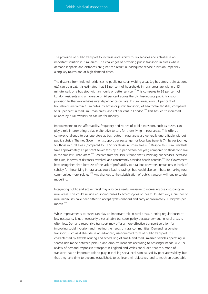The provision of public transport to increase accessibility to key services and activities is an important solution in rural areas. The challenges of providing public transport in areas where demand is sparse and distances are great can result in inadequate service provision, especially along key routes and at high demand times.

The distance from isolated residences to public transport waiting areas (eg bus stops, train stations etc) can be great. It is estimated that 82 per cent of households in rural areas are within a 13 minute walk of a bus stop with an hourly or better service.<sup>126</sup> This compares to 99 per cent of London residents and an average of 96 per cent across the UK. Inadequate public transport provision further exacerbates rural dependence on cars. In rural areas, only 51 per cent of households are within 15 minutes, by active or public transport, of healthcare facilities, compared to 80 per cent in medium urban areas, and 89 per cent in London.<sup>211</sup> This has led to increased reliance by rural dwellers on car use for mobility.

Improvements to the affordability, frequency and routes of public transport, such as buses, can play a role in promoting a viable alterative to cars for those living in rural areas. This offers a complex challenge to bus operators as bus routes in rural areas are generally unprofitable without public subsidy. The net Government support per passenger for local bus travel is 74.2p per journey for those in rural areas (compared to 51.5p for those in urban areas).<sup>212</sup> Despite this, rural residents take approximately 12 per cent fewer trips by bus per person per year, compared to those who live in the smallest urban areas.<sup>211</sup> Research from the 1980s found that subsidising bus services increased their use, in terms of distances travelled, and concurrently provided health benefits.<sup>213</sup> The Government have recognised that, because of the lack of profitability to rural bus operators, reductions in levels of subsidy for those living in rural areas could lead to savings, but would also contribute to making rural communities more isolated.<sup>212</sup> Any changes to the subsidisation of public transport will require careful modelling.

Integrating public and active travel may also be a useful measure to increasing bus occupancy in rural areas. This could include equipping buses to accept cycles on board. In Sheffield, a number of rural minibuses have been fitted to accept cycles onboard and carry approximately 30 bicycles per month $^{214}$ 

While improvements to buses can play an important role in rural areas, running regular buses at low occupancy is not necessarily a sustainable transport policy because demand in rural areas is often low. Demand responsive transport may offer a more effective transport solution for improving social inclusion and meeting the needs of rural communities. Demand responsive transport, such as dial-a-ride, is an advanced, user-oriented form of public transport. It is characterised by flexible routing and scheduling of small- and medium-sized vehicles operating in shared-ride mode between pick-up and drop-off locations according to passenger needs. A 2009 review of demand responsive transport in England and Wales concluded that this mode of transport has an important role to play in tackling social exclusion caused by poor accessibility, but that they take time to become established, to achieve their objectives, and to reach an acceptable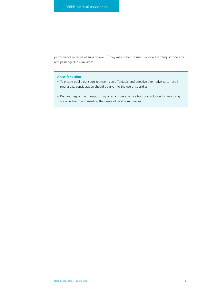performance in terms of subsidy level.<sup>215</sup> They may present a useful option for transport operators and passengers in rural areas.

# **Areas for action**

- To ensure public transport represents an affordable and effective alternative to car use in rural areas, consideration should be given to the use of subsidies.
- Demand responsive transport may offer a more effective transport solution for improving social inclusion and meeting the needs of rural communities.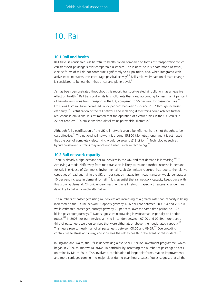# 10. Rail

# **10.1 Rail and health**

Rail travel is considered less harmful to health, when compared to forms of transportation which can transport passengers over comparable distances. This is because it is a safe mode of travel, electric forms of rail do not contribute significantly to air pollution, and, when integrated with active travel networks, can encourage physical activity.<sup>216</sup> Rail's relative impact on climate change is considered to be less than that of car and plane travel.<sup>217</sup>

As has been demonstrated throughout this report, transport-related air pollution has a negative effect on health.<sup>85</sup> Rail transport emits less pollutants than cars, accounting for less than 2 per cent of harmful emissions from transport in the UK, compared to 55 per cent for passenger cars.<sup>161</sup> Emissions from rail have decreased by 22 per cent between 1995 and 2007 through increased efficiency.<sup>218</sup> Electrification of the rail network and replacing diesel trains could achieve further reductions in emissions. It is estimated that the operation of electric trains in the UK results in 22 per cent less  $CO<sub>2</sub>$  emissions than diesel trains per vehicle kilometre.<sup>217</sup>

Although full electrification of the UK rail network would benefit health, it is not thought to be cost effective.<sup>217</sup> The national rail network is around 15,800 kilometres long, and it is estimated that the cost of completely electrifying would be around £13 billion.<sup>217</sup> Technologies such as hybrid diesel-electric trains may represent a useful interim technology.<sup>2</sup>

# **10.2 Rail network capacity**

There is already a high demand for rail services in the UK, and that demand is increasing.<sup>219, 220</sup> Achieving a modal shift away from road transport is likely to create a further increase in demand for rail. The House of Commons Environmental Audit Committee reported that, due to the relative capacities of road and rail in the UK, a 1 per cent shift away from road transport would generate a 10 per cent increase in demand for rail.<sup>221</sup> It is essential that rail network capacity keeps pace with this growing demand. Chronic under-investment in rail network capacity threatens to undermine its ability to deliver a viable alternative. $226$ 

The numbers of passengers using rail services are increasing at a greater rate than capacity is being increased on the UK rail network. Capacity grew by 18.6 per cent between 2003-04 and 2007-08, while estimated passenger journeys grew by 22 per cent, over the same time period, to 1.27 billion passenger journeys.<sup>220</sup> Data suggest train crowding is widespread, especially on London routes.<sup>220</sup> In 2008, for train services arriving in London between 07.00 and 09.59, more than a third of passengers were on services that were either at, or above, their designated capacity.<sup>220</sup> This figure rose to nearly half of all passengers between 08.00 and 09.59.<sup>220</sup> Overcrowding contributes to stress and injury, and increases the risk to health in the event of rail incidents.<sup>222</sup>

In England and Wales, the DfT is undertaking a five-year £9 billion investment programme, which began in 2009, to improve rail travel, in particular by increasing the number of passenger places on trains by March 2014. This involves a combination of longer platforms, station improvements and more carriages coming into major cities during peak hours. Latest figures suggest that all the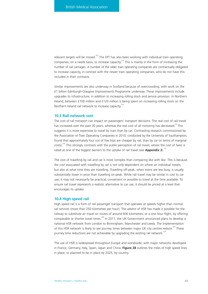relevant targets will be missed.<sup>223</sup> The DfT has also been working with individual train operating companies, on a needs basis, to increase capacity.<sup> $^{224}$ </sup> This is mainly in the form of increasing the number of rail carriages. A number of the older train operating companies are contractually obligated to increase capacity, in contrast with the newer train operating companies, who do not have this included in their contracts.

Similar improvements are also underway in Scotland because of overcrowding, with work on the £1 billion Edinburgh-Glasgow Improvements Programme underway. These improvements include upgrades to infrastructure, in addition to increasing rolling stock and service provision. In Northern Ireland, between £100 million and £120 million is being spent on increasing rolling stock on the Northern Ireland rail network to increase capacity.<sup>225</sup>

## **10.3 Rail network cost**

The cost of rail transport can impact on passengers' transport decisions. The real cost of rail travel has increased over the past 30 years, whereas the real cost of all motoring has decreased.<sup>39</sup> This suggests it is more expensive to travel by train than by car. Contrasting research commissioned by the Association of Train Operating Companies in 2010, conducted by the University of Southampton, found that approximately four out of five trips are cheaper by rail, than by car (in terms of marginal costs).<sup>226</sup> This strongly contrasts with the public perception of rail travel, where the cost of fares is rated as one of the biggest barriers to the uptake of rail travel (see **Appendix 2**).<sup>227</sup>

The cost of travelling by rail and car is more complex than comparing like with like. This is because the cost associated with travelling by rail is not only dependent on where an individual travels, but also at what time they are travelling. Travelling off-peak, when trains are less busy, is usually substantially lower in price than travelling on-peak. While rail travel may be similar in cost to car use, it may not necessarily be practical, convenient or possible to travel at the time available. To ensure rail travel represents a realistic alternative to car use, it should be priced at a level that encourages its uptake.

## **10.4 High speed rail**

High speed rail is a form of rail passenger transport that operates at speeds higher than normal rail services (more than 250 kilometres per hour). The advent of HSR has made it possible for the railway to substitute air travel on routes of around 600 kilometres, or a one hour flight, by offering comparable or shorter travel times.<sup>228</sup> In 2011, the UK Government announced plans to develop a national HSR network from London to Birmingham, Manchester and Leeds. The implementation of this HSR network is likely to see journey times between major UK city centres reduce.<sup>229</sup> These journey time reductions are not achievable by upgrading the existing rail network.<sup>229</sup>

The use of HSR is widespread throughout Europe and worldwide, with major networks developed in France, Germany, Italy, Spain, Japan and China. **Figure 28** outlines the miles of high speed lines in place, or planned to be in place by 2025, by country.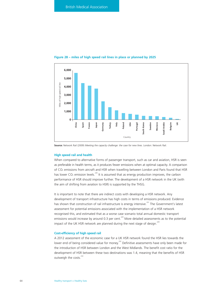

#### **Figure 28 – miles of high speed rail lines in place or planned by 2025**

**Source:** Network Rail (2009) *Meeting the capacity challenge: the case for new lines*. London: Network Rail.

## **High speed rail and health**

When compared to alternative forms of passenger transport, such as car and aviation, HSR is seen as preferable in health terms, as it produces fewer emissions when at optimal capacity. A comparison of CO2 emissions from aircraft and HSR when travelling between London and Paris found that HSR has lower  $CO<sub>2</sub>$  emission levels.<sup>230</sup> It is assumed that as energy production improves, the carbon performance of HSR should improve further. The development of a HSR network in the UK (with the aim of shifting from aviation to HSR) is supported by the THSG.

It is important to note that there are indirect costs with developing a HSR network. Any development of transport infrastructure has high costs in terms of emissions produced. Evidence has shown that construction of rail infrastructure is energy intensive.<sup>231</sup> The Government's latest assessment for potential emissions associated with the implementation of a HSR network recognised this, and estimated that as a worse case scenario total annual domestic transport emissions would increase by around 0.3 per cent.<sup>229</sup> More detailed assessments as to the potential impact of the UK HSR network are planned during the next stage of design.<sup>229</sup>

#### **Cost-efficiency of high speed rail**

A 2012 assessment of the economic case for a UK HSR network found the HSR lies towards the lower end of being considered value for money.<sup>232</sup> Definitive assessments have only been made for the introduction of HSR between London and the West Midlands. The benefit cost ratio for the development of HSR between these two destinations was 1.4, meaning that the benefits of HSR outweigh the costs.<sup>232</sup>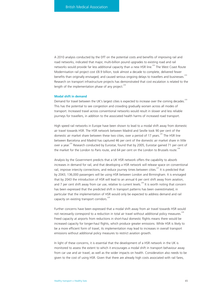A 2010 analysis conducted by the DfT on the potential costs and benefits of improving rail and road networks, indicated that major, multi-billion pound upgrades to existing road and rail networks would provide far less additional capacity than a new HSR line.<sup>233</sup> The West Coast Route Modernisation rail project cost £8.9 billion, took almost a decade to complete, delivered fewer benefits than originally envisaged, and caused serious ongoing delays to travellers and businesses.<sup>233</sup> Research on transport infrastructure projects has demonstrated that cost escalation is related to the length of the implementation phase of any project. $^{234}$ 

## **Modal shift in demand**

Demand for travel between the UK's largest cities is expected to increase over the coming decades.<sup>233</sup> This has the potential to see congestion and crowding gradually worsen across all modes of transport. Increased travel across conventional networks would result in slower and less reliable journeys for travellers, in addition to the associated health harms of increased road transport.

High speed rail networks in Europe have been shown to lead to a modal shift away from domestic air travel towards HSR. The HSR network between Madrid and Seville took 90 per cent of the domestic air market share between these two cities, over a period of 17 years.<sup>235</sup> The HSR line between Barcelona and Madrid has captured 46 per cent of the domestic air market share in little over a year.<sup>235</sup> Research conducted by Eurostar, found that by 2005, Eurostar gained 71 per cent of the market for the London to Paris route, and 64 per cent on the London to Brussels route.<sup>236</sup>

Analysis by the Government predicts that a UK HSR network offers the capability to absorb increases in demand for rail, and that developing a HSR network will release space on conventional rail, improve intercity connections, and reduce journey times between cities.<sup>237</sup> It is predicted that by 2043, 136,000 passengers will be using HSR between London and Birmingham. It is envisaged that by 2043 the introduction of HSR will lead to an annual 6 per cent shift away from aviation, and 7 per cent shift away from car use, relative to current levels.<sup>238</sup> It is worth noting that concern has been expressed that the predicted shift in transport patterns has been overestimated, in particular that the implementation of HSR would only be expected to address demand and rail capacity on existing transport corridors.<sup>229</sup>

Further concerns have been expressed that a modal shift away from air travel towards HSR would not necessarily correspond to a reduction in total air travel without additional policy measures.<sup>228</sup> Freed capacity at airports from reductions in short-haul domestic flights means there would be increased capacity for longer-haul flights, which produce greater emissions. While HSR is likely to be a more efficient form of travel, its implementation may lead to increases in overall transport emissions without additional policy measures to restrict aviation growth.

In light of these concerns, it is essential that the development of a HSR network in the UK is monitored to assess the extent to which it encourages a modal shift in transport behaviour away from car use and air travel, as well as the wider impacts on health. Consideration also needs to be given to the cost of using HSR. Given that there are already high costs associated with rail fares,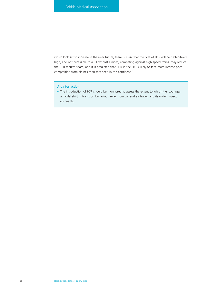which look set to increase in the near future, there is a risk that the cost of HSR will be prohibitively high, and not accessible to all. Low cost airlines, competing against high speed trains, may reduce the HSR market share, and it is predicted that HSR in the UK is likely to face more intense price competition from airlines than that seen in the continent.<sup>239</sup>

# **Area for action**

• The introduction of HSR should be monitored to assess the extent to which it encourages a modal shift in transport behaviour away from car and air travel, and its wider impact on health.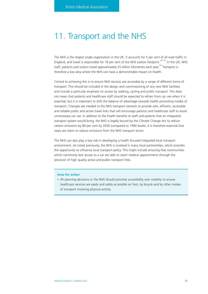# 11. Transport and the NHS

The NHS is the largest single organisation in the UK. It accounts for 5 per cent of all road traffic in England, and travel is responsible for 18 per cent of the NHS carbon footprint.<sup>240, 241</sup> In the UK, NHS staff, patients and visitors travel approximately 25 billion kilometres each year.<sup>240</sup> Transport is therefore a key area where the NHS can have a demonstrable impact on health.

Central to achieving this is to ensure NHS services are accessible by a range of different forms of transport. This should be included in the design and commissioning of any new NHS facilities, and include a particular emphasis on access by walking, cycling and public transport. This does not mean that patients and healthcare staff should be expected to refrain from car use when it is essential, but it is important to shift the balance of advantage towards health promoting modes of transport. Changes are needed to the NHS transport network to provide safe, efficient, accessible and reliable public and active travel links that will encourage patients and healthcare staff to avoid unnecessary car use. In addition to the health benefits to staff and patients that an integrated transport system would bring, the NHS is legally bound by the Climate Change Act to reduce carbon emissions by 80 per cent by 2050 (compared to 1990 levels). It is therefore essential that steps are taken to reduce emissions from the NHS transport sector.

The NHS can also play a key role in developing a health focused integrated local transport environment. As noted previously, the NHS is involved in many local partnerships, which provides the opportunity to influence local transport policy. This might include ensuring that communities which commonly lack access to a car are able to reach medical appointments through the provision of high quality active and public transport links.

## **Area for action**

• All planning decisions in the NHS should prioritise accessibility over mobility to ensure healthcare services are easily and safely accessible on foot, by bicycle and by other modes of transport involving physical activity.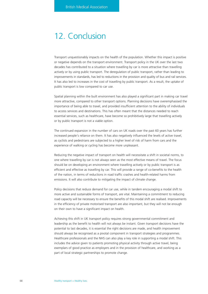# 12. Conclusion

Transport unquestionably impacts on the health of the population. Whether this impact is positive or negative depends on the transport environment. Transport policy in the UK over the last two decades has contributed to a situation where travelling by car is more attractive than travelling actively or by using public transport. The deregulation of public transport, rather than leading to improvements in standards, has led to reductions in the provision and quality of bus and rail services. It has also led to increases in the cost of travelling by public transport. As a result, the uptake of public transport is low compared to car use.

Spatial planning within the built environment has also played a significant part in making car travel more attractive, compared to other transport options. Planning decisions have overemphasised the importance of being able to travel, and provided insufficient attention to the ability of individuals to access services and destinations. This has often meant that the distances needed to reach essential services, such as healthcare, have become so prohibitively large that travelling actively or by public transport is not a viable option.

The continued expansion in the number of cars on UK roads over the past 60 years has further increased people's reliance on them. It has also negatively influenced the levels of active travel, as cyclists and pedestrians are subjected to a higher level of risk of harm from cars and the experience of walking or cycling has become more unpleasant.

Reducing the negative impact of transport on health will necessitate a shift in societal norms, to one where travelling by car is not always seen as the most effective means of travel. The focus should be on developing an environment where travelling actively or by public transport is as efficient and effective as travelling by car. This will provide a range of co-benefits to the health of the nation, in terms of reductions in road traffic crashes and health-related harms from emissions. It will also contribute to mitigating the impact of climate change.

Policy decisions that reduce demand for car use, while in tandem encouraging a modal shift to more active and sustainable forms of transport, are vital. Maintaining a commitment to reducing road capacity will be necessary to ensure the benefits of this modal shift are realised. Improvements in the efficiency of private motorised transport are also important, but they will not be enough on their own to have a significant impact on health.

Achieving this shift in UK transport policy requires strong governmental commitment and leadership as the benefit to health will not always be instant. Given transport decisions have the potential to last decades, it is essential the right decisions are made, and health improvement should always be recognised as a pivotal component in transport strategies and programmes. Healthcare professionals and the NHS can also play a key role in supporting a modal shift. This includes the advice given to patients promoting physical activity through active travel, being exemplars of good practice as employers and in the provision of healthcare, and working as a part of local strategic partnerships to promote change.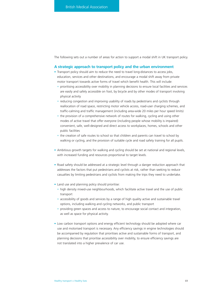The following sets out a number of areas for action to support a modal shift in UK transport policy.

# **A strategic approach to transport policy and the urban environment**

- Transport policy should aim to reduce the need to travel long-distances to access jobs, education, services and other destinations, and encourage a modal shift away from private motor transport towards active forms of travel which benefit health. This will include:
	- prioritising accessibility over mobility in planning decisions to ensure local facilities and services are easily and safely accessible on foot, by bicycle and by other modes of transport involving physical activity
	- reducing congestion and improving usability of roads by pedestrians and cyclists through reallocation of road space, restricting motor vehicle access, road-user charging schemes, and traffic-calming and traffic management (including area-wide 20 miles per hour speed limits)
	- the provision of a comprehensive network of routes for walking, cycling and using other modes of active travel that offer everyone (including people whose mobility is impaired) convenient, safe, well-designed and direct access to workplaces, homes, schools and other public facilities
	- the creation of safe routes to school so that children and parents can travel to school by walking or cycling, and the provision of suitable cycle and road safety training for all pupils.
- Ambitious growth targets for walking and cycling should be set at national and regional levels, with increased funding and resources proportional to target levels.
- Road safety should be addressed at a strategic level through a danger reduction approach that addresses the factors that put pedestrians and cyclists at risk, rather than seeking to reduce casualties by limiting pedestrians and cyclists from making the trips they need to undertake.
- Land use and planning policy should prioritise:
	- high density mixed-use neighbourhoods, which facilitate active travel and the use of public transport
	- accessibility of goods and services by a range of high quality active and sustainable travel options, including walking and cycling networks, and public transport
	- providing green spaces and access to nature, to encourage social contact and integration, as well as space for physical activity.
- Low carbon transport options and energy efficient technology should be adopted where car use and motorised transport is necessary. Any efficiency savings in engine technologies should be accompanied by regulation that prioritises active and sustainable forms of transport, and planning decisions that prioritise accessibility over mobility, to ensure efficiency savings are not translated into a higher prevalence of car use.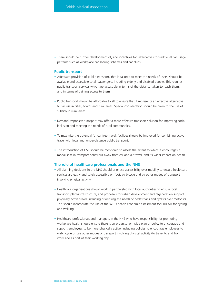• There should be further development of, and incentives for, alternatives to traditional car usage patterns such as workplace car sharing schemes and car clubs.

# **Public transport**

- Adequate provision of public transport, that is tailored to meet the needs of users, should be available and accessible to all passengers, including elderly and disabled people. This requires public transport services which are accessible in terms of the distance taken to reach them, and in terms of gaining access to them.
- Public transport should be affordable to all to ensure that it represents an effective alternative to car use in cities, towns and rural areas. Special consideration should be given to the use of subsidy in rural areas.
- Demand responsive transport may offer a more effective transport solution for improving social inclusion and meeting the needs of rural communities.
- To maximise the potential for car-free travel, facilities should be improved for combining active travel with local and longer-distance public transport.
- The introduction of HSR should be monitored to assess the extent to which it encourages a modal shift in transport behaviour away from car and air travel, and its wider impact on health.

# **The role of healthcare professionals and the NHS**

- All planning decisions in the NHS should prioritise accessibility over mobility to ensure healthcare services are easily and safely accessible on foot, by bicycle and by other modes of transport involving physical activity.
- Healthcare organisations should work in partnership with local authorities to ensure local transport plans/infrastructure, and proposals for urban development and regeneration support physically active travel, including prioritising the needs of pedestrians and cyclists over motorists. This should incorporate the use of the WHO health economic assessment tool (HEAT) for cycling and walking.
- Healthcare professionals and managers in the NHS who have responsibility for promoting workplace health should ensure there is an organisation-wide plan or policy to encourage and support employees to be more physically active, including policies to encourage employees to walk, cycle or use other modes of transport involving physical activity (to travel to and from work and as part of their working day).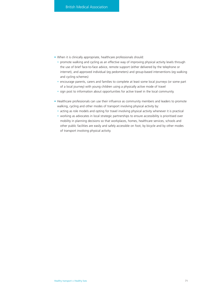- When it is clinically appropriate, healthcare professionals should:
	- promote walking and cycling as an effective way of improving physical activity levels through the use of brief face-to-face advice, remote support (either delivered by the telephone or internet), and approved individual (eg pedometers) and group-based interventions (eg walking and cycling schemes)
	- encourage parents, carers and families to complete at least some local journeys (or some part of a local journey) with young children using a physically active mode of travel
	- sign post to information about opportunities for active travel in the local community.
- Healthcare professionals can use their influence as community members and leaders to promote walking, cycling and other modes of transport involving physical activity by:
	- acting as role models and opting for travel involving physical activity whenever it is practical
	- working as advocates in local strategic partnerships to ensure accessibility is prioritised over mobility in planning decisions so that workplaces, homes, healthcare services, schools and other public facilities are easily and safely accessible on foot, by bicycle and by other modes of transport involving physical activity.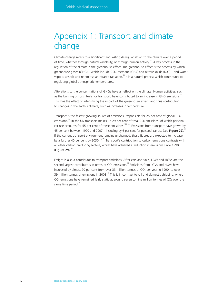# Appendix 1: Transport and climate change

Climate change refers to a significant and lasting deregularisation to the climate over a period of time, whether through natural variability, or through human activity.<sup>242</sup> A key process in the regulation of the climate is the greenhouse effect. The greenhouse effect is the process by which greenhouse gases (GHG) – which include CO<sub>2</sub>, methane (CH4) and nitrous oxide (N<sub>2</sub>O) – and water vapour, absorb and re-emit solar infrared radiation.<sup>84</sup> It is a natural process which contributes to regulating global atmospheric temperatures.

Alterations to the concentrations of GHGs have an effect on the climate. Human activities, such as the burning of fossil fuels for transport, have contributed to an increase in GHG emissions.<sup>34</sup> This has the effect of intensifying the impact of the greenhouse effect, and thus contributing to changes in the earth's climate, such as increases in temperature.

Transport is the fastest growing source of emissions; responsible for 25 per cent of global CO<sub>2</sub> emissions.<sup>243</sup> In the UK transport makes up 29 per cent of total CO<sub>2</sub> emissions, of which personal car use accounts for 55 per cent of these emissions.<sup>161, 244</sup> Emissions from transport have grown by 45 per cent between 1990 and 2007 – including by 6 per cent for personal car use (see Figure 29).<sup>1</sup> If the current transport environment remains unchanged, these figures are expected to increase by a further 40 per cent by 2030.<sup>33, 245</sup> Transport's contribution to carbon emissions contrasts with all other carbon producing sectors, which have achieved a reduction in emissions since 1990 (**Figure 29**).161

Freight is also a contributor to transport emissions. After cars and taxis, LGVs and HGVs are the second largest contributors in terms of  $CO<sub>2</sub>$  emissions.<sup>45</sup> Emissions from LGVs and HGVs have increased by almost 20 per cent from over 33 million tonnes of  $CO<sub>2</sub>$  per year in 1990, to over 39 million tonnes of emissions in 2008.<sup>45</sup> This is in contrast to rail and domestic shipping, where  $CO<sub>2</sub>$  emissions have remained fairly static at around seven to nine million tonnes of  $CO<sub>2</sub>$  over the same time period.<sup>45</sup>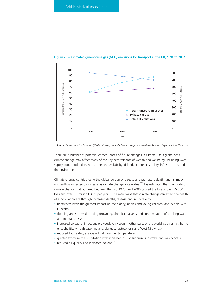

## **Figure 29 – estimated greenhouse gas (GHG) emissions for transport in the UK, 1990 to 2007**

**Source:** Department for Transport (2008) *UK transport and climate change data factsheet*. London: Department for Transport.

There are a number of potential consequences of future changes in climate. On a global scale, climate change may affect many of the key determinants of wealth and wellbeing, including water supply, food production, human health, availability of land, economic stability, infrastructure, and the environment.

Climate change contributes to the global burden of disease and premature death, and its impact on health is expected to increase as climate change accelerates.<sup>243</sup> It is estimated that the modest climate change that occurred between the mid 1970s and 2000 caused the loss of over 55,000 lives and over 1.5 million DALYs per year.<sup>246</sup> The main ways that climate change can affect the health of a population are through increased deaths, disease and injury due to:

- heatwaves (with the greatest impact on the elderly, babies and young children, and people with ill-health)
- flooding and storms (including drowning, chemical hazards and contamination of drinking water and mental stress)
- increased spread of infections previously only seen in other parts of the world (such as tick-borne encephalitis, lyme disease, malaria, dengue, leptospirosis and West Nile Virus)
- reduced food safety associated with warmer temperatures
- greater exposure to UV radiation with increased risk of sunburn, sunstroke and skin cancers
- reduced air quality and increased pollens.<sup>247</sup>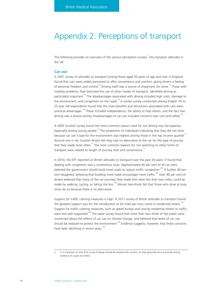# Appendix 2: Perceptions of transport

The following provides an overview of the various perception surveys<sup>°</sup> into transport attitudes in the UK.

# **Car use**

A 2007 survey of attitudes to transport among those aged 50 years of age and over in England found that cars were widely perceived to offer convenience and comfort, giving drivers a feeling of personal freedom and control.<sup>40</sup> Driving itself was a source of enjoyment for some.<sup>40</sup> Those with mobility problems, that restricted the use of other modes of transport, identified driving as particularly important.<sup>40</sup> The disadvantages associated with driving included high costs, damage to the environment, and congestion on the roads.<sup>40</sup> A similar survey conducted among English 16 to 25 year old respondents found that the main benefits and attractions associated with cars were practical advantages.<sup>109</sup> These included independence, the ability to help others, and the fact that driving was a leisure activity. Disadvantages to car use included concerns over cost and safety.<sup>109</sup>

A 2005 Scottish survey found the most common reason cited for not driving was the expense, especially among young people.<sup>41</sup> The proportion of individuals indicating that they did not drive because car use is bad for the environment was highest among those in the top income quartile.<sup>41</sup> Around one in ten Scottish drivers felt they had no alternative to the car for the type of journey that they made most often. $41$  The most common reasons for not switching to other forms of transport were related to length of journey time and convenience.<sup>41</sup>

In 2010, the DfT reported on British attitudes to transport over the past 20 years. It found that dealing with congestion was a contentious issue. Approximately 40 per cent of all car users believed the government should build more roads to reduce traffic congestion.<sup>248</sup> A further 40 per cent disagreed, believing that building more roads encourages more traffic.<sup>248</sup> Over 40 per cent of drivers believed that many of the car journeys they made that were less than two miles, could be made by walking, cycling, or taking the bus.<sup>248</sup> Almost two-thirds felt that those who drive at busy times do so because there is no alternative.

Support for traffic calming measures is high. A 2011 survey of British attitudes to transport found the greatest support was for the introduction of 20 miles per hour zones in residential streets.<sup>2</sup> Support for traffic calming measures, such as speed bumps and closing residential streets to traffic, were less well supported.<sup>249</sup> The same survey found that more than two thirds of the public were concerned about the effects of car use on climate change, and believed that levels of car use should be reduced to protect the environment.<sup>249</sup> Evidence suggests, however, that these concerns have been declining in recent years. $248$ 

o It is important to note that survey findings should be treated with caution, as they generally do not provide strong evidence of cause and effect.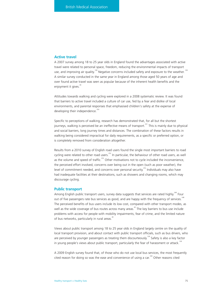# **Active travel**

A 2007 survey among 18 to 25 year olds in England found the advantages associated with active travel were related to personal space, freedom, reducing the environmental impacts of transport use, and improving air quality.<sup>109</sup> Negative concerns included safety and exposure to the weather.<sup>109</sup> A similar survey conducted in the same year in England among those aged 50 years of age and over found active travel was seen as popular because of the inherent health benefits and the enjoyment it gives.<sup>40</sup>

Attitudes towards walking and cycling were explored in a 2008 systematic review. It was found that barriers to active travel included a culture of car use, fed by a fear and dislike of local environments, and parental responses that emphasised children's safety at the expense of developing their independence. $25$ 

Specific to perceptions of walking, research has demonstrated that, for all but the shortest journeys, walking is perceived be an ineffective means of transport.<sup>251</sup> This is mainly due to physical and social barriers, long journey times and distances. The combination of these factors results in walking being considered impractical for daily requirements, as a specific or preferred option, or is completely removed from consideration altogether.

Results from a 2010 survey of English road users found the single most important barriers to road cycling were related to other road users.<sup>252</sup> In particular, the behaviour of other road users, as well as the volume and speed of traffic.<sup>252</sup> Other motivations not to cycle included the inconvenience, the perceived effort involved, concerns over being out in the open (such as poor weather), the level of commitment needed, and concerns over personal security.<sup>252</sup> Individuals may also have had inadequate facilities at their destinations, such as showers and changing rooms, which may discourage cycling.

## **Public transport**

Among English public transport users, survey data suggests that services are rated highly.<sup>248</sup> Four out of five passengers rate bus services as good, and are happy with the frequency of services.<sup>24</sup> The perceived benefits of bus users include its low cost, compared with other transport modes, as well as the wide coverage of bus routes across many areas.<sup>40</sup> The key barriers to bus use include problems with access for people with mobility impairments, fear of crime, and the limited nature of bus networks, particularly in rural areas.<sup>40</sup>

Views about public transport among 18 to 25 year olds in England largely centre on the quality of local transport provision, and about contact with public transport officials, such as bus drivers, who are perceived by younger passengers as treating them discourteously.<sup>109</sup> Safety is also a key factor in young people's views about public transport, particularly the fear of harassment or attack.<sup>109</sup>

A 2009 English survey found that, of those who do not use local bus services, the most frequently cited reason for doing so was the ease and convenience of using a car.<sup>169</sup> Other reasons cited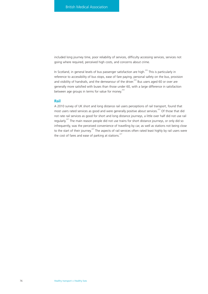included long journey time, poor reliability of services, difficulty accessing services, services not going where required, perceived high costs, and concerns about crime.

In Scotland, in general levels of bus passenger satisfaction are high.<sup>253</sup> This is particularly in reference to accessibility of bus stops, ease of fare paying, personal safety on the bus, provision and visibility of handrails, and the demeanour of the driver.<sup>253</sup> Bus users aged 60 or over are generally more satisfied with buses than those under 60, with a large difference in satisfaction between age groups in terms for value for money.<sup>253</sup>

# **Rail**

A 2010 survey of UK short and long distance rail users perceptions of rail transport, found that most users rated services as good and were generally positive about services.<sup>227</sup> Of those that did not rate rail services as good for short and long distance journeys, a little over half did not use rail regularly.<sup>227</sup> The main reason people did not use trains for short distance journeys, or only did so infrequently, was the perceived convenience of travelling by car, as well as stations not being close to the start of their journey.<sup>227</sup> The aspects of rail services often rated least highly by rail users were the cost of fares and ease of parking at stations.<sup>227</sup>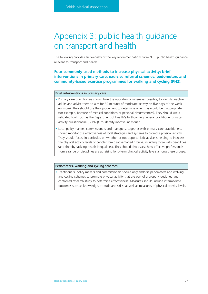# Appendix 3: public health guidance on transport and health

The following provides an overview of the key recommendations from NICE public health guidance relevant to transport and health.

**Four commonly used methods to increase physical activity: brief interventions in primary care, exercise referral schemes, pedometers and community-based exercise programmes for walking and cycling (PH2).**

# **Brief interventions in primary care**

- Primary care practitioners should take the opportunity, whenever possible, to identify inactive adults and advise them to aim for 30 minutes of moderate activity on five days of the week (or more). They should use their judgement to determine when this would be inappropriate (for example, because of medical conditions or personal circumstances). They should use a validated tool, such as the Department of Health's forthcoming general practitioner physical activity questionnaire (GPPAQ), to identify inactive individuals.
- Local policy makers, commissioners and managers, together with primary care practitioners, should monitor the effectiveness of local strategies and systems to promote physical activity. They should focus, in particular, on whether or not opportunistic advice is helping to increase the physical activity levels of people from disadvantaged groups, including those with disabilities (and thereby tackling health inequalities). They should also assess how effective professionals from a range of disciplines are at raising long-term physical activity levels among these groups.

## **Pedometers, walking and cycling schemes**

• Practitioners, policy makers and commissioners should only endorse pedometers and walking and cycling schemes to promote physical activity that are part of a properly designed and controlled research study to determine effectiveness. Measures should include intermediate outcomes such as knowledge, attitude and skills, as well as measures of physical activity levels.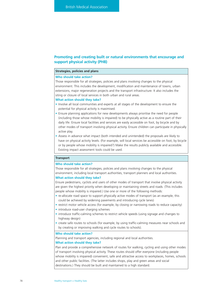# **Promoting and creating built or natural environments that encourage and support physical activity (PH8)**

# **Strategies, policies and plans**

## **Who should take action?**

Those responsible for all strategies, policies and plans involving changes to the physical environment. This includes the development, modification and maintenance of towns, urban extensions, major regeneration projects and the transport infrastructure. It also includes the siting or closure of local services in both urban and rural areas.

#### **What action should they take?**

- Involve all local communities and experts at all stages of the development to ensure the potential for physical activity is maximised.
- Ensure planning applications for new developments always prioritise the need for people (including those whose mobility is impaired) to be physically active as a routine part of their daily life. Ensure local facilities and services are easily accessible on foot, by bicycle and by other modes of transport involving physical activity. Ensure children can participate in physically active play.
- Assess in advance what impact (both intended and unintended) the proposals are likely to have on physical activity levels. (For example, will local services be accessible on foot, by bicycle or by people whose mobility is impaired?) Make the results publicly available and accessible. Existing impact assessment tools could be used.

# **Transport**

## **Who should take action?**

Those responsible for all strategies, policies and plans involving changes to the physical environment, including local transport authorities, transport planners and local authorities.

# **What action should they take?**

Ensure pedestrians, cyclists and users of other modes of transport that involve physical activity are given the highest priority when developing or maintaining streets and roads. (This includes people whose mobility is impaired.) Use one or more of the following methods:

- re-allocate road space to support physically active modes of transport (as an example, this could be achieved by widening pavements and introducing cycle lanes)
- restrict motor vehicle access (for example, by closing or narrowing roads to reduce capacity)
- introduce road-user charging schemes
- introduce traffic-calming schemes to restrict vehicle speeds (using signage and changes to highway design)
- create safe routes to schools (for example, by using traffic-calming measures near schools and by creating or improving walking and cycle routes to schools).

## **Who should take action?**

Planning and transport agencies, including regional and local authorities. **What action should they take?**

Plan and provide a comprehensive network of routes for walking, cycling and using other modes of transport involving physical activity. These routes should offer everyone (including people whose mobility is impaired) convenient, safe and attractive access to workplaces, homes, schools and other public facilities. (The latter includes shops, play and green areas and social destinations.) They should be built and maintained to a high standard.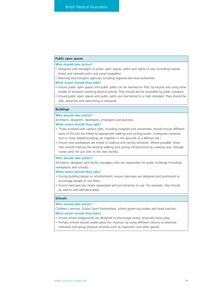# **Public open spaces**

# **Who should take action?**

- Designers and managers of public open spaces, paths and rights of way (including coastal, forest and riverside paths and canal towpaths).
- Planning and transport agencies including regional and local authorities.

### **What action should they take?**

- Ensure public open spaces and public paths can be reached on foot, by bicycle and using other modes of transport involving physical activity. They should also be accessible by public transport.
- Ensure public open spaces and public paths are maintained to a high standard. They should be safe, attractive and welcoming to everyone.

# **Buildings**

#### **Who should take action?**

Architects, designers, developers, employers and planners.

## **What action should they take?**

- Those involved with campus sites, including hospitals and universities, should ensure different parts of the site are linked by appropriate walking and cycling routes. (Campuses comprise two or more related buildings set together in the grounds of a defined site.)
- Ensure new workplaces are linked to walking and cycling networks. Where possible, these links should improve the existing walking and cycling infrastructure by creating new, through routes (and not just links to the new facility).

## **Who should take action?**

Architects, designers and facility managers who are responsible for public buildings (including workplaces and schools).

## **What action should they take?**

- During building design or refurbishment, ensure staircases are designed and positioned to encourage people to use them.
- Ensure staircases are clearly signposted and are attractive to use. For example, they should be well-lit and well-decorated.

# **Schools**

## **Who should take action?**

Children's services, School Sport Partnerships, school governing bodies and head teachers. **What action should they take?**

- Ensure school playgrounds are designed to encourage varied, physically active play.
- Primary schools should create areas (for instance, by using different colours) to promote individual and group physical activities such as hopscotch and other games.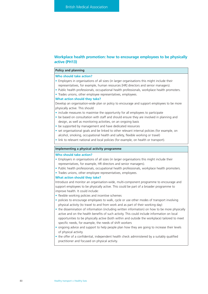# **Workplace health promotion: how to encourage employees to be physically active (PH13)**

# **Policy and planning**

#### **Who should take action?**

- Employers in organisations of all sizes (in larger organisations this might include their representatives, for example, human resources [HR] directors and senior managers).
- Public health professionals, occupational health professionals, workplace health promoters.
- Trades unions, other employee representatives, employees.

## **What action should they take?**

Develop an organisation-wide plan or policy to encourage and support employees to be more physically active. This should:

- include measures to maximise the opportunity for all employees to participate
- be based on consultation with staff and should ensure they are involved in planning and design, as well as monitoring activities, on an ongoing basis
- be supported by management and have dedicated resources
- set organisational goals and be linked to other relevant internal policies (for example, on alcohol, smoking, occupational health and safety, flexible working or travel)
- link to relevant national and local policies (for example, on health or transport).

# **Implementing a physical activity programme**

## **Who should take action?**

- Employers in organisations of all sizes (in larger organisations this might include their representatives, for example, HR directors and senior managers).
- Public health professionals, occupational health professionals, workplace health promoters.
- Trades unions, other employee representatives, employees.

## **What action should they take?**

Introduce and monitor an organisation-wide, multi-component programme to encourage and support employees to be physically active. This could be part of a broader programme to improve health. It could include:

• flexible working policies and incentive schemes

- policies to encourage employees to walk, cycle or use other modes of transport involving physical activity (to travel to and from work and as part of their working day)
- the dissemination of information (including written information) on how to be more physically active and on the health benefits of such activity. This could include information on local opportunities to be physically active (both within and outside the workplace) tailored to meet specific needs, for example, the needs of shift workers
- ongoing advice and support to help people plan how they are going to increase their levels of physical activity
- the offer of a confidential, independent health check administered by a suitably qualified practitioner and focused on physical activity.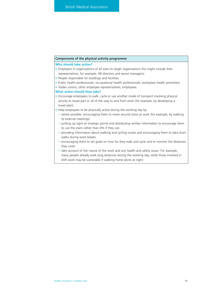## **Components of the physical activity programme**

## **Who should take action?**

- Employers in organisations of all sizes (in larger organisations this might include their representatives, for example, HR directors and senior managers).
- People responsible for buildings and facilities.
- Public health professionals, occupational health professionals, workplace health promoters.
- Trades unions, other employee representatives, employees.

- Encourage employees to walk, cycle or use another mode of transport involving physical activity to travel part or all of the way to and from work (for example, by developing a travel plan).
- Help employees to be physically active during the working day by:
	- where possible, encouraging them to move around more at work (for example, by walking to external meetings)
	- putting up signs at strategic points and distributing written information to encourage them to use the stairs rather than lifts if they can
	- providing information about walking and cycling routes and encouraging them to take short walks during work breaks
	- encouraging them to set goals on how far they walk and cycle and to monitor the distances they cover
	- take account of the nature of the work and any health and safety issues. For example, many people already walk long distances during the working day, while those involved in shift work may be vulnerable if walking home alone at night.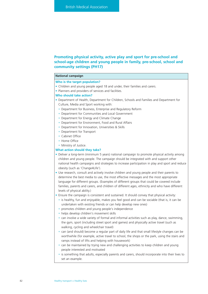# **Promoting physical activity, active play and sport for pre-school and school-age children and young people in family, pre-school, school and community settings (PH17)**

# **National campaign**

# **Who is the target population?**

- Children and young people aged 18 and under, their families and carers.
- Planners and providers of services and facilities.

## **Who should take action?**

- Department of Health, Department for Children, Schools and Families and Department for Culture, Media and Sport working with:
	- Department for Business, Enterprise and Regulatory Reform
	- Department for Communities and Local Government
	- Department for Energy and Climate Change
	- Department for Environment, Food and Rural Affairs
	- Department for Innovation, Universities & Skills
	- Department for Transport
	- Cabinet Office
	- Home Office
	- Ministry of Justice.

- Deliver a long-term (minimum 5 years) national campaign to promote physical activity among children and young people. The campaign should be integrated with and support other national health campaigns and strategies to increase participation in play and sport and reduce obesity (such as 'Change4Life').
- Use research, consult and actively involve children and young people and their parents to determine the best media to use, the most effective messages and the most appropriate language for different groups. (Examples of different groups that could be covered include families, parents and carers, and children of different ages, ethnicity and who have different levels of physical ability.)
- Ensure the campaign is consistent and sustained. It should convey that physical activity:
	- is healthy, fun and enjoyable, makes you feel good and can be sociable (that is, it can be undertaken with existing friends or can help develop new ones)
	- promotes children and young people's independence
	- helps develop children's movement skills
	- can involve a wide variety of formal and informal activities such as play, dance, swimming, the gym, sport (including street sport and games) and physically active travel (such as walking, cycling and wheelchair travel)
	- can (and should) become a regular part of daily life and that small lifestyle changes can be worthwhile (for example, active travel to school, the shops or the park, using the stairs and ramps instead of lifts and helping with housework)
	- can be maintained by trying new and challenging activities to keep children and young people interested and motivated
	- is something that adults, especially parents and carers, should incorporate into their lives to set an example.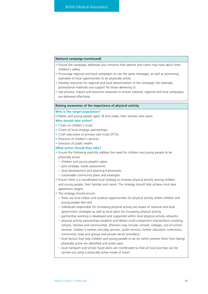# **National campaign (continued)**

- Ensure the campaign addresses any concerns that parents and carers may have about their children's safety.
- Encourage regional and local campaigns to use the same messages, as well as promoting examples of local opportunities to be physically active.
- Develop resources for regional and local dissemination of the campaign (for example, promotional materials and support for those delivering it).
- Use process, impact and outcome measures to ensure national, regional and local campaigns are delivered effectively.

#### **Raising awareness of the importance of physical activity**

#### **Who is the target population?**

Children and young people aged 18 and under, their families and carers.

# **Who should take action?**

- Chairs of children's trusts.
- Chairs of local strategic partnerships.
- Chief executives of primary care trusts (PCTs).
- Directors of children's services.
- Directors of public health.

- Ensure the following explicitly address the need for children and young people to be physically active:
	- children and young people's plans
	- joint strategic needs assessments
	- local development and planning frameworks
	- sustainable community plans and strategies.
- Ensure there is a coordinated local strategy to increase physical activity among children and young people, their families and carers. The strategy should help achieve local area agreement targets.
- The strategy should ensure:
	- there are local indoor and outdoor opportunities for physical activity where children and young people feel safe
	- individuals responsible for increasing physical activity are aware of national and local government strategies as well as local plans for increasing physical activity
	- partnership working is developed and supported within local physical activity networks
	- physical activity partnerships establish and deliver multi-component interventions involving schools, families and communities. (Partners may include: schools, colleges, out-of-school services, children's centres and play services, youth services, further education institutions, community clubs and groups and private sector providers).
	- local factors that help children and young people to be (or which prevent them from being) physically active are identified and acted upon
	- local transport and school travel plans are coordinated so that all local journeys can be carried out using a physically active mode of travel.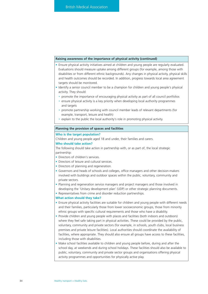# **Raising awareness of the importance of physical activity (continued)**

- Ensure physical activity initiatives aimed at children and young people are regularly evaluated. Evaluations should measure uptake among different groups (for example, among those with disabilities or from different ethnic backgrounds). Any changes in physical activity, physical skills and health outcomes should be recorded. In addition, progress towards local area agreement targets should be monitored.
- Identify a senior council member to be a champion for children and young people's physical activity. They should:
	- promote the importance of encouraging physical activity as part of all council portfolios
	- ensure physical activity is a key priority when developing local authority programmes and targets
	- promote partnership working with council member leads of relevant departments (for example, transport, leisure and health)
	- explain to the public the local authority's role in promoting physical activity.

# **Planning the provision of spaces and facilities**

### **Who is the target population?**

Children and young people aged 18 and under, their families and carers.

# **Who should take action?**

The following should take action in partnership with, or as part of, the local strategic partnership:

- Directors of children's services.
- Directors of leisure and cultural services.
- Directors of planning and regeneration.
- Governors and heads of schools and colleges, office managers and other decision-makers involved with buildings and outdoor spaces within the public, voluntary, community and private sectors.
- Planning and regeneration service managers and project managers and those involved in developing the 'Unitary development plan' (UDP) or other strategic planning documents.
- Representatives from crime and disorder reduction partnerships.

- Ensure physical activity facilities are suitable for children and young people with different needs and their families, particularly those from lower socioeconomic groups, those from minority ethnic groups with specific cultural requirements and those who have a disability.
- Provide children and young people with places and facilities (both indoors and outdoors) where they feel safe taking part in physical activities. These could be provided by the public, voluntary, community and private sectors (for example, in schools, youth clubs, local business premises and private leisure facilities). Local authorities should coordinate the availability of facilities, where appropriate. They should also ensure all groups have access to these facilities, including those with disabilities.
- Make school facilities available to children and young people before, during and after the school day, at weekends and during school holidays. These facilities should also be available to public, voluntary, community and private sector groups and organisations offering physical activity programmes and opportunities for physically active play.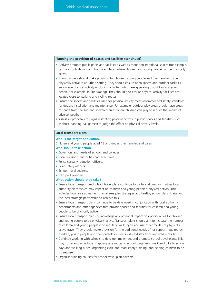## **Planning the provision of spaces and facilities (continued)**

- Actively promote public parks and facilities as well as more non-traditional spaces (for example, car parks outside working hours) as places where children and young people can be physically active.
- Town planners should make provision for children, young people and their families to be physically active in an urban setting. They should ensure open spaces and outdoor facilities encourage physical activity (including activities which are appealing to children and young people, for example, in-line skating). They should also ensure physical activity facilities are located close to walking and cycling routes.
- Ensure the spaces and facilities used for physical activity meet recommended safety standards for design, installation and maintenance. For example, outdoor play areas should have areas of shade from the sun and sheltered areas where children can play to reduce the impact of adverse weather.
- Assess all proposals for signs restricting physical activity in public spaces and facilities (such as those banning ball games) to judge the effect on physical activity levels.

## **Local transport plans**

### **Who is the target population?**

Children and young people aged 18 and under, their families and carers.

## **Who should take action?**

- Governors and heads of schools and colleges.
- Local transport authorities and executives.
- Police casualty reduction officers.
- Road safety officers.
- School travel advisers
- Transport planners.

- Ensure local transport and school travel plans continue to be fully aligned with other local authority plans which may impact on children and young people's physical activity. This includes local area agreements, local area play strategies and healthy school plans. Liaise with the local strategic partnership to achieve this.
- Ensure local transport plans continue to be developed in conjunction with local authority departments and other agencies that provide spaces and facilities for children and young people to be physically active.
- Ensure local transport plans acknowledge any potential impact on opportunities for children and young people to be physically active. Transport plans should aim to increase the number of children and young people who regularly walk, cycle and use other modes of physically active travel. They should make provision for the additional needs of, or support required by, children, young people and their parents or carers with a disability or impaired mobility.
- Continue working with schools to develop, implement and promote school travel plans. This may, for example, include: mapping safe routes to school; organising walk and bike to school days and walking buses; organising cycle and road safety training; and helping children to be 'streetwise'.
- Organise training courses for school travel plan advisers.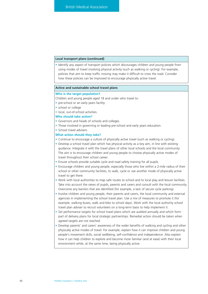# **Local transport plans (continued)**

• Identify any aspect of transport policies which discourages children and young people from using modes of travel involving physical activity (such as walking or cycling). For example, policies that aim to keep traffic moving may make it difficult to cross the road. Consider how these policies can be improved to encourage physically active travel.

#### **Active and sustainable school travel plans**

#### **Who is the target population?**

Children and young people aged 18 and under who travel to:

- pre-school or an early years facility
- school or college
- local, out-of-school activities.

## **Who should take action?**

- Governors and heads of schools and colleges.
- Those involved in governing or leading pre-school and early years education.
- School travel advisers.

- Continue to encourage a culture of physically active travel (such as walking or cycling).
- Develop a school travel plan which has physical activity as a key aim, in line with existing guidance. Integrate it with the travel plans of other local schools and the local community. The aim is to encourage children and young people to choose physically active modes of travel throughout their school career.
- Ensure schools provide suitable cycle and road safety training for all pupils.
- Encourage children and young people, especially those who live within a 2-mile radius of their school or other community facilities, to walk, cycle or use another mode of physically active travel to get there.
- Work with local authorities to map safe routes to school and to local play and leisure facilities. Take into account the views of pupils, parents and carers and consult with the local community. Overcome any barriers that are identified (for example, a lack of secure cycle parking).
- Involve children and young people, their parents and carers, the local community and external agencies in implementing the school travel plan. Use a mix of measures to promote it (for example, walking buses, walk and bike to school days). Work with the local authority school travel plan adviser to recruit volunteers on a long-term basis to help implement it.
- Set performance targets for school travel plans which are audited annually and which form part of delivery plans for local strategic partnerships. Remedial action should be taken when agreed targets are not reached.
- Develop parents' and carers' awareness of the wider benefits of walking and cycling and other physically active modes of travel. For example, explain how it can improve children and young people's movement skills, social wellbeing, self-confidence and independence. Also explain how it can help children to explore and become more familiar (and at ease) with their local environment while, at the same time, being physically active.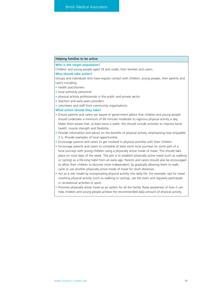# **Helping families to be active**

### **Who is the target population?**

Children and young people aged 18 and under, their families and carers.

# **Who should take action?**

Groups and individuals who have regular contact with children, young people, their parents and carers including:

- health practitioners
- local authority personnel
- physical activity professionals in the public and private sector
- teachers and early years providers
- volunteers and staff from community organisations.

- Ensure parents and carers are aware of government advice that children and young people should undertake a minimum of 60 minutes moderate to vigorous physical activity a day. Make them aware that, at least twice a week, this should include activities to improve bone health, muscle strength and flexibility.
- Provide information and advice on the benefits of physical activity, emphasising how enjoyable it is. Provide examples of local opportunities.
- Encourage parents and carers to get involved in physical activities with their children.
- Encourage parents and carers to complete at least some local journeys (or some part of a local journey) with young children using a physically active mode of travel. This should take place on most days of the week. The aim is to establish physically active travel (such as walking or cycling) as a life-long habit from an early age. Parents and carers should also be encouraged to allow their children to become more independent, by gradually allowing them to walk, cycle or use another physically active mode of travel for short distances.
- Act as a role model by incorporating physical activity into daily life. For example, opt for travel involving physical activity (such as walking or cycling), use the stairs and regularly participate in recreational activities or sport.
- Promote physically active travel as an option for all the family. Raise awareness of how it can help children and young people achieve the recommended daily amount of physical activity.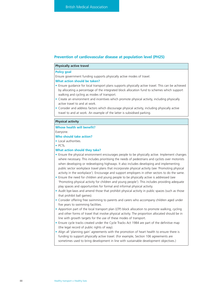# **Prevention of cardiovascular disease at population level (PH25)**

## **Physically active travel**

## **Policy goal**

Ensure government funding supports physically active modes of travel.

#### **What action should be taken?**

- Ensure guidance for local transport plans supports physically active travel. This can be achieved by allocating a percentage of the integrated block allocation fund to schemes which support walking and cycling as modes of transport.
- Create an environment and incentives which promote physical activity, including physically active travel to and at work.
- Consider and address factors which discourage physical activity, including physically active travel to and at work. An example of the latter is subsidised parking.

#### **Physical activity**

#### **Whose health will benefit?**

Everyone.

# **Who should take action?**

- Local authorities.
- PCTs.

- Ensure the physical environment encourages people to be physically active. Implement changes where necessary. This includes prioritising the needs of pedestrians and cyclists over motorists when developing or redeveloping highways. It also includes developing and implementing public sector workplace travel plans that incorporate physical activity (see 'Promoting physical activity in the workplace'). Encourage and support employers in other sectors to do the same.
- Ensure the need for children and young people to be physically active is addressed (see 'Promoting physical activity for children and young people'). This includes providing adequate play spaces and opportunities for formal and informal physical activity.
- Audit bye-laws and amend those that prohibit physical activity in public spaces (such as those that prohibit ball games).
- Consider offering free swimming to parents and carers who accompany children aged under five years to swimming facilities.
- Apportion part of the local transport plan (LTP) block allocation to promote walking, cycling and other forms of travel that involve physical activity. The proportion allocated should be in line with growth targets for the use of these modes of transport.
- Ensure cycle tracks created under the Cycle Tracks Act 1984 are part of the definitive map (the legal record of public rights of way).
- Align all 'planning gain' agreements with the promotion of heart health to ensure there is funding to support physically active travel. (For example, Section 106 agreements are sometimes used to bring development in line with sustainable development objectives.)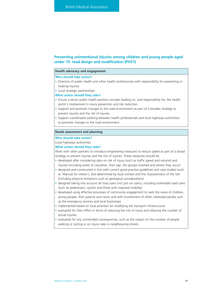# **Preventing unintentional injuries among children and young people aged under 15: road design and modification (PH31)**

## **Health advocacy and engagement**

#### **Who should take action?**

- Directors of public health and other health professionals with responsibility for preventing or treating injuries.
- Local strategic partnerships.

#### **What action should they take?**

- Ensure a senior public health position includes leading on, and responsibility for, the health sector's involvement in injury prevention and risk reduction.
- Support and promote changes to the road environment as part of a broader strategy to prevent injuries and the risk of injuries.
- Support coordinated working between health professionals and local highways authorities to promote changes to the road environment.

## **Needs assessment and planning**

#### **Who should take action?**

Local highways authorities.

# **What action should they take?**

Work with other partners to introduce engineering measures to reduce speed as part of a broad strategy to prevent injuries and the risk of injuries. These measures should be:

- developed after considering data on risk of injury (such as traffic speed and volume) and injuries (including levels of casualties, their age, the groups involved and where they occur)
- designed and constructed in line with current good practice guidelines and case studies (such as 'Manual for streets'), and determined by local context and the characteristics of the site (including physical limitations such as geological considerations)
- designed taking into account all road users (not just car users), including vulnerable road users (such as pedestrians, cyclists and those with impaired mobility)
- developed using effective processes of community engagement to seek the views of children, young people, their parents and carers and with involvement of other interested parties such as the emergency services and local businesses
- implemented based on local priorities for modifying the transport infrastructure
- evaluated for their effect in terms of reducing the risk of injury and reducing the number of actual injuries
- evaluated for any unintended consequences, such as the impact on the number of people walking or cycling or on injury rates in neighbouring streets.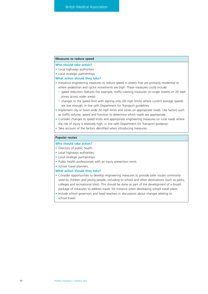# **Measures to reduce speed**

# **Who should take action?**

- Local highways authorities.
- Local strategic partnerships.

# **What action should they take?**

- Introduce engineering measures to reduce speed in streets that are primarily residential or where pedestrian and cyclist movements are high. These measures could include:
	- speed reduction features (for example, traffic-calming measures on single streets, or 20 mph zones across wider areas)
	- changes to the speed limit with signing only (20 mph limits) where current average speeds are low enough, in line with Department for Transport guidelines.
- Implement city or town-wide 20 mph limits and zones on appropriate roads. Use factors such as traffic volume, speed and function to determine which roads are appropriate.
- Consider changes to speed limits and appropriate engineering measures on rural roads where the risk of injury is relatively high, in line with Department for Transport guidance.
- Take account of the factors identified when introducing measures.

# **Popular routes**

# **Who should take action?**

- Directors of public health.
- Local highways authorities.
- Local strategic partnerships.
- Public health professionals with an injury prevention remit.
- School travel planners.

- Consider opportunities to develop engineering measures to provide safer routes commonly used by children and young people, including to school and other destinations (such as parks, colleges and recreational sites). This should be done as part of the development of a broad package of measures to address travel, for instance when developing school travel plans.
- Include school governors and head teachers in discussions about changes relating to school travel.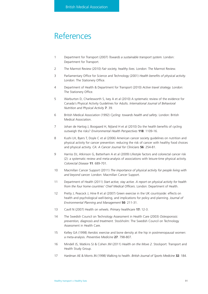# References

- 1 Department for Transport (2007) *Towards a sustainable transport system.* London: Department for Transport.
- 2 The Marmot Review (2010) *Fair society, healthy lives.* London: The Marmot Review.
- 3 Parliamentary Office for Science and Technology (2001) *Health benefits of physical activity.* London: The Stationery Office.
- 4 Department of Health & Department for Transport (2010) *Active travel strategy.* London: The Stationery Office.
- 5 Warburton D, Charlesworth S, Ivey A et al (2010) A systematic review of the evidence for Canada's Physical Activity Guidelines for Adults. *International Journal of Behavioral Nutrition and Physical Activity* **7**: 39.
- 6 British Medical Association (1992) *Cycling: towards health and safety*. London: British Medical Association.
- 7 Johan de Hartog J, Boogaard H, Nijland H et al (2010) Do the health benefits of cycling outweigh the risks? *Environmental Health Perspectives* **118**: 1109-16.
- 8 Kushi LH, Byers T, Doyle C et al (2006) American cancer society guidelines on nutrition and physical activity for cancer prevention: reducing the risk of cancer with healthy food choices and physical activity. *CA: A Cancer Journal for Clinicians* **56**: 254-81.
- 9 Harriss DJ, Atkinson G, Batterham A et al (2009) Lifestyle factors and colorectal cancer risk (2): a systematic review and meta-analysis of associations with leisure-time physical activity. *Colorectal Disease* **11**: 689-701.
- 10 Macmillan Cancer Support (2011) *The importance of physical activity for people living with and beyond cancer.* London: Macmillan Cancer Support.
- 11 Department of Health (2011) *Start active, stay active. A report on physical activity for health from the four home countries' Chief Medical Officers*. London: Department of Health.
- 12 Pretty J, Peacock J, Hine R et al (2007) Green exercise in the UK countryside: effects on health and psychological well-being, and implications for policy and planning. *Journal of Environmental Planning and Management* **50**: 211-31.
- 13 Cavill N (2007) Health on wheels. *Primary healthcare* **17:** 12-3.
- 14 The Swedish Council on Technology Assessment in Health Care (2003) *Osteoporosis: prevention, diagnosis and treatment.* Stockholm: The Swedish Council on Technology Assessment in Health Care.
- 15 Kelley GA (1998) Aerobic exercise and bone density at the hip in postmenopausal women: a meta-analysis. *Preventive Medicine* **27**: 798-807.
- 16 Mindell JS, Watkins SJ & Cohen JM (2011) *Health on the Move 2.* Stockport: Transport and Health Study Group.
- 17 Hardman AE & Morris JN (1998) Walking to health. *British Journal of Sports Medicine* **32**: 184.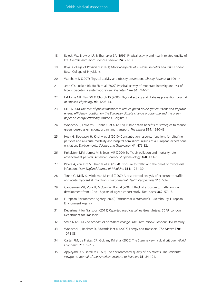- 18 Rejeski WJ, Brawley LR & Shumaker SA (1996) Physical activity and health-related quality of life. *Exercise and Sport Sciences Reviews* **24**: 71-108.
- 19 Royal College of Physicians (1991) *Medical aspects of exercise: benefits and risks.* London: Royal College of Physicians.
- 20 Wareham N (2007) Physical activity and obesity prevention. *Obesity Reviews* **8:** 109-14.
- 21 Jeon CY, Lokken RP, Hu FB et al (2007) Physical activity of moderate intensity and risk of type 2 diabetes: a systematic review. *Diabetes Care* **30**: 744-52.
- 22 LaMonte MJ, Blair SN & Church TS (2005) Physical activity and diabetes prevention. *Journal of Applied Physiology* **99**: 1205-13.
- 23 UITP (2006) *The role of public transport to reduce green house gas emissions and improve energy efficiency: position on the European climate change programme and the green paper on energy efficienc*y. Brussels, Belgium: UITP.
- 24 Woodcock J, Edwards P, Tonne C et al (2009) Public health benefits of strategies to reduce greenhouse-gas emissions: urban land transport. *The Lancet* **374**: 1930-43.
- 25 Hoek G, Boogaard H, Knol A et al (2010) Concentration response functions for ultrafine particles and all-cause mortality and hospital admissions: results of a European expert panel elicitation. *Environmental Science and Technology* **44**: 476-82.
- 26 Finkelstein MM, Jerrett M & Sears MR (2004) Traffic air pollution and mortality rate advancement periods. *American Journal of Epidemiology* **160**: 173-7.
- 27 Peters A, von Klot S, Heier M et al (2004) Exposure to traffic and the onset of myocardial infarction. *New England Journal of Medicine* **351**: 1721-30.
- 28 Tonne C, Melly S, Mittleman M et al (2007) A case-control analysis of exposure to traffic and acute myocardial infarction. *Environmental Health Perspectives* **115**: 53-7.
- 29 Gauderman WJ, Vora H, McConnell R et al (2007) Effect of exposure to traffic on lung development from 10 to 18 years of age: a cohort study. *The Lancet* **369**: 571-7.
- 30 European Environment Agency (2009) *Transport at a crossroads.* Luxembourg: European Environment Agency.
- 31 Department for Transport (2011) *Reported road casualties Great Britain: 2010.* London: Department for Transport.
- 32 Stern N (2006) *The economics of climate change. The Stern review.* London: HM Treasury.
- 33 Woodcock J, Banister D, Edwards P et al (2007) Energy and transport. *The Lancet* **370**: 1078-88.
- 34 Carter RM, de Freitas CR, Goklany IM et al (2006) The Stern review: a dual critique. *World Economics* **7**: 165-232.
- 35 Appleyard D & Lintell M (1972) The environmental quality of city streets: The residents' viewpoint. *Journal of the American Institute of Planners* **38**: 84-101.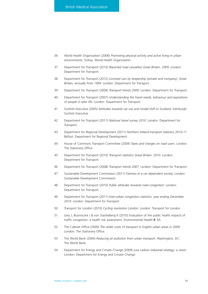- 36 World Health Organization (2006) *Promoting physical activity and active living in urban environments.* Turkey: World Health Organization.
- 37 Department for Transport (2010) *Reported road casualties Great Britain: 2009.* London: Department for Transport.
- 38 Department for Transport (2012) *Licensed cars by keepership (private and company), Great Britain, annually from 1994.* London: Department for Transport.
- 39 Department for Transport (2009) *Transport trends 2009.* London: Department for Transport.
- 40 Department for Transport (2007) *Understanding the travel needs, behaviour and aspirations of people in later life.* London: Department for Transport.
- 41 Scottish Executive (2005) *Attitudes towards car use and modal shift in Scotland.* Edinburgh: Scottish Executive.
- 42 Department for Transport (2011) *National travel survey 2010.* London: Department for Transport.
- 43 Department for Regional Development (2011) *Northern Ireland transport statistics 2010-11.* Belfast: Department for Regional Development.
- 44 House of Commons Transport Committee (2009) *Taxes and charges on road users.* London: The Stationery Office.
- 45 Department for Transport (2010) *Transport statistics Great Britain: 2010.* London: Department for Transport.
- 46 Department for Transport (2008) *Transport trends 2007.* London: Department for Transport.
- 47 Sustainable Development Commission (2011) *Fairness in a car dependent society.* London: Sustainable Development Commission.
- 48 Department for Transport (2010) *Public attitudes towards road congestion.* London: Department for Transport.
- 49 Department for Transport (2011) *Inter-urban congestion statistics: year ending December 2010*. London: Department for Transport.
- 50 Transport for London (2010) *Cycling revolution London.* London: Transport for London.
- 51 Levy J, Buonocore J & von Stackelberg K (2010) Evaluation of the public health impacts of traffic congestion: a health risk assessment. *Environmental Health* **9**: 65.
- 52 The Cabinet Office (2009) *The wider costs of transport in English urban areas in 2009.* London: The Stationery Office.
- 53 The World Bank (2004) *Reducing air pollution from urban transport.* Washington, DC: The World Bank.
- 54 Department for Energy and Cimate Change (2009) *Low carbon industrial strategy: a vision.* London: Department for Energy and Cimate Change.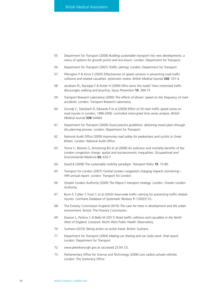- 55 Department for Transport (2008) *Building sustainable transport into new developments: a menu of options for growth points and eco-towns.* London: Department for Transport.
- 56 Department for Transport (2007) *Traffic calming.* London: Department for Transport.
- 57 Pilkington P & Kinra S (2005) Effectiveness of speed cameras in preventing road traffic collisions and related casualties: systematic review. *British Medical Journal* **330**: 331-4.
- 58 Jacobsen PL, Racioppi F & Rutter H (2009) Who owns the roads? How motorised traffic discourages walking and bicycling. *Injury Prevention* **15**: 369-73.
- 59 Transport Research Laboratory (2000) *The effects of drivers' speed on the frequency of road accidents.* London: Transport Research Laboratory.
- 60 Grundy C, Steinbach R, Edwards P et al (2009) Effect of 20 mph traffic speed zones on road injuries in London, 1986-2006: controlled interrupted time series analysis. *British Medical Journal* **339:** b4469.
- 61 Department for Transport (2009) *Good practice guidelines: delivering travel plans through the planning process.* London: Department for Transport.
- 62 National Audit Office (2009) *Improving road safety for pedestrians and cyclists in Great Britain.* London: National Audit Office.
- 63 Tonne C, Beevers S, Armstrong BG et al (2008) Air pollution and mortality benefits of the London congestion charge: spatial and socioeconomic inequalities. *Occupational and Environmental Medicine* **65:** 620-7.
- 64 David B (2008) The sustainable mobility paradigm. *Transport Policy* **15**: 73-80.
- 65 Transport for London (2007) *Central London congestion charging impacts monitoring – fifth annual report.* London: Transport for London.
- 66 Greater London Authority (2009) *The Mayor's transport strategy*. London: Greater London Authority.
- 67 Bunn F, Collier T, Frost C et al (2003) Area-wide traffic calming for preventing traffic related injuries. *Cochrane Database of Systematic Reviews* **1**: CD003110.
- 68 The Forestry Commission England (2010) *The case for trees in development and the urban environment.* Bristol: The Forestry Commission.
- 69 Deacon L, Perkins C & Bellis M (2011) *Road traffic collisions and casualties in the North West of England*. Liverpool: North West Public Health Observatory.
- 70 Sustrans (2010) *Taking action on active travel*. Bristol: Sustrans.
- 71 Department for Transport (2004) *Making car sharing and car clubs work: final report.* London: Department for Transport.
- 72 www.peterborough.gov.uk (accessed 23.04.12).
- 73 Parliamentary Office for Science and Technology (2006) *Low carbon private vehicles.* London: The Stationery Office.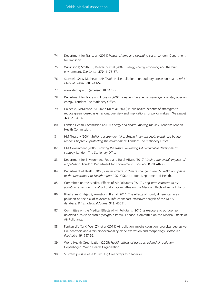- 74 Department for Transport (2011) *Values of time and operating costs.* London: Department for Transport.
- 75 Wilkinson P, Smith KR, Beevers S et al (2007) Energy, energy efficiency, and the built environment. *The Lancet* **370**: 1175-87.
- 76 Stansfeld SA & Matheson MP (2003) Noise pollution: non-auditory effects on health. *British Medical Bulletin* **68**: 243-57.
- 77 www.decc.gov.uk (accessed 18.04.12).
- 78 Department for Trade and Industry (2007) *Meeting the energy challenge: a white paper on energy*. London: The Stationery Office.
- 79 Haines A, McMichael AJ, Smith KR et al (2009) Public health benefits of strategies to reduce greenhouse-gas emissions: overview and implications for policy makers. *The Lancet* **374**: 2104-14.
- 80 London Health Commission (2003) *Energy and health: making the link.* London: London Health Commission.
- 81 HM Treasury (2001) *Building a stronger, fairer Britain in an uncertain world: pre-budget report. Chapter 7: protecting the environment.* London: The Stationery Office.
- 82 HM Government (2005) *Securing the future: delivering UK sustainable development strategy.* London: The Stationery Office.
- 83 Department for Environment, Food and Rural Affairs (2010) *Valuing the overall impacts of air pollution.* London: Department for Environment, Food and Rural Affairs.
- 84 Department of Health (2008) *Health effects of climate change in the UK 2008: an update of the Department of Health report 2001/2002.* London: Department of Health.
- 85 Committee on the Medical Effects of Air Pollutants (2010) *Long-term exposure to air pollution: effect on mortality.* London: Committee on the Medical Effects of Air Pollutants.
- 86 Bhaskaran K, Hajat S, Armstrong B et al (2011) The effects of hourly differences in air pollution on the risk of myocardial infarction: case crossover analysis of the MINAP database. *British Medical Journal* **343:** d5531.
- 87 Committee on the Medical Effects of Air Pollutants (2010) *Is exposure to outdoor air pollution a cause of atopic (allergic) asthma?* London: Committee on the Medical Effects of Air Pollutants.
- 88 Fonken LK, Xu X, Weil ZM et al (2011) Air pollution impairs cognition, provokes depressivelike behaviors and alters hippocampal cytokine expression and morphology. *Molecular Psychiatry* **16**: 987-95.
- 89 World Health Organization (2005) *Health effects of transport related air pollution.* Copenhagen: World Health Organization.
- 90 Sustrans press release (18.01.12) Greenways to cleaner air.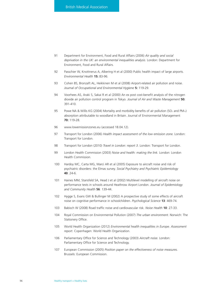- 91 Department for Environment, Food and Rural Affairs (2006) *Air quality and social deprivation in the UK: an environmental inequalities analysis.* London: Department for Environment, Food and Rural Affairs.
- 92 Passchier W, Knottnerus A, Albering H et al (2000) Public health impact of large airports. *Environmental Health* **15:** 83-96.
- 93 Cohen BS, Bronzaft AL, Heikkinen M et al (2008) Airport-related air pollution and noise. *Journal of Occupational and Environmental Hygiene* **5:** 119-29.
- 94 Voorhees AS, Araki S, Sakai R et al (2000) An ex post cost-benefit analysis of the nitrogen dioxide air pollution control program in Tokyo. *Journal of Air and Waste Management* **50:** 391-410.
- 95 Powe NA & Willis KG (2004) Mortality and morbidity benefits of air pollution (SO<sub>2</sub> and PM<sub>10</sub>) absorption attributable to woodland in Britain. Journal of Environmental Management **70:** 119-28.
- 96 www.lowemissionzones.eu (accessed 18.04.12).
- 97 Transport for London (2006) *Health impact assessment of the low emission zone.* London: Transport for London.
- 98 Transport for London (2010) *Travel in London: report 3.* London: Transport for London.
- 99 London Health Commission (2003) *Noise and health: making the link.* London: London Health Commission.
- 100 Hardoy MC, Carta MG, Marci AR et al (2005) Exposure to aircraft noise and risk of psychiatric disorders: the Elmas survey. *Social Psychiatry and Psychiatric Epidemiology* **40**: 24-6.
- 101 Haines MM, Stansfeld SA, Head J et al (2002) Multilevel modelling of aircraft noise on performance tests in schools around Heathrow Airport London. *Journal of Epidemiology and Community Health* **56**: 139-44.
- 102 Hygge S, Evans GW & Bullinger M (2002) A prospective study of some effects of aircraft noise on cognitive performance in schoolchildren. *Psychological Science* **13**: 469-74.
- 103 Babisch W (2008) Road traffic noise and cardiovascular risk. *Noise Health* **10**: 27-33.
- 104 Royal Commission on Environmental Pollution (2007) *The urban environment.* Norwich: The Stationery Office.
- 105 World Health Organization (2012) *Environmental health inequalities in Europe. Assessment report*. Copenhagen: World Health Organization.
- 106 Parliamentary Office for Science and Technology (2003) *Aircraft noise.* London: Parliamentary Office for Science and Technology.
- 107 European Commission (2005) *Position paper on the effectiveness of noise measures.* Brussels: European Commission.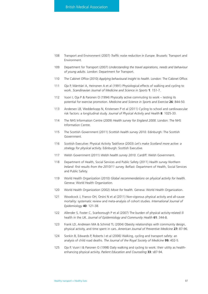- 108 Transport and Environment (2007) *Traffic noise reduction in Europe.* Brussels: Transport and Environment.
- 109 Department for Transport (2007) *Understanding the travel aspirations, needs and behaviour of young adults.* London: Department for Transport.
- 110 The Cabinet Office (2010) *Applying behavioural insight to health.* London: The Cabinet Office.
- 111 Oja P, Mänttäri A, Heinonen A et al (1991) Physiological effects of walking and cycling to work. *Scandinavian Journal of Medicine and Science in Sports* **1**: 151-7.
- 112 Vuori I, Oja P & Paronen O (1994) Physically active commuting to work testing its potential for exercise promotion. *Medicine and Science in Sports and Exercise* **26**: 844-50.
- 113 Andersen LB, Wedderkopp N, Kristensen P et al (2011) Cycling to school and cardiovascular risk factors: a longitudinal study. *Journal of Physical Activity and Health* **8**: 1025-33.
- 114 The NHS Information Centre (2009) *Health survey for England 2008.* London: The NHS Information Centre.
- 115 The Scottish Government (2011) *Scottish health survey 2010.* Edinburgh: The Scottish Government.
- 116 Scottish Executive: Physical Activity Taskforce (2003) *Let's make Scotland more active: a strategy for physical activity.* Edinburgh: Scottish Executive.
- 117 Welsh Government (2011) *Welsh health survey 2010.* Cardiff: Welsh Government.
- 118 Department of Health, Social Services and Public Safety (2011) *Health survey Northern Ireland: first results from the 2010/11 survey.* Belfast: Department of Health, Social Services and Public Safety.
- 119 World Health Organization (2010) *Global recommendations on physical activity for health.* Geneva: World Health Organization.
- 120 World Health Organization (2002) *Move for health.* Geneva: World Health Organization.
- 121 Woodcock J, Franco OH, Orsini N et al (2011) Non-vigorous physical activity and all-cause mortality: systematic review and meta-analysis of cohort studies. *International Journal of Epidemiology* **40**: 121-38.
- 122 Allender S, Foster C, Scarborough P et al (2007) The burden of physical activity-related ill health in the UK. *Journal of Epidemiology and Community Health* **61**: 344-8.
- 123 Frank LD, Andresen MA & Schmid TL (2004) Obesity relationships with community design, physical activity, and time spent in cars. *American Journal of Preventive Medicine* **27:** 87-96.
- 124 Sonkin B, Edwards P, Roberts I et al (2006) Walking, cycling and transport safety: an analysis of child road deaths. *The Journal of the Royal Society of Medicine* **99:** 402-5.
- 125 Oja P, Vuori I & Paronen O (1998) Daily walking and cycling to work: their utility as healthenhancing physical activity. *Patient Education and Counseling* **33**: s87-94.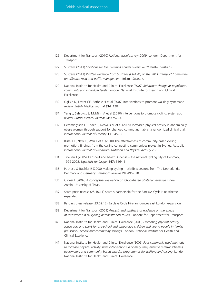- 126 Department for Transport (2010) *National travel survey: 2009*. London: Department for **Transport**
- 127 Sustrans (2011) *Solutions for life. Sustrans annual review 2010*. Bristol: Sustrans.
- 128 Sustrans (2011) *Written evidence from Sustrans (ETM 46) to the 2011 Transport Committee on effective road and traffic management*. Bristol: Sustrans.
- 129 National Institute for Health and Clinical Excellence (2007) *Behaviour change at population, community and individual levels.* London: National Institute for Health and Clinical Excellence.
- 130 Ogilvie D, Foster CE, Rothnie H et al (2007) Interventions to promote walking: systematic review. *British Medical Journal* **334**: 1204.
- 131 Yang L, Sahlqvist S, McMinn A et al (2010) Interventions to promote cycling: systematic review. *British Medical Journal* **341:** c5293.
- 132 Hemmingsson E, Udden J, Neovius M et al (2009) Increased physical activity in abdominally obese women through support for changed commuting habits: a randomized clinical trial. *International Journal of Obesity* **33**: 645-52.
- 133 Rissel CE, New C, Wen L et al (2010) The effectiveness of community-based cycling promotion: findings from the cycling connecting communities project in Sydney, Australia. *International Journal of Behavioral Nutrition and Physical Activity* **7:** 8.
- 134 Troelsen J (2005) Transport and health: Odense the national cycling city of Denmark, 1999-2002. *Ugeskrift for Laeger* **167:** 1164-6.
- 135 Pucher J & Buehler R (2008) Making cycling irresistible: Lessons from The Netherlands, Denmark and Germany. *Transport Reviews* **28**: 495-528.
- 136 Groesz L (2007) *A conceptual evaluation of school-based utilitarian exercise model*. Austin: University of Texas.
- 137 Serco press release (25.10.11) Serco's partnership for the Barclays Cycle Hire scheme expanded.
- 138 Barclays press release (23.02.12) Barclays Cycle Hire announces east London expansion.
- 139 Department for Transport (2009) *Analysis and synthesis of evidence on the effects of investment in six cycling demonstration towns*. London: for Department for Transport.
- 140 National Institute for Health and Clinical Excellence (2009) *Promoting physical activity, active play and sport for pre-school and school-age children and young people in family, pre-school, school and community settings*. London: National Institute for Health and Clinical Excellence.
- 141 National Institute for Health and Clinical Excellence (2006) *Four commonly used methods to increase physical activity: brief interventions in primary care, exercise referral schemes, pedometers and community-based exercise programmes for walking and cycling*. London: National Institute for Health and Clinical Excellence.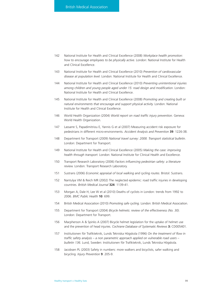- 142 National Institute for Health and Clinical Excellence (2008) *Workplace health promotion: how to encourage employees to be physically active*. London: National Institute for Health and Clinical Excellence.
- 143 National Institute for Health and Clinical Excellence (2010) *Prevention of cardiovascular disease at population level.* London: National Institute for Health and Clinical Excellence.
- 144 National Institute for Health and Clinical Excellence (2010) *Preventing unintentional injuries among children and young people aged under 15: road design and modification*. London: National Institute for Health and Clinical Excellence.
- 145 National Institute for Health and Clinical Excellence (2008) *Promoting and creating built or natural environments that encourage and support physical activity.* London: National Institute for Health and Clinical Excellence.
- 146 World Health Organization (2004) *World report on road traffic injury prevention.* Geneva: World Health Organization.
- 147 Lassarre S, Papadimitriou E, Yannis G et al (2007) Measuring accident risk exposure for pedestrians in different micro-environments. *Accident Analysis and Prevention* **39**: 1226-38.
- 148 Department for Transport (2009) *National travel survey: 2008. Transport statistical bulletin.* London: Department for Transport.
- 149 National Institute for Health and Clinical Excellence (2005) *Making the case: improving health through transport.* London: National Institute for Clinical Health and Excellence.
- 150 Transport Research Laboratory (2006) *Factors influencing pedestrian safety: a literature review.* London: Transport Research Laboratory.
- 151 Sustrans (2006) *Economic appraisal of local walking and cycling routes*. Bristol: Sustrans.
- 152 Nantulya VM & Reich MR (2002) The neglected epidemic: road traffic injuries in developing countries. *British Medical Journal* **324**: 1139-41.
- 153 Morgan A, Dale H, Lee W et al (2010) Deaths of cyclists in London: trends from 1992 to 2006. *BMC Public Health* **10**: 699.
- 154 British Medical Association (2010) *Promoting safe cycling.* London: British Medical Association.
- 155 Department for Transport (2004) *Bicycle helmets: review of the effectiveness (No. 30).* London: Department for Transport.
- 156 Macpherson A & Spinks A (2007) Bicycle helmet legislation for the uptake of helmet use and the prevention of head injuries. *Cochrane Database of Systematic Reviews* **3:** CD005401.
- 157 Institutionen för Trafikteknik, Lunds Tekniska Högskola (1996) *On the treatment of flow in traffic safety analysis – a non parametric approach applied on vulnerable road users – bulletin 136.* Lund, Sweden: Institutionen för Trafikteknik, Lunds Tekniska Högskola.
- 158 Jacobsen PL (2003) Safety in numbers: more walkers and bicyclists, safer walking and bicycling. *Injury Prevention* **9**: 205-9.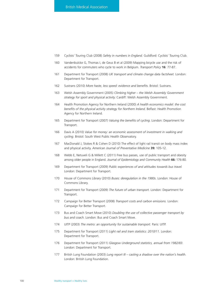- 159 Cyclists' Touring Club (2008) *Safety in numbers in England.* Guildford: Cyclists' Touring Club.
- 160 Vandenbulcke G, Thomas I, de Geus B et al (2009) Mapping bicycle use and the risk of accidents for commuters who cycle to work in Belgium. *Transport Policy* **16**: 77-87.
- 161 Department for Transport (2008) *UK transport and climate change data factsheet.* London: Department for Transport.
- 162 Sustrans (2010) *More haste, less speed: evidence and benefits.* Bristol: Sustrans.
- 163 Welsh Assembly Government (2005) *Climbing higher the Welsh Assembly Government strategy for sport and physical activity.* Cardiff: Welsh Assembly Government.
- 164 Health Promotion Agency for Northern Ireland (2000) *A health economics model: the cost benefits of the physical activity strategy for Northern Ireland.* Belfast: Health Promotion Agency for Northern Ireland.
- 165 Department for Transport (2007) *Valuing the benefits of cycling*. London: Department for Transport.
- 166 Davis A (2010) *Value for money: an economic assessment of investment in walking and cycling*. Bristol: South West Public Health Observatory.
- 167 MacDonald J, Stokes R & Cohen D (2010) The effect of light rail transit on body mass index and physical activity. *American Journal of Preventative Medicine* **39:** 105-12.
- 168 Webb E, Netuveli G & Millett C (2011) Free bus passes, use of public transport and obesity among older people in England. *Journal of Epidemiology and Community Health* **66:** 176-80.
- 169 Department for Transport (2009) *Public experiences of and attitudes towards bus travel.* London: Department for Transport.
- 170 House of Commons Library (2010) *Buses: deregulation in the 1980s*. London: House of Commons Library.
- 171 Department for Transport (2009) *The future of urban transport.* London: Department for Transport.
- 172 Campaign for Better Transport (2008) *Transport costs and carbon emissions.* London: Campaign for Better Transport.
- 173 Bus and Coach Smart Move (2010) *Doubling the use of collective passenger transport by bus and coach.* London: Bus and Coach Smart Move.
- 174 UITP (2003) *The metro: an opportunity for sustainable transport.* Paris: UITP.
- 175 Department for Transport (2011) *Light rail and tram statistics: 2010/11.* London: Department for Transport.
- 176 Department for Transport (2011) *Glasgow Underground statistics, annual from 1982/83.* London: Department for Transport.
- 177 British Lung Foundation (2003) *Lung report III casting a shadow over the nation's health.* London: British Lung Foundation.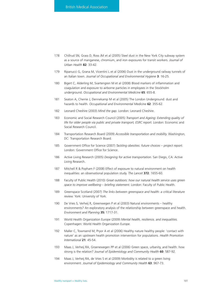- 178 Chillrud SN, Grass D, Ross JM et al (2005) Steel dust in the New York City subway system as a source of manganese, chromium, and iron exposures for transit workers. *Journal of Urban Health* **82**: 33-42.
- 179 Ripanucci G, Grana M, Vicentini L et al (2006) Dust in the underground railway tunnels of an Italian town. *Journal of Occupational and Environmental Hygiene* **3**: 16-25.
- 180 Bigert C, Alderling M, Svartengren M et al (2008) Blood markers of inflammation and coagulation and exposure to airborne particles in employees in the Stockholm underground. *Occupational and Environmental Medicine* **65**: 655-8.
- 181 Seaton A, Cherrie J, Dennekamp M et al (2005) The London Underground: dust and hazards to health. *Occupational and Environmental Medicine* **62**: 355-62.
- 182 Leonard Cheshire (2003) *Mind the gap.* London: Leonard Cheshire.
- 183 Economic and Social Research Council (2005) *Transport and Ageing: Extending quality of life for older people via public and private transport, ESRC report.* London: Economic and Social Research Council.
- 184 Transportation Research Board (2009) *Accessible transportation and mobility.* Washington, DC: Transportation Research Board.
- 185 Government Office for Science (2007) *Tackling obesities: future choices project report.* London: Government Office for Science.
- 186 Active Living Research (2005) *Designing for active transportation.* San Diego, CA: Active Living Research.
- 187 Mitchell R & Popham F (2008) Effect of exposure to natural environment on health inequalities: an observational population study. *The Lancet* **372**: 1655-60.
- 188 Faculty of Public Health (2010) *Great outdoors: how our natural health service uses green space to improve wellbeing – briefing statement.* London: Faculty of Public Health.
- 189 Greenspace Scotland (2007) *The links between greenspace and health: a critical literature review.* York: University of York.
- 190 De Vries S, Verheij R, Greenwegen P et al (2003) Natural environments healthy environments? An exploratory analysis of the relationship between greenspace and health. *Environment and Planning* **35:** 1717-31.
- 191 World Health Organization Europe (2009) *Mental health, resilience, and inequalities.* Copenhagen: World Health Organization Europe.
- 192 Maller C, Townsend M, Pryor A et al (2006) Healthy nature healthy people: 'contact with nature' as an upstream health promotion intervention for populations. *Health Promotion International* **21**: 45-54.
- 193 Maas J, Verheij RA, Groenewegen PP et al (2006) Green space, urbanity, and health: how strong is the relation? *Journal of Epidemiology and Community Health* **60**: 587-92.
- 194 Maas J, Verheij RA, de Vries S et al (2009) Morbidity is related to a green living environment. *Journal of Epidemiology and Community Health* **63**: 967-73.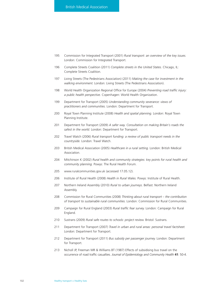- 195 Commission for Integrated Transport (2001) *Rural transport: an overview of the key issues.* London: Commission for Integrated Transport.
- 196 Complete Streets Coalition (2011) *Complete streets in the United States*. Chicago, IL: Complete Streets Coalition.
- 197 Living Streets (The Pedestrians Association) (2011) *Making the case for investment in the walking environment.* London: Living Streets (The Pedestrians Association).
- 198 World Health Organization Regional Office for Europe (2004) *Preventing road traffic injury: a public health perspective.* Copenhagen: World Health Organization.
- 199 Department for Transport (2005) *Understanding community severance: views of practitioners and communities.* London: Department for Transport.
- 200 Royal Town Planning Institute (2008) *Health and spatial planning.* London: Royal Town Planning Institute.
- 201 Department for Transport (2009) *A safer way. Consultation on making Britain's roads the safest in the world.* London: Department for Transport.
- 202 Travel Watch (2006) *Rural transport funding: a review of public transport needs in the countryside.* London: Travel Watch.
- 203 British Medical Association (2005) *Healthcare in a rural setting.* London: British Medical Association.
- 204 Mitchinson K (2002) *Rural health and community strategies: key points for rural health and community planning.* Powys: The Rural Health Forum.
- 205 www.ruralcommunities.gov.uk (accessed 17.05.12).
- 206 Institute of Rural Health (2008) *Health in Rural Wales.* Powys: Institute of Rural Health.
- 207 Northern Ireland Assembly (2010) *Rural to urban journeys*. Belfast: Northern Ireland Assembly.
- 208 Commission for Rural Communities (2008) *Thinking about rural transport the contribution of transport to sustainable rural communities.* London: Commission for Rural Communities.
- 209 Campaign for Rural England (2003) *Rural traffic fear survey.* London: Campaign for Rural England.
- 210 Sustrans (2009) *Rural safe routes to schools: project review.* Bristol: Sustrans.
- 211 Department for Transport (2007) *Travel in urban and rural areas: personal travel factsheet.* London: Department for Transport.
- 212 Department for Transport (2011) *Bus subsidy per passenger journey.* London: Department for Transport.
- 213 Nicholl JP, Freeman MR & Williams BT (1987) Effects of subsidising bus travel on the occurrence of road traffic casualties. *Journal of Epidemiology and Community Health* **41**: 50-4.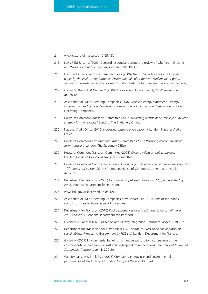- 214 www.ctc.org.uk (accessed 17.05.12).
- 215 Laws REM & Ison S (2009) Demand responsive transport: a review of schemes in England and Wales. *Journal of Public Transportation* **12**: 19-38.
- 216 Institute for European Environmental Policy (2006) *The sustainable case for rail: position paper by the institute for European Environmental Policy for RMT Parliamentary group's seminar "The sustainable case for rail".* London: Institute for European Environmental Policy.
- 217 Givoni M, Brand C & Watkiss P (2009) Are railways climate friendly? *Built environment* **35**: 70-86.
- 218 Association of Train Operating Companies (2007) *Baseline energy statement energy consumption and carbon dioxide emissions on the railway.* London: Association of Train Operating Companies.
- 219 House of Commons Transport Committee (2007) *Delivering a sustainable railway: a 30-year strategy for the railways?* London: The Stationery Office.
- 220 National Audit Office (2010) *Increasing passenger rail capacity.* London: National Audit Office.
- 221 House of Commons Environmental Audit Committee (2006) *Reducing carbon emissions from transport.* London: The Stationery Office.
- 222 House of Commons Transport Committee (2003) *Overcrowding on public transport.* London: House of Commons Transport Committee.
- 223 House of Commons Committee of Public Accounts (2010) *Increasing passenger rail capacity – fifth report of session 2010-11.* London: House of Commons Committee of Public Accounts.
- 224 Department for Transport (2008) *High Level output specification (HLOS) plan update July 2008.* London: Department for Transport.
- 225 www.isni.gov.uk (accessed 17.05.12).
- 226 Association of Train Operating Companies press release (12.07.10) Tens of thousands switch from cars to trains as petrol prices rise.
- 227 Department for Transport (2010) *Public experiences of and attitudes towards rail travel: 2006 and 2009.* London: Department for Transport.
- 228 Givoni M & Banister D (2006) Airline and railway integration. *Transport Policy* **13**: 386-97.
- 229 Department for Transport (2011) *Review of HS2 London to West Midlands appraisal of sustainability: A report to Government by HS2 Ltd.* London: Department for Transport.
- 230 Givoni M (2007) Environmental benefits from mode substitution: comparison of the environmental impact from aircraft and high-speed train operations. *International Journal of Sustainable Transportation* **1**: 209-30.
- 231 Wee BV, Janse P & Brink RVD (2005) Comparing energy use and environmental performance of land transport modes. *Transport Reviews* **25**: 3-24.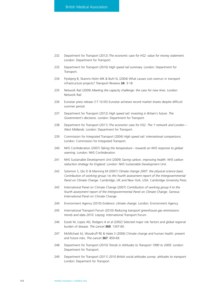- 232 Department for Transport (2012) *The economic case for HS2: value for money statement.* London: Department for Transport.
- 233 Department for Transport (2010) *High speed rail summary.* London: Department for Transport.
- 234 Flyvbjerg B, Skamris Holm MK & Buhl SL (2004) What causes cost overrun in transport infrastructure projects? *Transport Reviews* **24**: 3-18.
- 235 Network Rail (2009) *Meeting the capacity challenge: the case for new lines.* London: Network Rail.
- 236 Eurostar press release (17.10.05) Eurostar achieves record market shares despite difficult summer period.
- 237 Department for Transport (2012) *High speed rail: investing in Britain's future. The Government's decisions.* London: Department for Transport.
- 238 Department for Transport (2011) *The economic case for HS2. The Y network and London – West Midlands.* London: Department for Transport.
- 239 Commission for Integrated Transport (2004) *High speed rail: international comparisons.* London: Commission for Integrated Transport.
- 240 NHS Confederation (2007) *Taking the temperature towards an NHS response to global warning.* London: NHS Confederation.
- 241 NHS Sustainable Development Unit (2009) *Saving carbon, improving health: NHS carbon reduction strategy for England.* London: NHS Sustainable Development Unit.
- 242 Solomon S, Qin D & Manning M (2007) *Climate change 2007: the physical science basis. Contribution of working group I to the fourth assessment report of the Intergovernmental Panel on Climate Change.* Cambridge, UK and New York, USA: Cambridge University Press.
- 243 International Panel on Climate Change (2007) *Contribution of working group II to the fourth assessment report of the Intergovernmental Panel on Climate Change.* Geneva: International Panel on Climate Change.
- 244 Environment Agency (2010) *Evidence: climate change.* London: Environment Agency.
- 245 International Transport Forum (2010) *Reducing transport greenhouse gas emmissions: trends and data 2010.* Leipzig: International Transport Forum.
- 246 Ezzati M, Lopez AD, Rodgers A et al (2002) Selected major risk factors and global regional burden of disease. *The Lancet* **360**: 1347-60.
- 247 McMichael AJ, Woodruff RE & Hales S (2006) Climate change and human health: present and future risks. *The Lancet* **367**: 859-69.
- 248 Department for Transport (2010) *Trends in Attitudes to Transport 1990 to 2009.* London: Department for Transport.
- 249 Department for Transport (2011) *2010 British social attitudes survey: attitudes to transport.* London: Deparment for Transport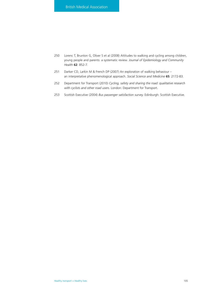- 250 Lorenc T, Brunton G, Oliver S et al (2008) Attitudes to walking and cycling among children, young people and parents: a systematic review. *Journal of Epidemiology and Community Health* **62**: 852-7.
- 251 Darker CD, Larkin M & French DP (2007) An exploration of walking behaviour an interpretative phenomenological approach. *Social Science and Medicine* **65**: 2172-83.
- 252 Department for Transport (2010) *Cycling, safety and sharing the road: qualitative research with cyclists and other road users.* London: Department for Transport.
- 253 Scottish Executive (2004) *Bus passenger satisfaction survey.* Edinburgh: Scottish Executive.